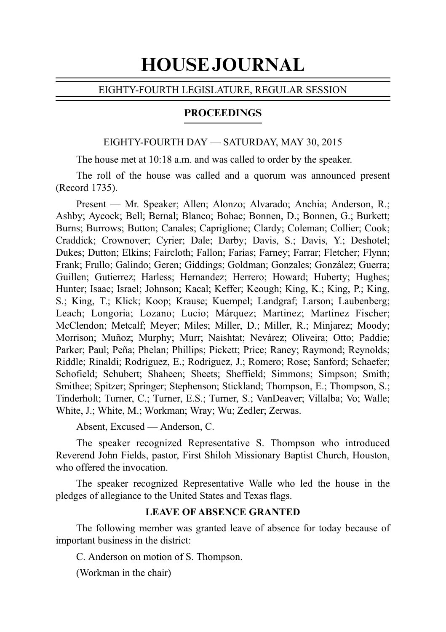# HOUSE JOURNAL

# EIGHTY-FOURTH LEGISLATURE, REGULAR SESSION

# PROCEEDINGS

# EIGHTY-FOURTH DAY — SATURDAY, MAY 30, 2015

The house met at 10:18 a.m. and was called to order by the speaker.

The roll of the house was called and a quorum was announced present (Record 1735).

Present — Mr. Speaker; Allen; Alonzo; Alvarado; Anchia; Anderson, R.; Ashby; Aycock; Bell; Bernal; Blanco; Bohac; Bonnen, D.; Bonnen, G.; Burkett; Burns; Burrows; Button; Canales; Capriglione; Clardy; Coleman; Collier; Cook; Craddick; Crownover; Cyrier; Dale; Darby; Davis, S.; Davis, Y.; Deshotel; Dukes; Dutton; Elkins; Faircloth; Fallon; Farias; Farney; Farrar; Fletcher; Flynn; Frank; Frullo; Galindo; Geren; Giddings; Goldman; Gonzales; González; Guerra; Guillen; Gutierrez; Harless; Hernandez; Herrero; Howard; Huberty; Hughes; Hunter; Isaac; Israel; Johnson; Kacal; Keffer; Keough; King, K.; King, P.; King, S.; King, T.; Klick; Koop; Krause; Kuempel; Landgraf; Larson; Laubenberg; Leach; Longoria; Lozano; Lucio; Márquez; Martinez; Martinez Fischer; McClendon; Metcalf; Meyer; Miles; Miller, D.; Miller, R.; Minjarez; Moody; Morrison; Muñoz; Murphy; Murr; Naishtat; Nevárez; Oliveira; Otto; Paddie; Parker; Paul; Peña; Phelan; Phillips; Pickett; Price; Raney; Raymond; Reynolds; Riddle; Rinaldi; Rodriguez, E.; Rodriguez, J.; Romero; Rose; Sanford; Schaefer; Schofield; Schubert; Shaheen; Sheets; Sheffield; Simmons; Simpson; Smith; Smithee; Spitzer; Springer; Stephenson; Stickland; Thompson, E.; Thompson, S.; Tinderholt; Turner, C.; Turner, E.S.; Turner, S.; VanDeaver; Villalba; Vo; Walle; White, J.; White, M.; Workman; Wray; Wu; Zedler; Zerwas.

Absent, Excused — Anderson, C.

The speaker recognized Representative S. Thompson who introduced Reverend John Fields, pastor, First Shiloh Missionary Baptist Church, Houston, who offered the invocation.

The speaker recognized Representative Walle who led the house in the pledges of allegiance to the United States and Texas flags.

# **LEAVE OF ABSENCE GRANTED**

The following member was granted leave of absence for today because of important business in the district:

C. Anderson on motion of S. Thompson.

(Workman in the chair)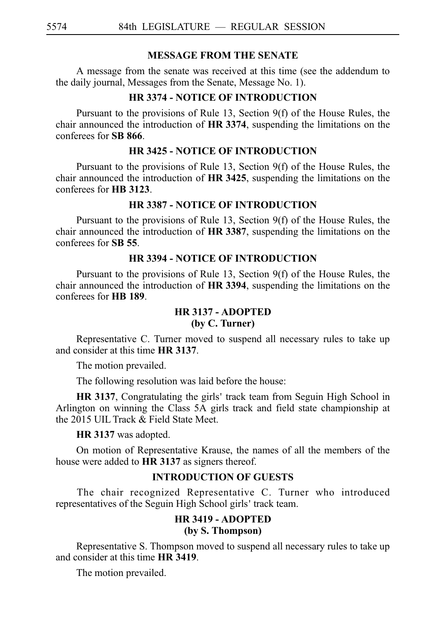# **MESSAGE FROM THE SENATE**

A message from the senate was received at this time (see the addendum to the daily journal, Messages from the Senate, Message No. 1).

# **HR 3374 - NOTICE OF INTRODUCTION**

Pursuant to the provisions of Rule 13, Section 9(f) of the House Rules, the chair announced the introduction of **HR 3374**, suspending the limitations on the conferees for SB 866.

# **HR 3425 - NOTICE OF INTRODUCTION**

Pursuant to the provisions of Rule 13, Section 9(f) of the House Rules, the chair announced the introduction of HR 3425, suspending the limitations on the conferees for **HBi3123**.

# **HR 3387 - NOTICE OF INTRODUCTION**

Pursuant to the provisions of Rule 13, Section 9(f) of the House Rules, the chair announced the introduction of **HR 3387**, suspending the limitations on the conferees for **SB** 55.

# **HR 3394 - NOTICE OF INTRODUCTION**

Pursuant to the provisions of Rule 13, Section 9(f) of the House Rules, the chair announced the introduction of **HR 3394**, suspending the limitations on the conferees for **HBi189**.

# **HR 3137 - ADOPTED**

# **(by C. Turner)**

Representative C. Turner moved to suspend all necessary rules to take up and consider at this time **HR 3137**.

The motion prevailed.

The following resolution was laid before the house:

HR 3137, Congratulating the girls' track team from Seguin High School in Arlington on winning the Class 5A girls track and field state championship at the 2015 UIL Track & Field State Meet.

# **HR 3137** was adopted.

On motion of Representative Krause, the names of all the members of the house were added to **HR 3137** as signers thereof.

# **INTRODUCTION OF GUESTS**

The chair recognized Representative C. Turner who introduced representatives of the Seguin High School girls' track team.

## **HR 3419 - ADOPTED (by S. Thompson)**

Representative S. Thompson moved to suspend all necessary rules to take up and consider at this time **HR** 3419.

The motion prevailed.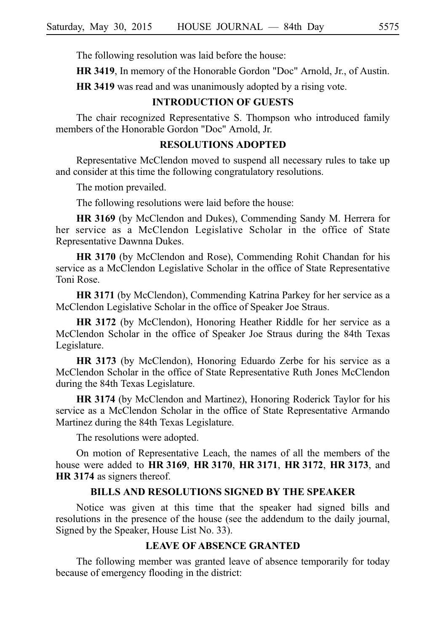The following resolution was laid before the house:

**HR 3419**, In memory of the Honorable Gordon "Doc" Arnold, Jr., of Austin.

**HR 3419** was read and was unanimously adopted by a rising vote.

# **INTRODUCTION OF GUESTS**

The chair recognized Representative S. Thompson who introduced family members of the Honorable Gordon "Doc" Arnold, Jr.

## **RESOLUTIONS ADOPTED**

Representative McClendon moved to suspend all necessary rules to take up and consider at this time the following congratulatory resolutions.

The motion prevailed.

The following resolutions were laid before the house:

**HR 3169** (by McClendon and Dukes), Commending Sandy M. Herrera for her service as a McClendon Legislative Scholar in the office of State Representative Dawnna Dukes.

**HR 3170** (by McClendon and Rose), Commending Rohit Chandan for his service as a McClendon Legislative Scholar in the office of State Representative Toni Rose.

**HR 3171** (by McClendon), Commending Katrina Parkey for her service as a McClendon Legislative Scholar in the office of Speaker Joe Straus.

**HR 3172** (by McClendon), Honoring Heather Riddle for her service as a McClendon Scholar in the office of Speaker Joe Straus during the 84th Texas Legislature.

**HR 3173** (by McClendon), Honoring Eduardo Zerbe for his service as a McClendon Scholar in the office of State Representative Ruth Jones McClendon during the 84th Texas Legislature.

**HR 3174** (by McClendon and Martinez), Honoring Roderick Taylor for his service as a McClendon Scholar in the office of State Representative Armando Martinez during the 84th Texas Legislature.

The resolutions were adopted.

On motion of Representative Leach, the names of all the members of the house were added to HR 3169, HR 3170, HR 3171, HR 3172, HR 3173, and **HR** 3174 as signers thereof.

#### **BILLS AND RESOLUTIONS SIGNED BY THE SPEAKER**

Notice was given at this time that the speaker had signed bills and resolutions in the presence of the house (see the addendum to the daily journal, Signed by the Speaker, House List No. 33).

# **LEAVE OF ABSENCE GRANTED**

The following member was granted leave of absence temporarily for today because of emergency flooding in the district: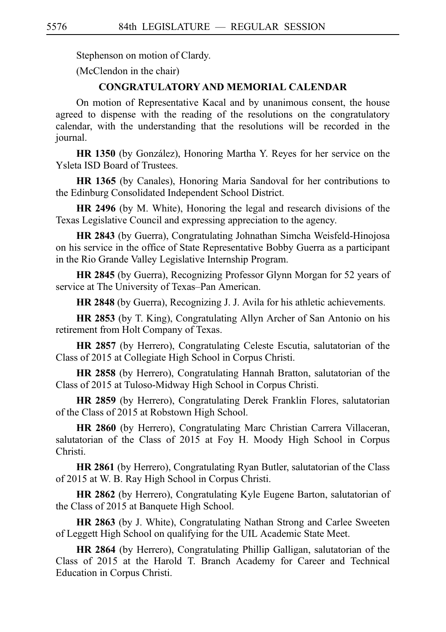Stephenson on motion of Clardy.

(McClendon in the chair)

# **CONGRATULATORY AND MEMORIAL CALENDAR**

On motion of Representative Kacal and by unanimous consent, the house agreed to dispense with the reading of the resolutions on the congratulatory calendar, with the understanding that the resolutions will be recorded in the journal.

**HR 1350** (by González), Honoring Martha Y. Reyes for her service on the Ysleta ISD Board of Trustees.

**HR 1365** (by Canales), Honoring Maria Sandoval for her contributions to the Edinburg Consolidated Independent School District.

**HR 2496** (by M. White), Honoring the legal and research divisions of the Texas Legislative Council and expressing appreciation to the agency.

**HR 2843** (by Guerra), Congratulating Johnathan Simcha Weisfeld-Hinojosa on his service in the office of State Representative Bobby Guerra as a participant in the Rio Grande Valley Legislative Internship Program.

**HR 2845** (by Guerra), Recognizing Professor Glynn Morgan for 52 years of service at The University of Texas–Pan American.

**HR 2848** (by Guerra), Recognizing J. J. Avila for his athletic achievements.

**HR 2853** (by T. King), Congratulating Allyn Archer of San Antonio on his retirement from Holt Company of Texas.

**HR 2857** (by Herrero), Congratulating Celeste Escutia, salutatorian of the Class of 2015 at Collegiate High School in Corpus Christi.

**HR 2858** (by Herrero), Congratulating Hannah Bratton, salutatorian of the Class of 2015 at Tuloso-Midway High School in Corpus Christi.

**HR 2859** (by Herrero), Congratulating Derek Franklin Flores, salutatorian of the Class of 2015 at Robstown High School.

**HR 2860** (by Herrero), Congratulating Marc Christian Carrera Villaceran, salutatorian of the Class of 2015 at Foy H. Moody High School in Corpus Christi.

**HR 2861** (by Herrero), Congratulating Ryan Butler, salutatorian of the Class of 2015 at W. B. Ray High School in Corpus Christi.

**HR 2862** (by Herrero), Congratulating Kyle Eugene Barton, salutatorian of the Class of 2015 at Banquete High School.

**HR 2863** (by J. White), Congratulating Nathan Strong and Carlee Sweeten of Leggett High School on qualifying for the UIL Academic State Meet.

**HR 2864** (by Herrero), Congratulating Phillip Galligan, salutatorian of the Class of 2015 at the Harold T. Branch Academy for Career and Technical Education in Corpus Christi.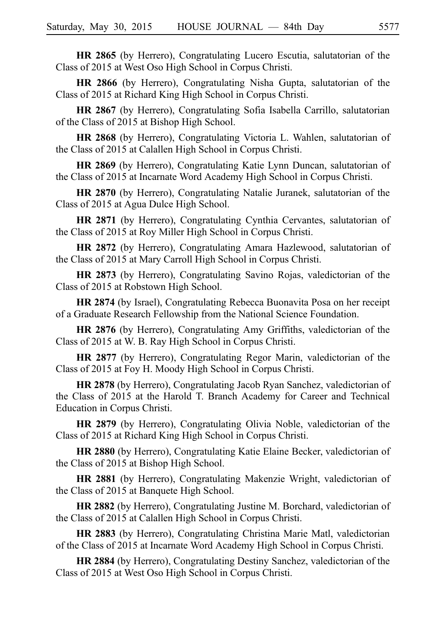**HR 2865** (by Herrero), Congratulating Lucero Escutia, salutatorian of the Class of 2015 at West Oso High School in Corpus Christi.

**HR 2866** (by Herrero), Congratulating Nisha Gupta, salutatorian of the Class of 2015 at Richard King High School in Corpus Christi.

**HR 2867** (by Herrero), Congratulating Sofia Isabella Carrillo, salutatorian of the Class of 2015 at Bishop High School.

**HR 2868** (by Herrero), Congratulating Victoria L. Wahlen, salutatorian of the Class of 2015 at Calallen High School in Corpus Christi.

**HR 2869** (by Herrero), Congratulating Katie Lynn Duncan, salutatorian of the Class of 2015 at Incarnate Word Academy High School in Corpus Christi.

**HR 2870** (by Herrero), Congratulating Natalie Juranek, salutatorian of the Class of 2015 at Agua Dulce High School.

**HR 2871** (by Herrero), Congratulating Cynthia Cervantes, salutatorian of the Class of 2015 at Roy Miller High School in Corpus Christi.

**HR 2872** (by Herrero), Congratulating Amara Hazlewood, salutatorian of the Class of 2015 at Mary Carroll High School in Corpus Christi.

**HR 2873** (by Herrero), Congratulating Savino Rojas, valedictorian of the Class of 2015 at Robstown High School.

**HR 2874** (by Israel), Congratulating Rebecca Buonavita Posa on her receipt of a Graduate Research Fellowship from the National Science Foundation.

**HR 2876** (by Herrero), Congratulating Amy Griffiths, valedictorian of the Class of 2015 at W. B. Ray High School in Corpus Christi.

**HR 2877** (by Herrero), Congratulating Regor Marin, valedictorian of the Class of 2015 at Foy H. Moody High School in Corpus Christi.

**HR 2878** (by Herrero), Congratulating Jacob Ryan Sanchez, valedictorian of the Class of 2015 at the Harold T. Branch Academy for Career and Technical Education in Corpus Christi.

**HR 2879** (by Herrero), Congratulating Olivia Noble, valedictorian of the Class of 2015 at Richard King High School in Corpus Christi.

**HR 2880** (by Herrero), Congratulating Katie Elaine Becker, valedictorian of the Class of 2015 at Bishop High School.

**HR 2881** (by Herrero), Congratulating Makenzie Wright, valedictorian of the Class of 2015 at Banquete High School.

**HR 2882** (by Herrero), Congratulating Justine M. Borchard, valedictorian of the Class of 2015 at Calallen High School in Corpus Christi.

**HR 2883** (by Herrero), Congratulating Christina Marie Matl, valedictorian of the Class of 2015 at Incarnate Word Academy High School in Corpus Christi.

**HR 2884** (by Herrero), Congratulating Destiny Sanchez, valedictorian of the Class of 2015 at West Oso High School in Corpus Christi.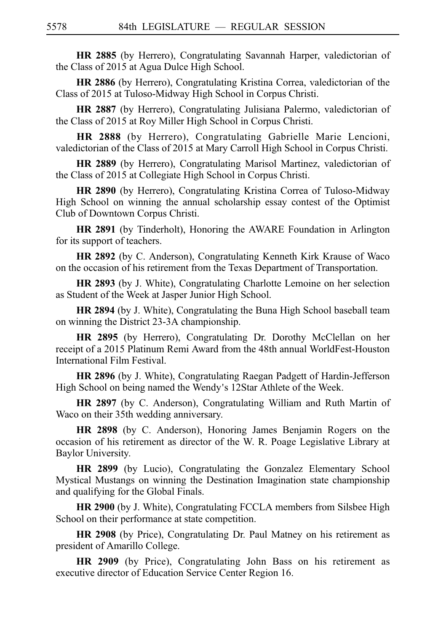**HR 2885** (by Herrero), Congratulating Savannah Harper, valedictorian of the Class of 2015 at Agua Dulce High School.

**HR 2886** (by Herrero), Congratulating Kristina Correa, valedictorian of the Class of 2015 at Tuloso-Midway High School in Corpus Christi.

**HR 2887** (by Herrero), Congratulating Julisiana Palermo, valedictorian of the Class of 2015 at Roy Miller High School in Corpus Christi.

**HR 2888** (by Herrero), Congratulating Gabrielle Marie Lencioni, valedictorian of the Class of 2015 at Mary Carroll High School in Corpus Christi.

**HR 2889** (by Herrero), Congratulating Marisol Martinez, valedictorian of the Class of 2015 at Collegiate High School in Corpus Christi.

**HR 2890** (by Herrero), Congratulating Kristina Correa of Tuloso-Midway High School on winning the annual scholarship essay contest of the Optimist Club of Downtown Corpus Christi.

**HR 2891** (by Tinderholt), Honoring the AWARE Foundation in Arlington for its support of teachers.

**HR 2892** (by C. Anderson), Congratulating Kenneth Kirk Krause of Waco on the occasion of his retirement from the Texas Department of Transportation.

**HR 2893** (by J. White), Congratulating Charlotte Lemoine on her selection as Student of the Week at Jasper Junior High School.

**HR 2894** (by J. White), Congratulating the Buna High School baseball team on winning the District 23-3A championship.

**HR 2895** (by Herrero), Congratulating Dr. Dorothy McClellan on her receipt of a 2015 Platinum Remi Award from the 48th annual WorldFest-Houston International Film Festival.

**HR 2896** (by J. White), Congratulating Raegan Padgett of Hardin-Jefferson High School on being named the Wendy's 12Star Athlete of the Week.

**HR 2897** (by C. Anderson), Congratulating William and Ruth Martin of Waco on their 35th wedding anniversary.

**HR 2898** (by C. Anderson), Honoring James Benjamin Rogers on the occasion of his retirement as director of the W. R. Poage Legislative Library at Baylor University.

**HR 2899** (by Lucio), Congratulating the Gonzalez Elementary School Mystical Mustangs on winning the Destination Imagination state championship and qualifying for the Global Finals.

**HR 2900** (by J. White), Congratulating FCCLA members from Silsbee High School on their performance at state competition.

**HR 2908** (by Price), Congratulating Dr. Paul Matney on his retirement as president of Amarillo College.

**HR 2909** (by Price), Congratulating John Bass on his retirement as executive director of Education Service Center Region 16.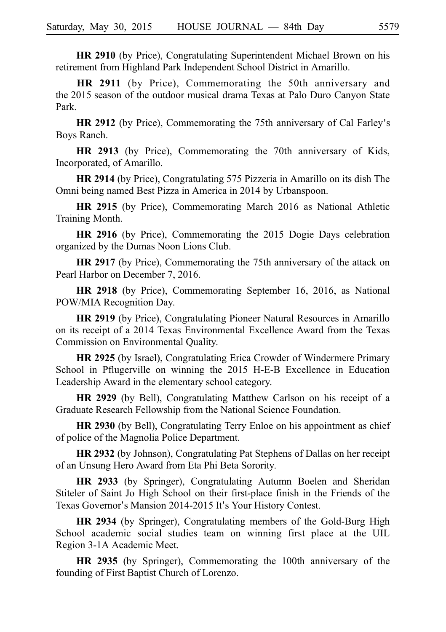**HR 2910** (by Price), Congratulating Superintendent Michael Brown on his retirement from Highland Park Independent School District in Amarillo.

**HR 2911** (by Price), Commemorating the 50th anniversary and the 2015 season of the outdoor musical drama Texas at Palo Duro Canyon State Park.

**HR 2912** (by Price), Commemorating the 75th anniversary of Cal Farley's Boys Ranch.

**HR 2913** (by Price), Commemorating the 70th anniversary of Kids, Incorporated, of Amarillo.

**HR 2914** (by Price), Congratulating 575 Pizzeria in Amarillo on its dish The Omni being named Best Pizza in America in 2014 by Urbanspoon.

**HR 2915** (by Price), Commemorating March 2016 as National Athletic Training Month.

**HR 2916** (by Price), Commemorating the 2015 Dogie Days celebration organized by the Dumas Noon Lions Club.

**HR 2917** (by Price), Commemorating the 75th anniversary of the attack on Pearl Harbor on December 7, 2016.

**HR 2918** (by Price), Commemorating September 16, 2016, as National POW/MIA Recognition Day.

**HR 2919** (by Price), Congratulating Pioneer Natural Resources in Amarillo on its receipt of a 2014 Texas Environmental Excellence Award from the Texas Commission on Environmental Quality.

**HR 2925** (by Israel), Congratulating Erica Crowder of Windermere Primary School in Pflugerville on winning the 2015 H-E-B Excellence in Education Leadership Award in the elementary school category.

**HR 2929** (by Bell), Congratulating Matthew Carlson on his receipt of a Graduate Research Fellowship from the National Science Foundation.

**HR 2930** (by Bell), Congratulating Terry Enloe on his appointment as chief of police of the Magnolia Police Department.

**HR 2932** (by Johnson), Congratulating Pat Stephens of Dallas on her receipt of an Unsung Hero Award from Eta Phi Beta Sorority.

**HR 2933** (by Springer), Congratulating Autumn Boelen and Sheridan Stiteler of Saint Jo High School on their first-place finish in the Friends of the Texas Governor's Mansion 2014-2015 It's Your History Contest.

**HR 2934** (by Springer), Congratulating members of the Gold-Burg High School academic social studies team on winning first place at the UIL Region 3-1A Academic Meet.

**HR 2935** (by Springer), Commemorating the 100th anniversary of the founding of First Baptist Church of Lorenzo.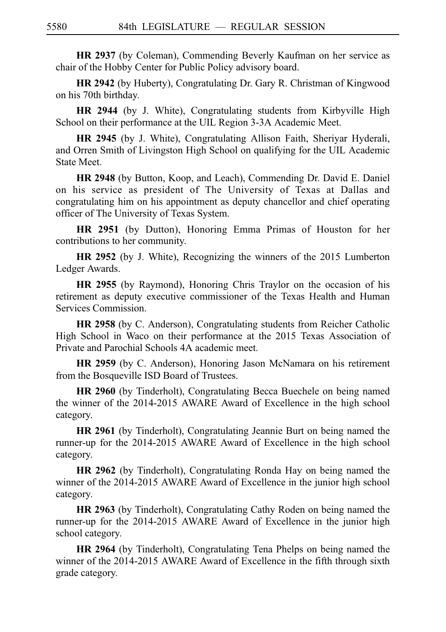**HR 2937** (by Coleman), Commending Beverly Kaufman on her service as chair of the Hobby Center for Public Policy advisory board.

**HR 2942** (by Huberty), Congratulating Dr. Gary R. Christman of Kingwood on his 70th birthday.

**HR 2944** (by J. White), Congratulating students from Kirbyville High School on their performance at the UIL Region 3-3A Academic Meet.

**HR 2945** (by J. White), Congratulating Allison Faith, Sheriyar Hyderali, and Orren Smith of Livingston High School on qualifying for the UIL Academic State Meet.

**HR 2948** (by Button, Koop, and Leach), Commending Dr. David E. Daniel on his service as president of The University of Texas at Dallas and congratulating him on his appointment as deputy chancellor and chief operating officer of The University of Texas System.

**HR 2951** (by Dutton), Honoring Emma Primas of Houston for her contributions to her community.

**HR 2952** (by J. White), Recognizing the winners of the 2015 Lumberton Ledger Awards.

**HR 2955** (by Raymond), Honoring Chris Traylor on the occasion of his retirement as deputy executive commissioner of the Texas Health and Human Services Commission.

**HR 2958** (by C. Anderson), Congratulating students from Reicher Catholic High School in Waco on their performance at the 2015 Texas Association of Private and Parochial Schools 4A academic meet.

**HR 2959** (by C. Anderson), Honoring Jason McNamara on his retirement from the Bosqueville ISD Board of Trustees.

**HR 2960** (by Tinderholt), Congratulating Becca Buechele on being named the winner of the 2014-2015 AWARE Award of Excellence in the high school category.

**HR 2961** (by Tinderholt), Congratulating Jeannie Burt on being named the runner-up for the 2014-2015 AWARE Award of Excellence in the high school category.

**HR 2962** (by Tinderholt), Congratulating Ronda Hay on being named the winner of the 2014-2015 AWARE Award of Excellence in the junior high school category.

**HR 2963** (by Tinderholt), Congratulating Cathy Roden on being named the runner-up for the 2014-2015 AWARE Award of Excellence in the junior high school category.

**HR 2964** (by Tinderholt), Congratulating Tena Phelps on being named the winner of the 2014-2015 AWARE Award of Excellence in the fifth through sixth grade category.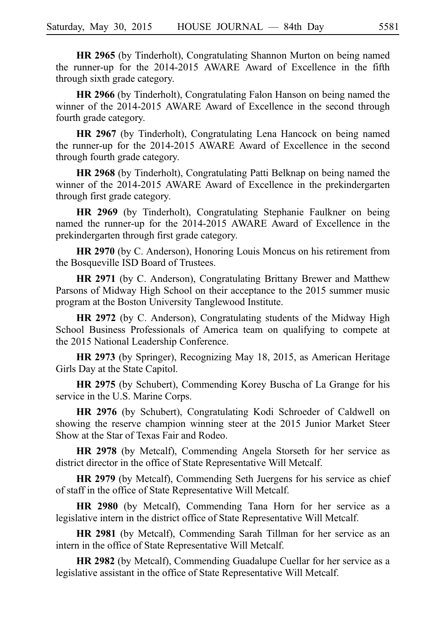**HR 2965** (by Tinderholt), Congratulating Shannon Murton on being named the runner-up for the 2014-2015 AWARE Award of Excellence in the fifth through sixth grade category.

**HR 2966** (by Tinderholt), Congratulating Falon Hanson on being named the winner of the 2014-2015 AWARE Award of Excellence in the second through fourth grade category.

**HR 2967** (by Tinderholt), Congratulating Lena Hancock on being named the runner-up for the 2014-2015 AWARE Award of Excellence in the second through fourth grade category.

**HR 2968** (by Tinderholt), Congratulating Patti Belknap on being named the winner of the 2014-2015 AWARE Award of Excellence in the prekindergarten through first grade category.

**HR 2969** (by Tinderholt), Congratulating Stephanie Faulkner on being named the runner-up for the 2014-2015 AWARE Award of Excellence in the prekindergarten through first grade category.

**HR 2970** (by C. Anderson), Honoring Louis Moncus on his retirement from the Bosqueville ISD Board of Trustees.

**HR 2971** (by C. Anderson), Congratulating Brittany Brewer and Matthew Parsons of Midway High School on their acceptance to the 2015 summer music program at the Boston University Tanglewood Institute.

**HR 2972** (by C. Anderson), Congratulating students of the Midway High School Business Professionals of America team on qualifying to compete at the 2015 National Leadership Conference.

**HR 2973** (by Springer), Recognizing May 18, 2015, as American Heritage Girls Day at the State Capitol.

**HR 2975** (by Schubert), Commending Korey Buscha of La Grange for his service in the U.S. Marine Corps.

**HR 2976** (by Schubert), Congratulating Kodi Schroeder of Caldwell on showing the reserve champion winning steer at the 2015 Junior Market Steer Show at the Star of Texas Fair and Rodeo.

**HR 2978** (by Metcalf), Commending Angela Storseth for her service as district director in the office of State Representative Will Metcalf.

**HR 2979** (by Metcalf), Commending Seth Juergens for his service as chief of staff in the office of State Representative Will Metcalf.

**HR 2980** (by Metcalf), Commending Tana Horn for her service as a legislative intern in the district office of State Representative Will Metcalf.

**HR 2981** (by Metcalf), Commending Sarah Tillman for her service as an intern in the office of State Representative Will Metcalf.

**HR 2982** (by Metcalf), Commending Guadalupe Cuellar for her service as a legislative assistant in the office of State Representative Will Metcalf.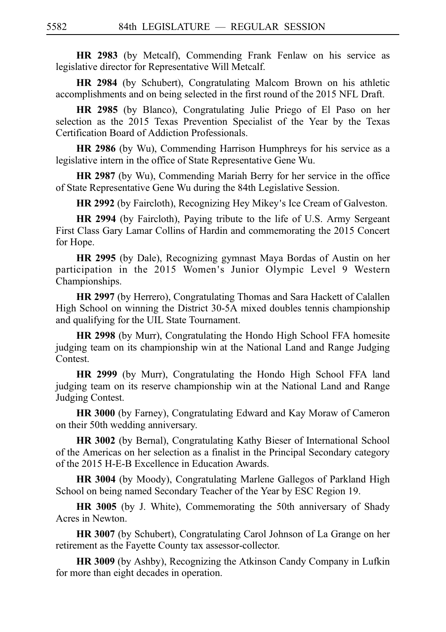**HR 2983** (by Metcalf), Commending Frank Fenlaw on his service as legislative director for Representative Will Metcalf.

**HR 2984** (by Schubert), Congratulating Malcom Brown on his athletic accomplishments and on being selected in the first round of the 2015 NFL Draft.

**HR 2985** (by Blanco), Congratulating Julie Priego of El Paso on her selection as the 2015 Texas Prevention Specialist of the Year by the Texas Certification Board of Addiction Professionals.

**HR 2986** (by Wu), Commending Harrison Humphreys for his service as a legislative intern in the office of State Representative Gene Wu.

**HR 2987** (by Wu), Commending Mariah Berry for her service in the office of State Representative Gene Wu during the 84th Legislative Session.

**HR 2992** (by Faircloth), Recognizing Hey Mikey's Ice Cream of Galveston.

**HR 2994** (by Faircloth), Paying tribute to the life of U.S. Army Sergeant First Class Gary Lamar Collins of Hardin and commemorating the 2015 Concert for Hope.

**HR 2995** (by Dale), Recognizing gymnast Maya Bordas of Austin on her participation in the 2015 Women 's Junior Olympic Level 9 Western Championships.

**HR 2997** (by Herrero), Congratulating Thomas and Sara Hackett of Calallen High School on winning the District 30-5A mixed doubles tennis championship and qualifying for the UIL State Tournament.

**HR 2998** (by Murr), Congratulating the Hondo High School FFA homesite judging team on its championship win at the National Land and Range Judging Contest.

**HR 2999** (by Murr), Congratulating the Hondo High School FFA land judging team on its reserve championship win at the National Land and Range Judging Contest.

**HR 3000** (by Farney), Congratulating Edward and Kay Moraw of Cameron on their 50th wedding anniversary.

**HR 3002** (by Bernal), Congratulating Kathy Bieser of International School of the Americas on her selection as a finalist in the Principal Secondary category of the 2015 H-E-B Excellence in Education Awards.

**HR 3004** (by Moody), Congratulating Marlene Gallegos of Parkland High School on being named Secondary Teacher of the Year by ESC Region 19.

**HR 3005** (by J. White), Commemorating the 50th anniversary of Shady Acres in Newton.

**HR 3007** (by Schubert), Congratulating Carol Johnson of La Grange on her retirement as the Fayette County tax assessor-collector.

**HR 3009** (by Ashby), Recognizing the Atkinson Candy Company in Lufkin for more than eight decades in operation.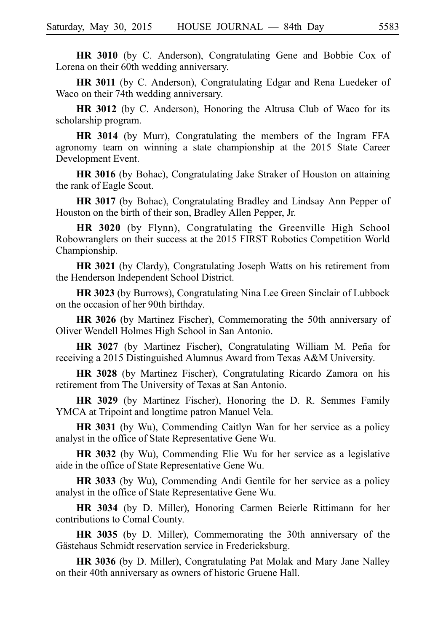**HR 3010** (by C. Anderson), Congratulating Gene and Bobbie Cox of Lorena on their 60th wedding anniversary.

**HR 3011** (by C. Anderson), Congratulating Edgar and Rena Luedeker of Waco on their 74th wedding anniversary.

**HR 3012** (by C. Anderson), Honoring the Altrusa Club of Waco for its scholarship program.

**HR 3014** (by Murr), Congratulating the members of the Ingram FFA agronomy team on winning a state championship at the 2015 State Career Development Event.

**HR 3016** (by Bohac), Congratulating Jake Straker of Houston on attaining the rank of Eagle Scout.

**HR 3017** (by Bohac), Congratulating Bradley and Lindsay Ann Pepper of Houston on the birth of their son, Bradley Allen Pepper, Jr.

**HR 3020** (by Flynn), Congratulating the Greenville High School Robowranglers on their success at the 2015 FIRST Robotics Competition World Championship.

**HR 3021** (by Clardy), Congratulating Joseph Watts on his retirement from the Henderson Independent School District.

**HR 3023** (by Burrows), Congratulating Nina Lee Green Sinclair of Lubbock on the occasion of her 90th birthday.

**HR 3026** (by Martinez Fischer), Commemorating the 50th anniversary of Oliver Wendell Holmes High School in San Antonio.

**HR 3027** (by Martinez Fischer), Congratulating William M. Peña for receiving a 2015 Distinguished Alumnus Award from Texas A&M University.

**HR 3028** (by Martinez Fischer), Congratulating Ricardo Zamora on his retirement from The University of Texas at San Antonio.

**HR 3029** (by Martinez Fischer), Honoring the D. R. Semmes Family YMCA at Tripoint and longtime patron Manuel Vela.

**HR 3031** (by Wu), Commending Caitlyn Wan for her service as a policy analyst in the office of State Representative Gene Wu.

**HR 3032** (by Wu), Commending Elie Wu for her service as a legislative aide in the office of State Representative Gene Wu.

**HR 3033** (by Wu), Commending Andi Gentile for her service as a policy analyst in the office of State Representative Gene Wu.

**HR 3034** (by D. Miller), Honoring Carmen Beierle Rittimann for her contributions to Comal County.

**HR 3035** (by D. Miller), Commemorating the 30th anniversary of the Gästehaus Schmidt reservation service in Fredericksburg.

**HR 3036** (by D. Miller), Congratulating Pat Molak and Mary Jane Nalley on their 40th anniversary as owners of historic Gruene Hall.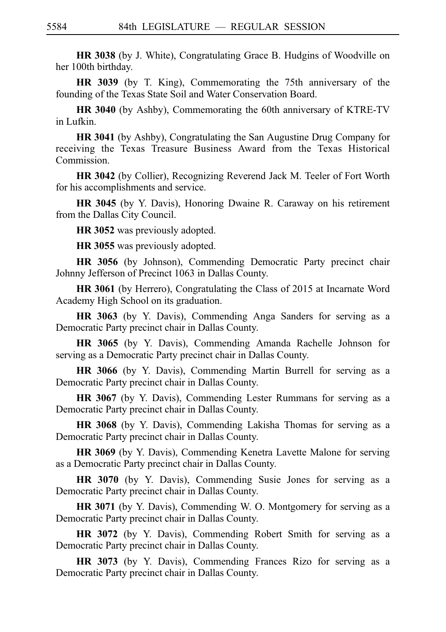**HR 3038** (by J. White), Congratulating Grace B. Hudgins of Woodville on her 100th birthday.

**HR 3039** (by T. King), Commemorating the 75th anniversary of the founding of the Texas State Soil and Water Conservation Board.

**HR 3040** (by Ashby), Commemorating the 60th anniversary of KTRE-TV in Lufkin.

**HR 3041** (by Ashby), Congratulating the San Augustine Drug Company for receiving the Texas Treasure Business Award from the Texas Historical Commission.

**HR 3042** (by Collier), Recognizing Reverend Jack M. Teeler of Fort Worth for his accomplishments and service.

**HR 3045** (by Y. Davis), Honoring Dwaine R. Caraway on his retirement from the Dallas City Council.

**HR 3052** was previously adopted.

**HR 3055** was previously adopted.

**HR 3056** (by Johnson), Commending Democratic Party precinct chair Johnny Jefferson of Precinct 1063 in Dallas County.

**HR 3061** (by Herrero), Congratulating the Class of 2015 at Incarnate Word Academy High School on its graduation.

**HR 3063** (by Y. Davis), Commending Anga Sanders for serving as a Democratic Party precinct chair in Dallas County.

**HR 3065** (by Y. Davis), Commending Amanda Rachelle Johnson for serving as a Democratic Party precinct chair in Dallas County.

**HR 3066** (by Y. Davis), Commending Martin Burrell for serving as a Democratic Party precinct chair in Dallas County.

**HR 3067** (by Y. Davis), Commending Lester Rummans for serving as a Democratic Party precinct chair in Dallas County.

**HR 3068** (by Y. Davis), Commending Lakisha Thomas for serving as a Democratic Party precinct chair in Dallas County.

**HR 3069** (by Y. Davis), Commending Kenetra Lavette Malone for serving as a Democratic Party precinct chair in Dallas County.

**HR 3070** (by Y. Davis), Commending Susie Jones for serving as a Democratic Party precinct chair in Dallas County.

**HR 3071** (by Y. Davis), Commending W. O. Montgomery for serving as a Democratic Party precinct chair in Dallas County.

**HR 3072** (by Y. Davis), Commending Robert Smith for serving as a Democratic Party precinct chair in Dallas County.

**HR 3073** (by Y. Davis), Commending Frances Rizo for serving as a Democratic Party precinct chair in Dallas County.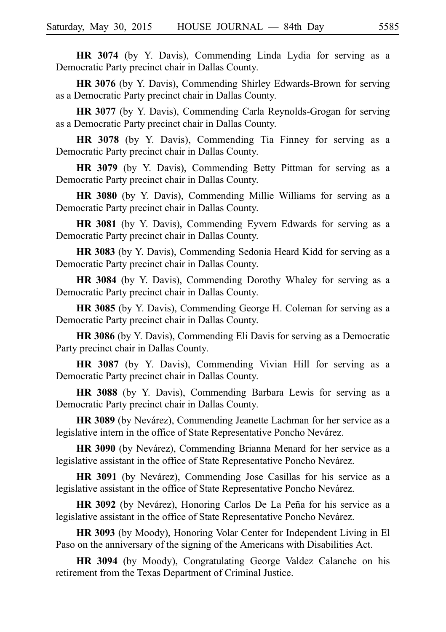**HR 3074** (by Y. Davis), Commending Linda Lydia for serving as a Democratic Party precinct chair in Dallas County.

**HR 3076** (by Y. Davis), Commending Shirley Edwards-Brown for serving as a Democratic Party precinct chair in Dallas County.

**HR 3077** (by Y. Davis), Commending Carla Reynolds-Grogan for serving as a Democratic Party precinct chair in Dallas County.

**HR 3078** (by Y. Davis), Commending Tia Finney for serving as a Democratic Party precinct chair in Dallas County.

**HR 3079** (by Y. Davis), Commending Betty Pittman for serving as a Democratic Party precinct chair in Dallas County.

**HR 3080** (by Y. Davis), Commending Millie Williams for serving as a Democratic Party precinct chair in Dallas County.

**HR 3081** (by Y. Davis), Commending Eyvern Edwards for serving as a Democratic Party precinct chair in Dallas County.

**HR 3083** (by Y. Davis), Commending Sedonia Heard Kidd for serving as a Democratic Party precinct chair in Dallas County.

**HR 3084** (by Y. Davis), Commending Dorothy Whaley for serving as a Democratic Party precinct chair in Dallas County.

**HR 3085** (by Y. Davis), Commending George H. Coleman for serving as a Democratic Party precinct chair in Dallas County.

**HR 3086** (by Y. Davis), Commending Eli Davis for serving as a Democratic Party precinct chair in Dallas County.

**HR 3087** (by Y. Davis), Commending Vivian Hill for serving as a Democratic Party precinct chair in Dallas County.

**HR 3088** (by Y. Davis), Commending Barbara Lewis for serving as a Democratic Party precinct chair in Dallas County.

**HR 3089** (by Nevárez), Commending Jeanette Lachman for her service as a legislative intern in the office of State Representative Poncho Nevárez.

**HR 3090** (by Nevárez), Commending Brianna Menard for her service as a legislative assistant in the office of State Representative Poncho Nevárez.

HR 3091 (by Nevárez), Commending Jose Casillas for his service as a legislative assistant in the office of State Representative Poncho Nevárez.

**HR 3092** (by Nevárez), Honoring Carlos De La Peña for his service as a legislative assistant in the office of State Representative Poncho Nevárez.

**HR 3093** (by Moody), Honoring Volar Center for Independent Living in El Paso on the anniversary of the signing of the Americans with Disabilities Act.

**HR 3094** (by Moody), Congratulating George Valdez Calanche on his retirement from the Texas Department of Criminal Justice.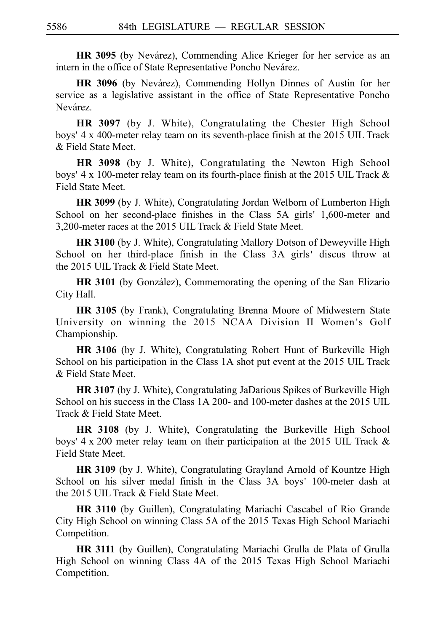**HR 3095** (by Nevárez), Commending Alice Krieger for her service as an intern in the office of State Representative Poncho Nevárez.

**HR 3096** (by Nevárez), Commending Hollyn Dinnes of Austin for her service as a legislative assistant in the office of State Representative Poncho Nevárez.

**HR 3097** (by J. White), Congratulating the Chester High School boys' 4 x 400-meter relay team on its seventh-place finish at the 2015 UIL Track & Field State Meet.

**HR 3098** (by J. White), Congratulating the Newton High School boys' 4 x 100-meter relay team on its fourth-place finish at the 2015 UIL Track  $&$ Field State Meet.

**HR 3099** (by J. White), Congratulating Jordan Welborn of Lumberton High School on her second-place finishes in the Class 5A girls' 1,600-meter and 3,200-meter races at the 2015 UIL Track & Field State Meet.

**HR 3100** (by J. White), Congratulating Mallory Dotson of Deweyville High School on her third-place finish in the Class 3A girls' discus throw at the 2015 UIL Track & Field State Meet.

**HR 3101** (by González), Commemorating the opening of the San Elizario City Hall.

**HR 3105** (by Frank), Congratulating Brenna Moore of Midwestern State University on winning the 2015 NCAA Division II Women 's Golf Championship.

**HR 3106** (by J. White), Congratulating Robert Hunt of Burkeville High School on his participation in the Class 1A shot put event at the 2015 UIL Track & Field State Meet.

**HR 3107** (by J. White), Congratulating JaDarious Spikes of Burkeville High School on his success in the Class 1A 200- and 100-meter dashes at the 2015 UIL Track & Field State Meet.

**HR 3108** (by J. White), Congratulating the Burkeville High School boys' 4 x 200 meter relay team on their participation at the 2015 UIL Track  $\&$ Field State Meet.

**HR 3109** (by J. White), Congratulating Grayland Arnold of Kountze High School on his silver medal finish in the Class 3A boys' 100-meter dash at the 2015 UIL Track & Field State Meet.

**HR 3110** (by Guillen), Congratulating Mariachi Cascabel of Rio Grande City High School on winning Class 5A of the 2015 Texas High School Mariachi Competition.

**HR 3111** (by Guillen), Congratulating Mariachi Grulla de Plata of Grulla High School on winning Class 4A of the 2015 Texas High School Mariachi Competition.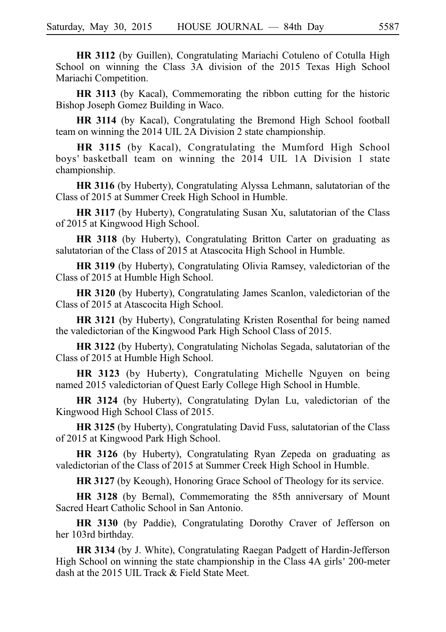**HR 3112** (by Guillen), Congratulating Mariachi Cotuleno of Cotulla High School on winning the Class 3A division of the 2015 Texas High School Mariachi Competition.

**HR 3113** (by Kacal), Commemorating the ribbon cutting for the historic Bishop Joseph Gomez Building in Waco.

**HR 3114** (by Kacal), Congratulating the Bremond High School football team on winning the 2014 UIL 2A Division 2 state championship.

**HR 3115** (by Kacal), Congratulating the Mumford High School boys' basketball team on winning the 2014 UIL 1A Division 1 state championship.

**HR 3116** (by Huberty), Congratulating Alyssa Lehmann, salutatorian of the Class of 2015 at Summer Creek High School in Humble.

**HR 3117** (by Huberty), Congratulating Susan Xu, salutatorian of the Class of 2015 at Kingwood High School.

**HR 3118** (by Huberty), Congratulating Britton Carter on graduating as salutatorian of the Class of 2015 at Atascocita High School in Humble.

**HR 3119** (by Huberty), Congratulating Olivia Ramsey, valedictorian of the Class of 2015 at Humble High School.

**HR 3120** (by Huberty), Congratulating James Scanlon, valedictorian of the Class of 2015 at Atascocita High School.

**HR 3121** (by Huberty), Congratulating Kristen Rosenthal for being named the valedictorian of the Kingwood Park High School Class of 2015.

**HR 3122** (by Huberty), Congratulating Nicholas Segada, salutatorian of the Class of 2015 at Humble High School.

**HR 3123** (by Huberty), Congratulating Michelle Nguyen on being named 2015 valedictorian of Quest Early College High School in Humble.

**HR 3124** (by Huberty), Congratulating Dylan Lu, valedictorian of the Kingwood High School Class of 2015.

**HR 3125** (by Huberty), Congratulating David Fuss, salutatorian of the Class of 2015 at Kingwood Park High School.

**HR 3126** (by Huberty), Congratulating Ryan Zepeda on graduating as valedictorian of the Class of 2015 at Summer Creek High School in Humble.

**HR 3127** (by Keough), Honoring Grace School of Theology for its service.

**HR 3128** (by Bernal), Commemorating the 85th anniversary of Mount Sacred Heart Catholic School in San Antonio.

**HR 3130** (by Paddie), Congratulating Dorothy Craver of Jefferson on her 103rd birthday.

**HR 3134** (by J. White), Congratulating Raegan Padgett of Hardin-Jefferson High School on winning the state championship in the Class 4A girls' 200-meter dash at the 2015 UIL Track & Field State Meet.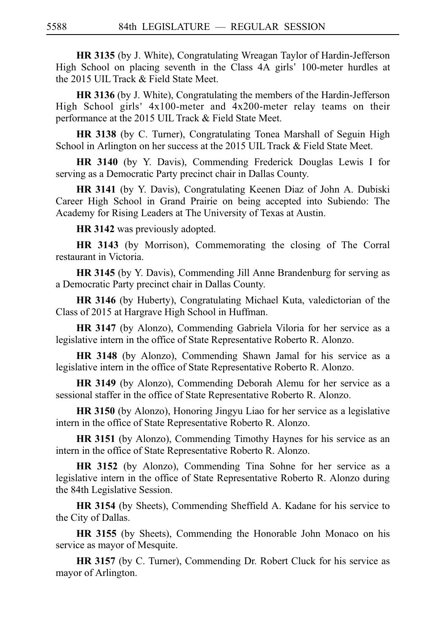**HR 3135** (by J. White), Congratulating Wreagan Taylor of Hardin-Jefferson High School on placing seventh in the Class 4A girls' 100-meter hurdles at the 2015 UIL Track & Field State Meet.

**HR 3136** (by J. White), Congratulating the members of the Hardin-Jefferson High School girls' 4x100-meter and 4x200-meter relay teams on their performance at the 2015 UIL Track & Field State Meet.

**HR 3138** (by C. Turner), Congratulating Tonea Marshall of Seguin High School in Arlington on her success at the 2015 UIL Track & Field State Meet.

**HR 3140** (by Y. Davis), Commending Frederick Douglas Lewis I for serving as a Democratic Party precinct chair in Dallas County.

**HR 3141** (by Y. Davis), Congratulating Keenen Diaz of John A. Dubiski Career High School in Grand Prairie on being accepted into Subiendo: The Academy for Rising Leaders at The University of Texas at Austin.

**HR 3142** was previously adopted.

**HR 3143** (by Morrison), Commemorating the closing of The Corral restaurant in Victoria.

**HR 3145** (by Y. Davis), Commending Jill Anne Brandenburg for serving as a Democratic Party precinct chair in Dallas County.

**HR 3146** (by Huberty), Congratulating Michael Kuta, valedictorian of the Class of 2015 at Hargrave High School in Huffman.

**HR 3147** (by Alonzo), Commending Gabriela Viloria for her service as a legislative intern in the office of State Representative Roberto R. Alonzo.

**HR 3148** (by Alonzo), Commending Shawn Jamal for his service as a legislative intern in the office of State Representative Roberto R. Alonzo.

**HR 3149** (by Alonzo), Commending Deborah Alemu for her service as a sessional staffer in the office of State Representative Roberto R. Alonzo.

**HR 3150** (by Alonzo), Honoring Jingyu Liao for her service as a legislative intern in the office of State Representative Roberto R. Alonzo.

**HR 3151** (by Alonzo), Commending Timothy Haynes for his service as an intern in the office of State Representative Roberto R. Alonzo.

**HR 3152** (by Alonzo), Commending Tina Sohne for her service as a legislative intern in the office of State Representative Roberto R. Alonzo during the 84th Legislative Session.

**HR 3154** (by Sheets), Commending Sheffield A. Kadane for his service to the City of Dallas.

**HR 3155** (by Sheets), Commending the Honorable John Monaco on his service as mayor of Mesquite.

**HR 3157** (by C. Turner), Commending Dr. Robert Cluck for his service as mayor of Arlington.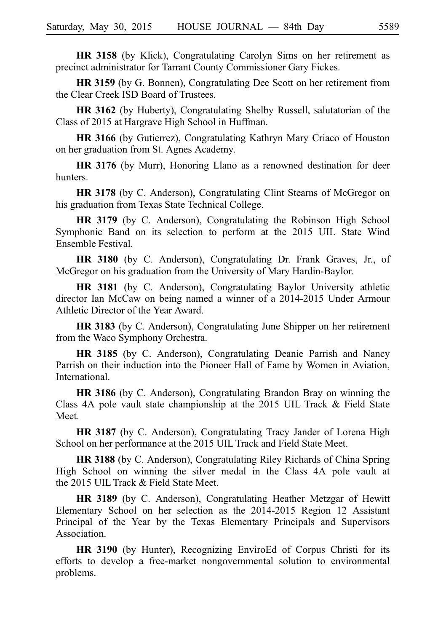**HR 3158** (by Klick), Congratulating Carolyn Sims on her retirement as precinct administrator for Tarrant County Commissioner Gary Fickes.

**HR 3159** (by G. Bonnen), Congratulating Dee Scott on her retirement from the Clear Creek ISD Board of Trustees.

**HR 3162** (by Huberty), Congratulating Shelby Russell, salutatorian of the Class of 2015 at Hargrave High School in Huffman.

**HR 3166** (by Gutierrez), Congratulating Kathryn Mary Criaco of Houston on her graduation from St. Agnes Academy.

**HR 3176** (by Murr), Honoring Llano as a renowned destination for deer hunters.

**HR 3178** (by C. Anderson), Congratulating Clint Stearns of McGregor on his graduation from Texas State Technical College.

**HR 3179** (by C. Anderson), Congratulating the Robinson High School Symphonic Band on its selection to perform at the 2015 UIL State Wind Ensemble Festival.

**HR 3180** (by C. Anderson), Congratulating Dr. Frank Graves, Jr., of McGregor on his graduation from the University of Mary Hardin-Baylor.

**HR 3181** (by C. Anderson), Congratulating Baylor University athletic director Ian McCaw on being named a winner of a 2014-2015 Under Armour Athletic Director of the Year Award.

**HR 3183** (by C. Anderson), Congratulating June Shipper on her retirement from the Waco Symphony Orchestra.

**HR 3185** (by C. Anderson), Congratulating Deanie Parrish and Nancy Parrish on their induction into the Pioneer Hall of Fame by Women in Aviation, International.

**HR 3186** (by C. Anderson), Congratulating Brandon Bray on winning the Class 4A pole vault state championship at the 2015 UIL Track & Field State Meet.

**HR 3187** (by C. Anderson), Congratulating Tracy Jander of Lorena High School on her performance at the 2015 UIL Track and Field State Meet.

**HR 3188** (by C. Anderson), Congratulating Riley Richards of China Spring High School on winning the silver medal in the Class 4A pole vault at the 2015 UIL Track & Field State Meet.

**HR 3189** (by C. Anderson), Congratulating Heather Metzgar of Hewitt Elementary School on her selection as the 2014-2015 Region 12 Assistant Principal of the Year by the Texas Elementary Principals and Supervisors Association.

**HR 3190** (by Hunter), Recognizing EnviroEd of Corpus Christi for its efforts to develop a free-market nongovernmental solution to environmental problems.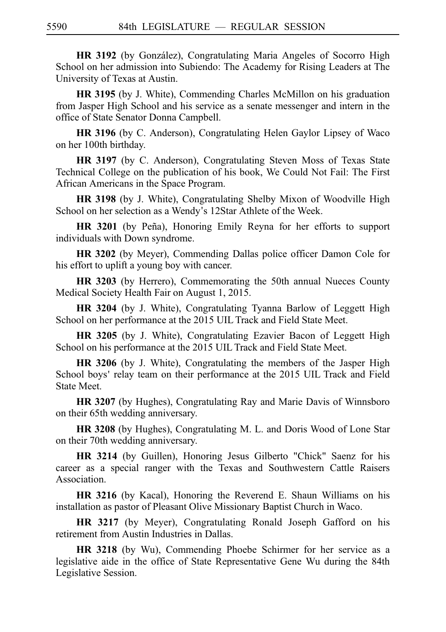**HR 3192** (by González), Congratulating Maria Angeles of Socorro High School on her admission into Subiendo: The Academy for Rising Leaders at The University of Texas at Austin.

**HR 3195** (by J. White), Commending Charles McMillon on his graduation from Jasper High School and his service as a senate messenger and intern in the office of State Senator Donna Campbell.

**HR 3196** (by C. Anderson), Congratulating Helen Gaylor Lipsey of Waco on her 100th birthday.

**HR 3197** (by C. Anderson), Congratulating Steven Moss of Texas State Technical College on the publication of his book, We Could Not Fail: The First African Americans in the Space Program.

**HR 3198** (by J. White), Congratulating Shelby Mixon of Woodville High School on her selection as a Wendy's 12Star Athlete of the Week.

HR 3201 (by Peña), Honoring Emily Reyna for her efforts to support individuals with Down syndrome.

**HR 3202** (by Meyer), Commending Dallas police officer Damon Cole for his effort to uplift a young boy with cancer.

**HR 3203** (by Herrero), Commemorating the 50th annual Nueces County Medical Society Health Fair on August 1, 2015.

**HR 3204** (by J. White), Congratulating Tyanna Barlow of Leggett High School on her performance at the 2015 UIL Track and Field State Meet.

**HR 3205** (by J. White), Congratulating Ezavier Bacon of Leggett High School on his performance at the 2015 UIL Track and Field State Meet.

**HR 3206** (by J. White), Congratulating the members of the Jasper High School boys' relay team on their performance at the 2015 UIL Track and Field State Meet.

**HR 3207** (by Hughes), Congratulating Ray and Marie Davis of Winnsboro on their 65th wedding anniversary.

**HR 3208** (by Hughes), Congratulating M. L. and Doris Wood of Lone Star on their 70th wedding anniversary.

**HR 3214** (by Guillen), Honoring Jesus Gilberto "Chick" Saenz for his career as a special ranger with the Texas and Southwestern Cattle Raisers Association.

**HR 3216** (by Kacal), Honoring the Reverend E. Shaun Williams on his installation as pastor of Pleasant Olive Missionary Baptist Church in Waco.

**HR 3217** (by Meyer), Congratulating Ronald Joseph Gafford on his retirement from Austin Industries in Dallas.

**HR 3218** (by Wu), Commending Phoebe Schirmer for her service as a legislative aide in the office of State Representative Gene Wu during the 84th Legislative Session.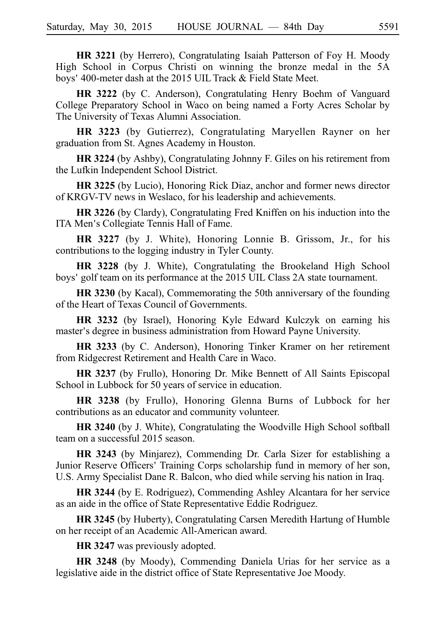**HR 3221** (by Herrero), Congratulating Isaiah Patterson of Foy H. Moody High School in Corpus Christi on winning the bronze medal in the 5A boys' 400-meter dash at the 2015 UIL Track & Field State Meet.

**HR 3222** (by C. Anderson), Congratulating Henry Boehm of Vanguard College Preparatory School in Waco on being named a Forty Acres Scholar by The University of Texas Alumni Association.

**HR 3223** (by Gutierrez), Congratulating Maryellen Rayner on her graduation from St. Agnes Academy in Houston.

**HR 3224** (by Ashby), Congratulating Johnny F. Giles on his retirement from the Lufkin Independent School District.

**HR 3225** (by Lucio), Honoring Rick Diaz, anchor and former news director of KRGV-TV news in Weslaco, for his leadership and achievements.

**HR 3226** (by Clardy), Congratulating Fred Kniffen on his induction into the ITA Men's Collegiate Tennis Hall of Fame.

**HR 3227** (by J. White), Honoring Lonnie B. Grissom, Jr., for his contributions to the logging industry in Tyler County.

**HR 3228** (by J. White), Congratulating the Brookeland High School boys' golf team on its performance at the 2015 UIL Class 2A state tournament.

**HR 3230** (by Kacal), Commemorating the 50th anniversary of the founding of the Heart of Texas Council of Governments.

**HR 3232** (by Israel), Honoring Kyle Edward Kulczyk on earning his master's degree in business administration from Howard Payne University.

**HR 3233** (by C. Anderson), Honoring Tinker Kramer on her retirement from Ridgecrest Retirement and Health Care in Waco.

**HR 3237** (by Frullo), Honoring Dr. Mike Bennett of All Saints Episcopal School in Lubbock for 50 years of service in education.

**HR 3238** (by Frullo), Honoring Glenna Burns of Lubbock for her contributions as an educator and community volunteer.

**HR 3240** (by J. White), Congratulating the Woodville High School softball team on a successful 2015 season.

**HR 3243** (by Minjarez), Commending Dr. Carla Sizer for establishing a Junior Reserve Officers' Training Corps scholarship fund in memory of her son, U.S. Army Specialist Dane R. Balcon, who died while serving his nation in Iraq.

**HR 3244** (by E. Rodriguez), Commending Ashley Alcantara for her service as an aide in the office of State Representative Eddie Rodriguez.

**HR 3245** (by Huberty), Congratulating Carsen Meredith Hartung of Humble on her receipt of an Academic All-American award.

**HR 3247** was previously adopted.

**HR 3248** (by Moody), Commending Daniela Urias for her service as a legislative aide in the district office of State Representative Joe Moody.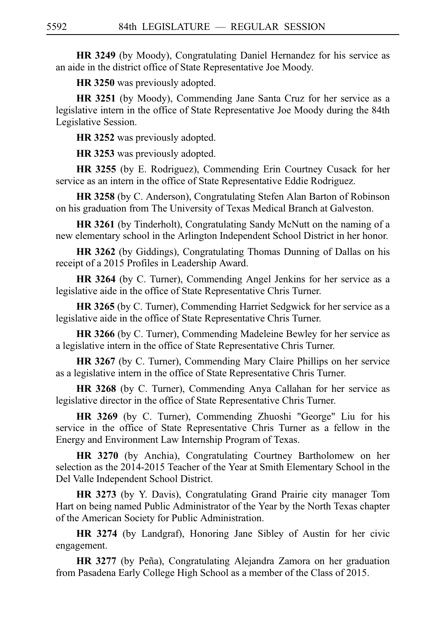**HR 3249** (by Moody), Congratulating Daniel Hernandez for his service as an aide in the district office of State Representative Joe Moody.

**HR 3250** was previously adopted.

**HR 3251** (by Moody), Commending Jane Santa Cruz for her service as a legislative intern in the office of State Representative Joe Moody during the 84th Legislative Session.

**HR 3252** was previously adopted.

**HR 3253** was previously adopted.

**HR 3255** (by E. Rodriguez), Commending Erin Courtney Cusack for her service as an intern in the office of State Representative Eddie Rodriguez.

**HR 3258** (by C. Anderson), Congratulating Stefen Alan Barton of Robinson on his graduation from The University of Texas Medical Branch at Galveston.

**HR 3261** (by Tinderholt), Congratulating Sandy McNutt on the naming of a new elementary school in the Arlington Independent School District in her honor.

**HR 3262** (by Giddings), Congratulating Thomas Dunning of Dallas on his receipt of a 2015 Profiles in Leadership Award.

**HR 3264** (by C. Turner), Commending Angel Jenkins for her service as a legislative aide in the office of State Representative Chris Turner.

**HR 3265** (by C. Turner), Commending Harriet Sedgwick for her service as a legislative aide in the office of State Representative Chris Turner.

**HR 3266** (by C. Turner), Commending Madeleine Bewley for her service as a legislative intern in the office of State Representative Chris Turner.

**HR 3267** (by C. Turner), Commending Mary Claire Phillips on her service as a legislative intern in the office of State Representative Chris Turner.

**HR 3268** (by C. Turner), Commending Anya Callahan for her service as legislative director in the office of State Representative Chris Turner.

**HR 3269** (by C. Turner), Commending Zhuoshi "George" Liu for his service in the office of State Representative Chris Turner as a fellow in the Energy and Environment Law Internship Program of Texas.

**HR 3270** (by Anchia), Congratulating Courtney Bartholomew on her selection as the 2014-2015 Teacher of the Year at Smith Elementary School in the Del Valle Independent School District.

**HR 3273** (by Y. Davis), Congratulating Grand Prairie city manager Tom Hart on being named Public Administrator of the Year by the North Texas chapter of the American Society for Public Administration.

**HR 3274** (by Landgraf), Honoring Jane Sibley of Austin for her civic engagement.

HR 3277 (by Peña), Congratulating Alejandra Zamora on her graduation from Pasadena Early College High School as a member of the Class of 2015.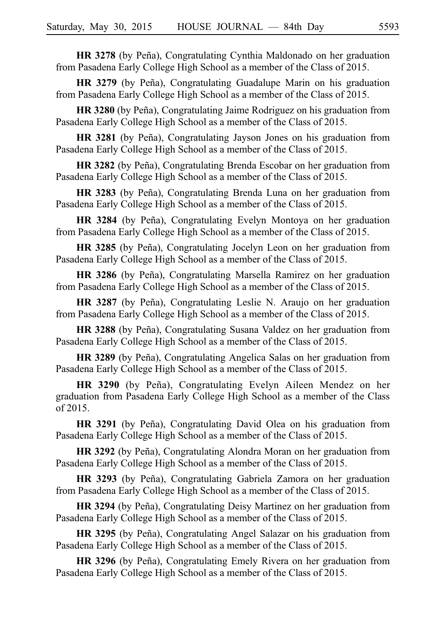**HR 3278** (by Peña), Congratulating Cynthia Maldonado on her graduation from Pasadena Early College High School as a member of the Class of 2015.

**HR 3279** (by Peña), Congratulating Guadalupe Marin on his graduation from Pasadena Early College High School as a member of the Class of 2015.

**HR 3280** (by Peña), Congratulating Jaime Rodriguez on his graduation from Pasadena Early College High School as a member of the Class of 2015.

**HR 3281** (by Peña), Congratulating Jayson Jones on his graduation from Pasadena Early College High School as a member of the Class of 2015.

**HR 3282** (by Peña), Congratulating Brenda Escobar on her graduation from Pasadena Early College High School as a member of the Class of 2015.

HR 3283 (by Peña), Congratulating Brenda Luna on her graduation from Pasadena Early College High School as a member of the Class of 2015.

**HR 3284** (by Peña), Congratulating Evelyn Montoya on her graduation from Pasadena Early College High School as a member of the Class of 2015.

**HR 3285** (by Peña), Congratulating Jocelyn Leon on her graduation from Pasadena Early College High School as a member of the Class of 2015.

**HR 3286** (by Peña), Congratulating Marsella Ramirez on her graduation from Pasadena Early College High School as a member of the Class of 2015.

HR 3287 (by Peña), Congratulating Leslie N. Araujo on her graduation from Pasadena Early College High School as a member of the Class of 2015.

**HR 3288** (by Peña), Congratulating Susana Valdez on her graduation from Pasadena Early College High School as a member of the Class of 2015.

**HR 3289** (by Peña), Congratulating Angelica Salas on her graduation from Pasadena Early College High School as a member of the Class of 2015.

**HR 3290** (by Peña), Congratulating Evelyn Aileen Mendez on her graduation from Pasadena Early College High School as a member of the Class of 2015.

**HR 3291** (by Peña), Congratulating David Olea on his graduation from Pasadena Early College High School as a member of the Class of 2015.

**HR 3292** (by Peña), Congratulating Alondra Moran on her graduation from Pasadena Early College High School as a member of the Class of 2015.

**HR 3293** (by Peña), Congratulating Gabriela Zamora on her graduation from Pasadena Early College High School as a member of the Class of 2015.

**HR 3294** (by Peña), Congratulating Deisy Martinez on her graduation from Pasadena Early College High School as a member of the Class of 2015.

**HR 3295** (by Peña), Congratulating Angel Salazar on his graduation from Pasadena Early College High School as a member of the Class of 2015.

HR 3296 (by Peña), Congratulating Emely Rivera on her graduation from Pasadena Early College High School as a member of the Class of 2015.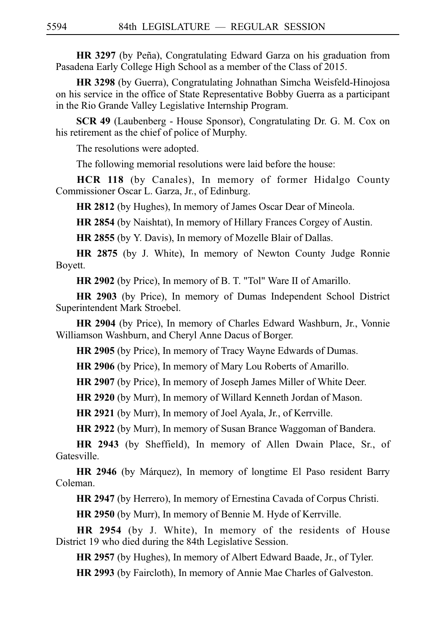**HR 3297** (by Peña), Congratulating Edward Garza on his graduation from Pasadena Early College High School as a member of the Class of 2015.

**HR 3298** (by Guerra), Congratulating Johnathan Simcha Weisfeld-Hinojosa on his service in the office of State Representative Bobby Guerra as a participant in the Rio Grande Valley Legislative Internship Program.

**SCR 49** (Laubenberg - House Sponsor), Congratulating Dr. G. M. Cox on his retirement as the chief of police of Murphy.

The resolutions were adopted.

The following memorial resolutions were laid before the house:

**HCR 118** (by Canales), In memory of former Hidalgo County Commissioner Oscar L. Garza, Jr., of Edinburg.

**HR 2812** (by Hughes), In memory of James Oscar Dear of Mineola.

**HR 2854** (by Naishtat), In memory of Hillary Frances Corgey of Austin.

**HR 2855** (by Y. Davis), In memory of Mozelle Blair of Dallas.

**HR 2875** (by J. White), In memory of Newton County Judge Ronnie Boyett.

**HR 2902** (by Price), In memory of B. T. "Tol" Ware II of Amarillo.

**HR 2903** (by Price), In memory of Dumas Independent School District Superintendent Mark Stroebel.

**HR 2904** (by Price), In memory of Charles Edward Washburn, Jr., Vonnie Williamson Washburn, and Cheryl Anne Dacus of Borger.

**HR 2905** (by Price), In memory of Tracy Wayne Edwards of Dumas.

**HR 2906** (by Price), In memory of Mary Lou Roberts of Amarillo.

**HR 2907** (by Price), In memory of Joseph James Miller of White Deer.

**HR 2920** (by Murr), In memory of Willard Kenneth Jordan of Mason.

**HR 2921** (by Murr), In memory of Joel Ayala, Jr., of Kerrville.

**HR 2922** (by Murr), In memory of Susan Brance Waggoman of Bandera.

**HR 2943** (by Sheffield), In memory of Allen Dwain Place, Sr., of Gatesville.

**HR 2946** (by Márquez), In memory of longtime El Paso resident Barry Coleman.

**HR 2947** (by Herrero), In memory of Ernestina Cavada of Corpus Christi.

**HR 2950** (by Murr), In memory of Bennie M. Hyde of Kerrville.

**HR 2954** (by J. White), In memory of the residents of House District 19 who died during the 84th Legislative Session.

**HR 2957** (by Hughes), In memory of Albert Edward Baade, Jr., of Tyler.

**HR 2993** (by Faircloth), In memory of Annie Mae Charles of Galveston.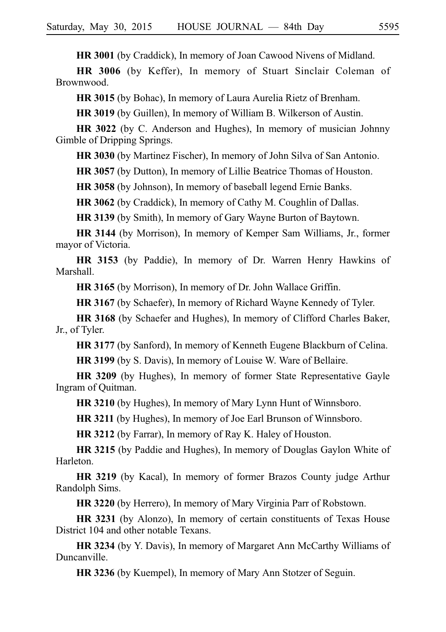**HR 3001** (by Craddick), In memory of Joan Cawood Nivens of Midland.

**HR 3006** (by Keffer), In memory of Stuart Sinclair Coleman of Brownwood.

**HR 3015** (by Bohac), In memory of Laura Aurelia Rietz of Brenham.

**HR 3019** (by Guillen), In memory of William B. Wilkerson of Austin.

**HR 3022** (by C. Anderson and Hughes), In memory of musician Johnny Gimble of Dripping Springs.

**HR 3030** (by Martinez Fischer), In memory of John Silva of San Antonio.

**HR 3057** (by Dutton), In memory of Lillie Beatrice Thomas of Houston.

**HR 3058** (by Johnson), In memory of baseball legend Ernie Banks.

**HR 3062** (by Craddick), In memory of Cathy M. Coughlin of Dallas.

**HR 3139** (by Smith), In memory of Gary Wayne Burton of Baytown.

**HR 3144** (by Morrison), In memory of Kemper Sam Williams, Jr., former mayor of Victoria.

**HR 3153** (by Paddie), In memory of Dr. Warren Henry Hawkins of Marshall.

**HR 3165** (by Morrison), In memory of Dr. John Wallace Griffin.

**HR 3167** (by Schaefer), In memory of Richard Wayne Kennedy of Tyler.

**HR 3168** (by Schaefer and Hughes), In memory of Clifford Charles Baker, Jr., of Tyler.

**HR 3177** (by Sanford), In memory of Kenneth Eugene Blackburn of Celina.

**HR 3199** (by S. Davis), In memory of Louise W. Ware of Bellaire.

**HR 3209** (by Hughes), In memory of former State Representative Gayle Ingram of Quitman.

**HR 3210** (by Hughes), In memory of Mary Lynn Hunt of Winnsboro.

**HR 3211** (by Hughes), In memory of Joe Earl Brunson of Winnsboro.

**HR 3212** (by Farrar), In memory of Ray K. Haley of Houston.

**HR 3215** (by Paddie and Hughes), In memory of Douglas Gaylon White of Harleton.

**HR 3219** (by Kacal), In memory of former Brazos County judge Arthur Randolph Sims.

**HR 3220** (by Herrero), In memory of Mary Virginia Parr of Robstown.

**HR 3231** (by Alonzo), In memory of certain constituents of Texas House District 104 and other notable Texans.

**HR 3234** (by Y. Davis), In memory of Margaret Ann McCarthy Williams of Duncanville.

**HR 3236** (by Kuempel), In memory of Mary Ann Stotzer of Seguin.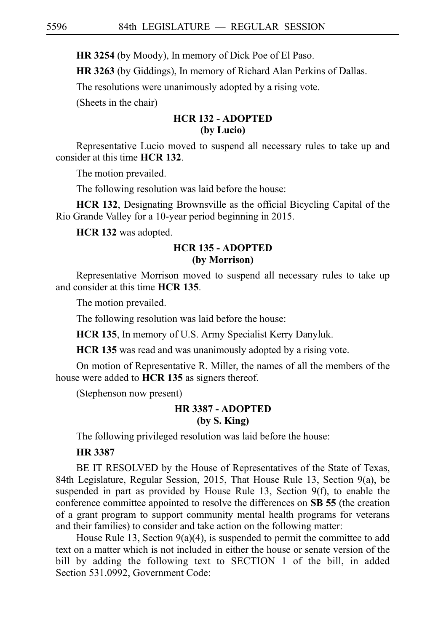**HR 3254** (by Moody), In memory of Dick Poe of El Paso.

**HR 3263** (by Giddings), In memory of Richard Alan Perkins of Dallas.

The resolutions were unanimously adopted by a rising vote.

(Sheets in the chair)

# **HCR 132 - ADOPTED (by Lucio)**

Representative Lucio moved to suspend all necessary rules to take up and consider at this time **HCR 132**.

The motion prevailed.

The following resolution was laid before the house:

**HCR 132**, Designating Brownsville as the official Bicycling Capital of the Rio Grande Valley for a 10-year period beginning in 2015.

**HCR 132** was adopted.

# **HCR 135 - ADOPTED (by Morrison)**

Representative Morrison moved to suspend all necessary rules to take up and consider at this time **HCR 135**.

The motion prevailed.

The following resolution was laid before the house:

**HCR 135**, In memory of U.S. Army Specialist Kerry Danyluk.

**HCR 135** was read and was unanimously adopted by a rising vote.

On motion of Representative R. Miller, the names of all the members of the house were added to **HCR 135** as signers thereof.

(Stephenson now present)

## **HR 3387 - ADOPTED (by S. King)**

The following privileged resolution was laid before the house:

# **HR 3387**

BE IT RESOLVED by the House of Representatives of the State of Texas, 84th Legislature, Regular Session, 2015, That House Rule 13, Section 9(a), be suspended in part as provided by House Rule 13, Section 9(f), to enable the conference committee appointed to resolve the differences on SB 55 (the creation of a grant program to support community mental health programs for veterans and their families) to consider and take action on the following matter:

House Rule 13, Section 9(a)(4), is suspended to permit the committee to add text on a matter which is not included in either the house or senate version of the bill by adding the following text to SECTION 1 of the bill, in added Section 531.0992, Government Code: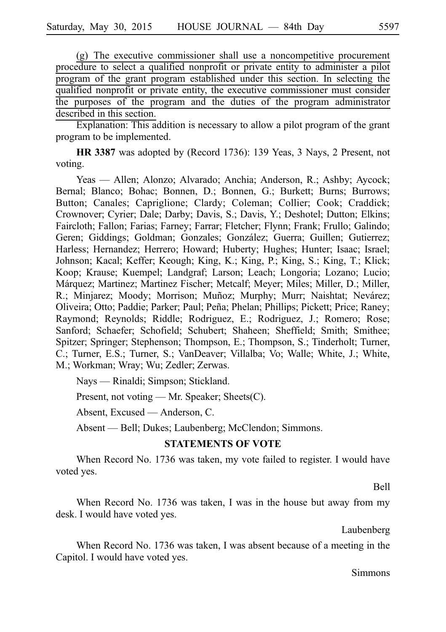$(g)$  The executive commissioner shall use a noncompetitive procurement procedure to select a qualified nonprofit or private entity to administer a pilot program of the grant program established under this section. In selecting the qualified nonprofit or private entity, the executive commissioner must consider the purposes of the program and the duties of the program administrator described in this section.

Explanation: This addition is necessary to allow a pilot program of the grant program to be implemented.

**HR 3387** was adopted by (Record 1736): 139 Yeas, 3 Nays, 2 Present, not voting.

Yeas — Allen; Alonzo; Alvarado; Anchia; Anderson, R.; Ashby; Aycock; Bernal; Blanco; Bohac; Bonnen, D.; Bonnen, G.; Burkett; Burns; Burrows; Button; Canales; Capriglione; Clardy; Coleman; Collier; Cook; Craddick; Crownover; Cyrier; Dale; Darby; Davis, S.; Davis, Y.; Deshotel; Dutton; Elkins; Faircloth; Fallon; Farias; Farney; Farrar; Fletcher; Flynn; Frank; Frullo; Galindo; Geren; Giddings; Goldman; Gonzales; González; Guerra; Guillen; Gutierrez; Harless; Hernandez; Herrero; Howard; Huberty; Hughes; Hunter; Isaac; Israel; Johnson; Kacal; Keffer; Keough; King, K.; King, P.; King, S.; King, T.; Klick; Koop; Krause; Kuempel; Landgraf; Larson; Leach; Longoria; Lozano; Lucio; Márquez; Martinez; Martinez Fischer; Metcalf; Meyer; Miles; Miller, D.; Miller, R.; Minjarez; Moody; Morrison; Muñoz; Murphy; Murr; Naishtat; Nevárez; Oliveira; Otto; Paddie; Parker; Paul; Pen˜a; Phelan; Phillips; Pickett; Price; Raney; Raymond; Reynolds; Riddle; Rodriguez, E.; Rodriguez, J.; Romero; Rose; Sanford; Schaefer; Schofield; Schubert; Shaheen; Sheffield; Smith; Smithee; Spitzer; Springer; Stephenson; Thompson, E.; Thompson, S.; Tinderholt; Turner, C.; Turner, E.S.; Turner, S.; VanDeaver; Villalba; Vo; Walle; White, J.; White, M.; Workman; Wray; Wu; Zedler; Zerwas.

Nays — Rinaldi; Simpson; Stickland.

Present, not voting — Mr. Speaker; Sheets(C).

Absent, Excused — Anderson, C.

Absent — Bell; Dukes; Laubenberg; McClendon; Simmons.

#### **STATEMENTS OF VOTE**

When Record No. 1736 was taken, my vote failed to register. I would have voted yes.

Bell

When Record No. 1736 was taken, I was in the house but away from my desk. I would have voted yes.

Laubenberg

When Record No. 1736 was taken, I was absent because of a meeting in the Capitol. I would have voted yes.

Simmons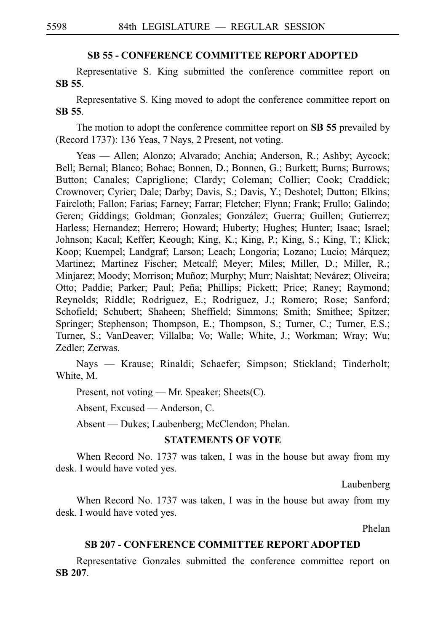#### **SB 55 - CONFERENCE COMMITTEE REPORT ADOPTED**

Representative S. King submitted the conference committee report on **SBi55**.

Representative S. King moved to adopt the conference committee report on **SBi55**.

The motion to adopt the conference committee report on **SB 55** prevailed by (Record 1737): 136 Yeas, 7 Nays, 2 Present, not voting.

Yeas — Allen; Alonzo; Alvarado; Anchia; Anderson, R.; Ashby; Aycock; Bell; Bernal; Blanco; Bohac; Bonnen, D.; Bonnen, G.; Burkett; Burns; Burrows; Button; Canales; Capriglione; Clardy; Coleman; Collier; Cook; Craddick; Crownover; Cyrier; Dale; Darby; Davis, S.; Davis, Y.; Deshotel; Dutton; Elkins; Faircloth; Fallon; Farias; Farney; Farrar; Fletcher; Flynn; Frank; Frullo; Galindo; Geren; Giddings; Goldman; Gonzales; González; Guerra; Guillen; Gutierrez; Harless; Hernandez; Herrero; Howard; Huberty; Hughes; Hunter; Isaac; Israel; Johnson; Kacal; Keffer; Keough; King, K.; King, P.; King, S.; King, T.; Klick; Koop; Kuempel; Landgraf; Larson; Leach; Longoria; Lozano; Lucio; Márquez; Martinez; Martinez Fischer; Metcalf; Meyer; Miles; Miller, D.; Miller, R.; Minjarez; Moody; Morrison; Muñoz; Murphy; Murr; Naishtat; Nevárez; Oliveira; Otto; Paddie; Parker; Paul; Peña; Phillips; Pickett; Price; Raney; Raymond; Reynolds; Riddle; Rodriguez, E.; Rodriguez, J.; Romero; Rose; Sanford; Schofield; Schubert; Shaheen; Sheffield; Simmons; Smith; Smithee; Spitzer; Springer; Stephenson; Thompson, E.; Thompson, S.; Turner, C.; Turner, E.S.; Turner, S.; VanDeaver; Villalba; Vo; Walle; White, J.; Workman; Wray; Wu; Zedler; Zerwas.

Nays — Krause; Rinaldi; Schaefer; Simpson; Stickland; Tinderholt; White, M.

Present, not voting — Mr. Speaker; Sheets(C).

Absent, Excused — Anderson, C.

Absent — Dukes; Laubenberg; McClendon; Phelan.

#### **STATEMENTS OF VOTE**

When Record No. 1737 was taken, I was in the house but away from my desk. I would have voted yes.

Laubenberg

When Record No. 1737 was taken, I was in the house but away from my desk. I would have voted yes.

Phelan

## **SB 207 - CONFERENCE COMMITTEE REPORT ADOPTED**

Representative Gonzales submitted the conference committee report on **SBi207**.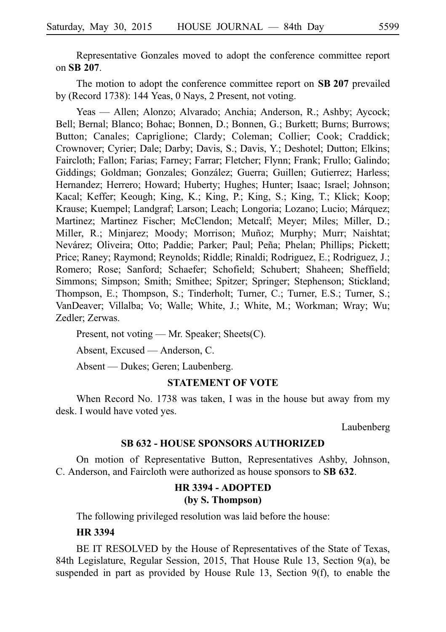Representative Gonzales moved to adopt the conference committee report on **SBi207**.

The motion to adopt the conference committee report on **SB 207** prevailed by (Record 1738): 144 Yeas, 0 Nays, 2 Present, not voting.

Yeas — Allen; Alonzo; Alvarado; Anchia; Anderson, R.; Ashby; Aycock; Bell; Bernal; Blanco; Bohac; Bonnen, D.; Bonnen, G.; Burkett; Burns; Burrows; Button; Canales; Capriglione; Clardy; Coleman; Collier; Cook; Craddick; Crownover; Cyrier; Dale; Darby; Davis, S.; Davis, Y.; Deshotel; Dutton; Elkins; Faircloth; Fallon; Farias; Farney; Farrar; Fletcher; Flynn; Frank; Frullo; Galindo; Giddings; Goldman; Gonzales; González; Guerra; Guillen; Gutierrez; Harless; Hernandez; Herrero; Howard; Huberty; Hughes; Hunter; Isaac; Israel; Johnson; Kacal; Keffer; Keough; King, K.; King, P.; King, S.; King, T.; Klick; Koop; Krause; Kuempel; Landgraf; Larson; Leach; Longoria; Lozano; Lucio; Márquez; Martinez; Martinez Fischer; McClendon; Metcalf; Meyer; Miles; Miller, D.; Miller, R.; Minjarez; Moody; Morrison; Muñoz; Murphy; Murr; Naishtat; Nevárez; Oliveira; Otto; Paddie; Parker; Paul; Peña; Phelan; Phillips; Pickett; Price; Raney; Raymond; Reynolds; Riddle; Rinaldi; Rodriguez, E.; Rodriguez, J.; Romero; Rose; Sanford; Schaefer; Schofield; Schubert; Shaheen; Sheffield; Simmons; Simpson; Smith; Smithee; Spitzer; Springer; Stephenson; Stickland; Thompson, E.; Thompson, S.; Tinderholt; Turner, C.; Turner, E.S.; Turner, S.; VanDeaver; Villalba; Vo; Walle; White, J.; White, M.; Workman; Wray; Wu; Zedler; Zerwas.

Present, not voting — Mr. Speaker; Sheets(C).

Absent, Excused — Anderson, C.

Absent — Dukes; Geren; Laubenberg.

#### **STATEMENT OF VOTE**

When Record No. 1738 was taken, I was in the house but away from my desk. I would have voted yes.

Laubenberg

#### **SB 632 - HOUSE SPONSORS AUTHORIZED**

On motion of Representative Button, Representatives Ashby, Johnson, C. Anderson, and Faircloth were authorized as house sponsors to **SB 632**.

# **HR 3394 - ADOPTED (by S. Thompson)**

The following privileged resolution was laid before the house:

## **HR 3394**

BE IT RESOLVED by the House of Representatives of the State of Texas, 84th Legislature, Regular Session, 2015, That House Rule 13, Section 9(a), be suspended in part as provided by House Rule 13, Section 9(f), to enable the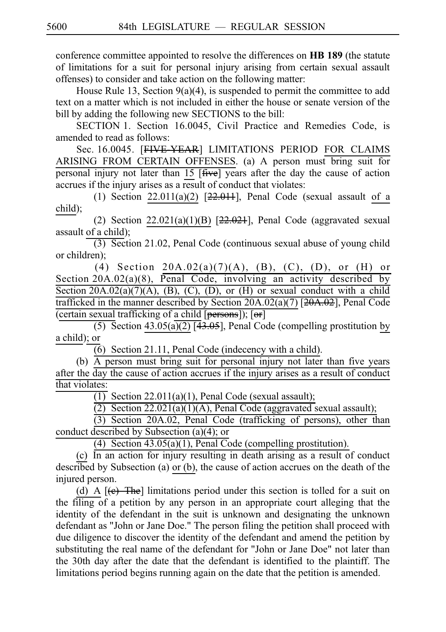conference committee appointed to resolve the differences on **HBi189** (the statute of limitations for a suit for personal injury arising from certain sexual assault offenses) to consider and take action on the following matter:

House Rule 13, Section  $9(a)(4)$ , is suspended to permit the committee to add text on a matter which is not included in either the house or senate version of the bill by adding the following new SECTIONS to the bill:

SECTION 1. Section 16.0045, Civil Practice and Remedies Code, is amended to read as follows:

Sec. 16.0045. [FIVE-YEAR] LIMITATIONS PERIOD FOR CLAIMS ARISING FROM CERTAIN OFFENSES. (a) A person must bring suit for personal injury not later than 15 [five] years after the day the cause of action accrues if the injury arises as a result of conduct that violates:

(1) Section  $22.011(a)(2)$  [ $22.011$ ], Penal Code (sexual assault of a child);

(2) Section  $22.021(a)(1)(B)$  [ $22.021$ ], Penal Code (aggravated sexual assault of a child);

 $(3)$  Section 21.02, Penal Code (continuous sexual abuse of young child or children);

(4) Section  $20A.02(a)(7)(A)$ , (B), (C), (D), or (H) or Section  $20A.02(a)(8)$ , Penal Code, involving an activity described by Section  $20A.02(a)(7)(A)$ , (B), (C), (D), or (H) or sexual conduct with a child trafficked in the manner described by Section  $20A.02(a)(7)$  [ $20A.02$ ], Penal Code (certain sexual trafficking of a child  $[\overline{\text{persons}}]$ );  $[\overline{\text{or}}]$ 

 $\overline{(5)}$  Section 43.05(a)(2) [43.05], Penal Code (compelling prostitution by a child); or

 $\overline{(6)}$  Section 21.11, Penal Code (indecency with a child).

(b)  $\overrightarrow{A}$  person must bring suit for personal injury not later than five years after the day the cause of action accrues if the injury arises as a result of conduct that violates:

 $\overline{(1)}$  Section 22.011(a)(1), Penal Code (sexual assault);

(2) Section  $22.021(a)(1)(A)$ , Penal Code (aggravated sexual assault);

(3) Section 20A.02, Penal Code (trafficking of persons), other than conduct described by Subsection (a)(4); or

(4) Section  $43.05(a)(1)$ , Penal Code (compelling prostitution).

 $(c)$  In an action for injury resulting in death arising as a result of conduct described by Subsection (a) or (b), the cause of action accrues on the death of the injured person.

(d) A  $[\text{e}$ ) The] limitations period under this section is tolled for a suit on the filing of a petition by any person in an appropriate court alleging that the identity of the defendant in the suit is unknown and designating the unknown defendant as "John or Jane Doe." The person filing the petition shall proceed with due diligence to discover the identity of the defendant and amend the petition by substituting the real name of the defendant for "John or Jane Doe" not later than the 30th day after the date that the defendant is identified to the plaintiff. The limitations period begins running again on the date that the petition is amended.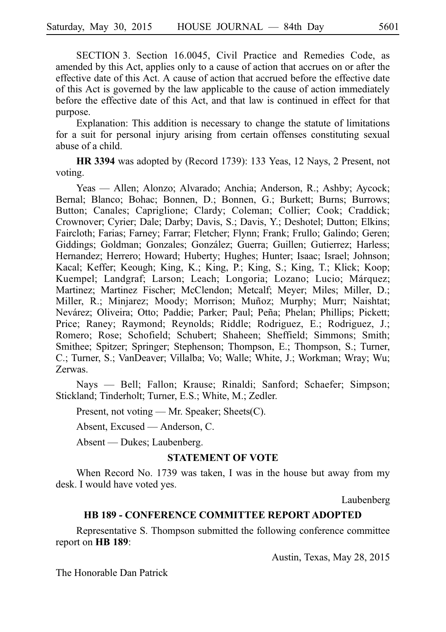SECTION 3. Section 16.0045, Civil Practice and Remedies Code, as amended by this Act, applies only to a cause of action that accrues on or after the effective date of this Act. A cause of action that accrued before the effective date of this Act is governed by the law applicable to the cause of action immediately before the effective date of this Act, and that law is continued in effect for that purpose.

Explanation: This addition is necessary to change the statute of limitations for a suit for personal injury arising from certain offenses constituting sexual abuse of a child.

**HR 3394** was adopted by (Record 1739): 133 Yeas, 12 Nays, 2 Present, not voting.

Yeas — Allen; Alonzo; Alvarado; Anchia; Anderson, R.; Ashby; Aycock; Bernal; Blanco; Bohac; Bonnen, D.; Bonnen, G.; Burkett; Burns; Burrows; Button; Canales; Capriglione; Clardy; Coleman; Collier; Cook; Craddick; Crownover; Cyrier; Dale; Darby; Davis, S.; Davis, Y.; Deshotel; Dutton; Elkins; Faircloth; Farias; Farney; Farrar; Fletcher; Flynn; Frank; Frullo; Galindo; Geren; Giddings; Goldman; Gonzales; González; Guerra; Guillen; Gutierrez; Harless; Hernandez; Herrero; Howard; Huberty; Hughes; Hunter; Isaac; Israel; Johnson; Kacal; Keffer; Keough; King, K.; King, P.; King, S.; King, T.; Klick; Koop; Kuempel; Landgraf; Larson; Leach; Longoria; Lozano; Lucio; Márquez; Martinez; Martinez Fischer; McClendon; Metcalf; Meyer; Miles; Miller, D.; Miller, R.; Minjarez; Moody; Morrison; Muñoz; Murphy; Murr; Naishtat; Nevárez; Oliveira; Otto; Paddie; Parker; Paul; Peña; Phelan; Phillips; Pickett; Price; Raney; Raymond; Reynolds; Riddle; Rodriguez, E.; Rodriguez, J.; Romero; Rose; Schofield; Schubert; Shaheen; Sheffield; Simmons; Smith; Smithee; Spitzer; Springer; Stephenson; Thompson, E.; Thompson, S.; Turner, C.; Turner, S.; VanDeaver; Villalba; Vo; Walle; White, J.; Workman; Wray; Wu; Zerwas.

Nays — Bell; Fallon; Krause; Rinaldi; Sanford; Schaefer; Simpson; Stickland; Tinderholt; Turner, E.S.; White, M.; Zedler.

Present, not voting — Mr. Speaker; Sheets(C).

Absent, Excused — Anderson, C.

Absent — Dukes; Laubenberg.

# **STATEMENT OF VOTE**

When Record No. 1739 was taken, I was in the house but away from my desk. I would have voted yes.

Laubenberg

# **HB 189 - CONFERENCE COMMITTEE REPORT ADOPTED**

Representative S. Thompson submitted the following conference committee report on **HB** 189:

Austin, Texas, May 28, 2015

The Honorable Dan Patrick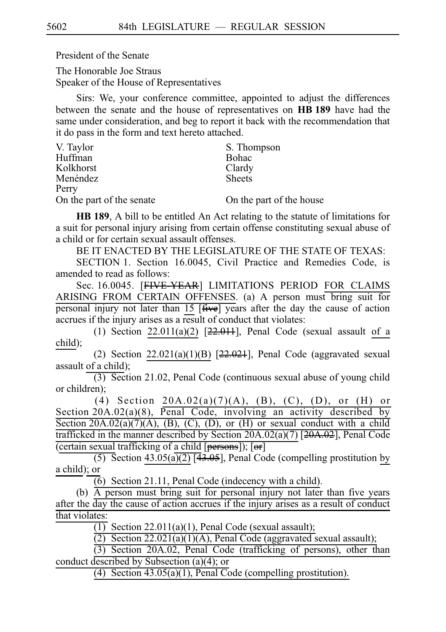President of the Senate

The Honorable Joe Straus Speaker of the House of Representatives

Sirs: We, your conference committee, appointed to adjust the differences between the senate and the house of representatives on **HBi189** have had the same under consideration, and beg to report it back with the recommendation that it do pass in the form and text hereto attached.

| V. Taylor                 | S. Thompson              |
|---------------------------|--------------------------|
| Huffman                   | <b>Bohac</b>             |
| Kolkhorst                 | Clardy                   |
| Menéndez                  | <b>Sheets</b>            |
| Perry                     |                          |
| On the part of the senate | On the part of the house |

**HB 189**, A bill to be entitled An Act relating to the statute of limitations for a suit for personal injury arising from certain offense constituting sexual abuse of a child or for certain sexual assault offenses.

BE IT ENACTED BY THE LEGISLATURE OF THE STATE OF TEXAS:

SECTION 1. Section 16.0045, Civil Practice and Remedies Code, is amended to read as follows:

Sec. 16.0045. [FIVE-YEAR] LIMITATIONS PERIOD FOR CLAIMS ARISING FROM CERTAIN OFFENSES. (a) A person must bring suit for personal injury not later than 15 [five] years after the day the cause of action accrues if the injury arises as a result of conduct that violates:

(1) Section  $22.011(a)(2)$  [ $22.011$ ], Penal Code (sexual assault of a child);

(2) Section  $22.021(a)(1)(B)$  [ $22.021$ ], Penal Code (aggravated sexual assault of a child);

 $(3)$  Section 21.02, Penal Code (continuous sexual abuse of young child or children);

(4) Section  $20A.02(a)(7)(A)$ , (B), (C), (D), or (H) or Section 20A.02(a)(8), Penal Code, involving an activity described by Section  $20A.02(a)(7)(A)$ , (B), (C), (D), or (H) or sexual conduct with a child trafficked in the manner described by Section 20A.02(a)(7) [20A.02], Penal Code (certain sexual trafficking of a child [persons]); [or]

 $\overline{(5)}$  Section 43.05(a)(2) [43.05], Penal Code (compelling prostitution by a child); or

 $(6)$  Section 21.11, Penal Code (indecency with a child).

(b)  $\overline{A}$  person must bring suit for personal injury not later than five years after the day the cause of action accrues if the injury arises as a result of conduct that violates:

 $\overline{(1)}$  Section 22.011(a)(1), Penal Code (sexual assault);

(2) Section  $22.021(a)(1)(A)$ , Penal Code (aggravated sexual assault);

(3) Section 20A.02, Penal Code (trafficking of persons), other than conduct described by Subsection (a)(4); or

(4) Section  $43.05(a)(1)$ , Penal Code (compelling prostitution).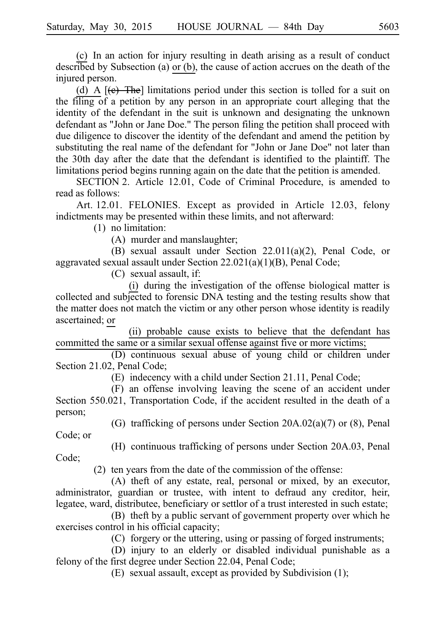(c) In an action for injury resulting in death arising as a result of conduct described by Subsection (a) or (b), the cause of action accrues on the death of the injured person.

(d) A  $[\text{e}$ . The limitations period under this section is tolled for a suit on the filing of a petition by any person in an appropriate court alleging that the identity of the defendant in the suit is unknown and designating the unknown defendant as "John or Jane Doe." The person filing the petition shall proceed with due diligence to discover the identity of the defendant and amend the petition by substituting the real name of the defendant for "John or Jane Doe" not later than the 30th day after the date that the defendant is identified to the plaintiff. The limitations period begins running again on the date that the petition is amended.

SECTION 2. Article 12.01, Code of Criminal Procedure, is amended to read as follows:

Art. 12.01. FELONIES. Except as provided in Article 12.03, felony indictments may be presented within these limits, and not afterward:

 $(1)$  no limitation:

(A) murder and manslaughter;

(B) sexual assault under Section  $22.011(a)(2)$ , Penal Code, or aggravated sexual assault under Section 22.021(a)(1)(B), Penal Code;

 $(C)$  sexual assault, if:

(i) during the investigation of the offense biological matter is collected and subjected to forensic DNA testing and the testing results show that the matter does not match the victim or any other person whose identity is readily ascertained; or

(ii) probable cause exists to believe that the defendant has committed the same or a similar sexual offense against five or more victims;

(D) continuous sexual abuse of young child or children under Section 21.02, Penal Code;

(E) indecency with a child under Section 21.11, Penal Code;

(F) an offense involving leaving the scene of an accident under Section 550.021, Transportation Code, if the accident resulted in the death of a person;

(G) trafficking of persons under Section  $20A.02(a)(7)$  or  $(8)$ , Penal

Code; or

(H) continuous trafficking of persons under Section 20A.03, Penal

Code;

 $(2)$  ten years from the date of the commission of the offense:

 $(A)$  theft of any estate, real, personal or mixed, by an executor, administrator, guardian or trustee, with intent to defraud any creditor, heir, legatee, ward, distributee, beneficiary or settlor of a trust interested in such estate;

(B) theft by a public servant of government property over which he exercises control in his official capacity;

(C) forgery or the uttering, using or passing of forged instruments;

(D) injury to an elderly or disabled individual punishable as a felony of the first degree under Section 22.04, Penal Code;

(E) sexual assault, except as provided by Subdivision  $(1)$ ;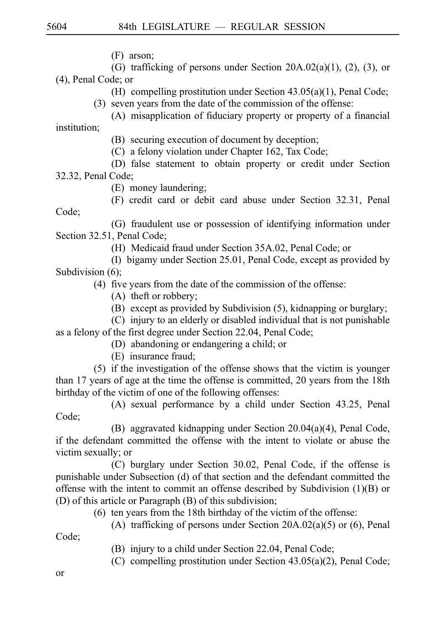(F) arson:

(G) trafficking of persons under Section  $20A.02(a)(1)$ ,  $(2)$ ,  $(3)$ , or (4), Penal Code; or

(H) compelling prostitution under Section  $43.05(a)(1)$ , Penal Code;

- $(3)$  seven years from the date of the commission of the offense:
- (A) misapplication of fiduciary property or property of a financial

institution;

(B) securing execution of document by deception;

 $(C)$  a felony violation under Chapter 162, Tax Code;

(D) false statement to obtain property or credit under Section 32.32, Penal Code;

(E) money laundering;

(F) credit card or debit card abuse under Section 32.31, Penal

Code;

(G) fraudulent use or possession of identifying information under Section 32.51, Penal Code;

(H) Medicaid fraud under Section 35A.02, Penal Code; or

(I) bigamy under Section 25.01, Penal Code, except as provided by Subdivision  $(6)$ ;

 $(4)$  five years from the date of the commission of the offense:

- $(A)$  theft or robbery;
- $(B)$  except as provided by Subdivision  $(5)$ , kidnapping or burglary;

 $(C)$  injury to an elderly or disabled individual that is not punishable as a felony of the first degree under Section 22.04, Penal Code;

- (D) abandoning or endangering a child; or
- (E) insurance fraud:

 $(5)$  if the investigation of the offense shows that the victim is younger than 17 years of age at the time the offense is committed, 20 years from the 18th birthday of the victim of one of the following offenses:

(A) sexual performance by a child under Section 43.25, Penal Code;

(B) aggravated kidnapping under Section  $20.04(a)(4)$ , Penal Code, if the defendant committed the offense with the intent to violate or abuse the victim sexually; or

 $(C)$  burglary under Section 30.02, Penal Code, if the offense is punishable under Subsection (d) of that section and the defendant committed the offense with the intent to commit an offense described by Subdivision (1)(B) or (D) of this article or Paragraph (B) of this subdivision;

 $(6)$  ten years from the 18th birthday of the victim of the offense:

(A) trafficking of persons under Section  $20A.02(a)(5)$  or (6), Penal

Code;

- (B) injury to a child under Section 22.04, Penal Code;
- (C) compelling prostitution under Section  $43.05(a)(2)$ , Penal Code;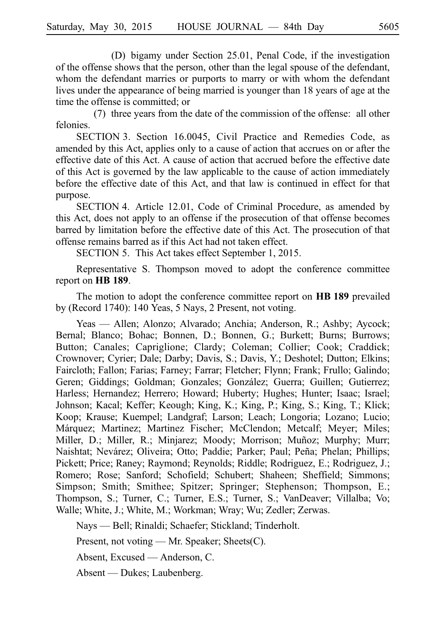(D) bigamy under Section 25.01, Penal Code, if the investigation of the offense shows that the person, other than the legal spouse of the defendant, whom the defendant marries or purports to marry or with whom the defendant lives under the appearance of being married is younger than 18 years of age at the time the offense is committed; or

(7) three years from the date of the commission of the offense: all other felonies.

SECTION 3. Section 16.0045, Civil Practice and Remedies Code, as amended by this Act, applies only to a cause of action that accrues on or after the effective date of this Act. A cause of action that accrued before the effective date of this Act is governed by the law applicable to the cause of action immediately before the effective date of this Act, and that law is continued in effect for that purpose.

SECTION 4. Article 12.01, Code of Criminal Procedure, as amended by this Act, does not apply to an offense if the prosecution of that offense becomes barred by limitation before the effective date of this Act. The prosecution of that offense remains barred as if this Act had not taken effect.

SECTION 5. This Act takes effect September 1, 2015.

Representative S. Thompson moved to adopt the conference committee report on **HB** 189.

The motion to adopt the conference committee report on **HBi189** prevailed by (Record 1740): 140 Yeas, 5 Nays, 2 Present, not voting.

Yeas — Allen; Alonzo; Alvarado; Anchia; Anderson, R.; Ashby; Aycock; Bernal; Blanco; Bohac; Bonnen, D.; Bonnen, G.; Burkett; Burns; Burrows; Button; Canales; Capriglione; Clardy; Coleman; Collier; Cook; Craddick; Crownover; Cyrier; Dale; Darby; Davis, S.; Davis, Y.; Deshotel; Dutton; Elkins; Faircloth; Fallon; Farias; Farney; Farrar; Fletcher; Flynn; Frank; Frullo; Galindo; Geren; Giddings; Goldman; Gonzales; González; Guerra; Guillen; Gutierrez; Harless; Hernandez; Herrero; Howard; Huberty; Hughes; Hunter; Isaac; Israel; Johnson; Kacal; Keffer; Keough; King, K.; King, P.; King, S.; King, T.; Klick; Koop; Krause; Kuempel; Landgraf; Larson; Leach; Longoria; Lozano; Lucio; Márquez; Martinez; Martinez Fischer; McClendon; Metcalf; Meyer; Miles; Miller, D.; Miller, R.; Minjarez; Moody; Morrison; Muñoz; Murphy; Murr; Naishtat; Nevárez; Oliveira; Otto; Paddie; Parker; Paul; Peña; Phelan; Phillips; Pickett; Price; Raney; Raymond; Reynolds; Riddle; Rodriguez, E.; Rodriguez, J.; Romero; Rose; Sanford; Schofield; Schubert; Shaheen; Sheffield; Simmons; Simpson; Smith; Smithee; Spitzer; Springer; Stephenson; Thompson, E.; Thompson, S.; Turner, C.; Turner, E.S.; Turner, S.; VanDeaver; Villalba; Vo; Walle; White, J.; White, M.; Workman; Wray; Wu; Zedler; Zerwas.

Nays — Bell; Rinaldi; Schaefer; Stickland; Tinderholt.

Present, not voting — Mr. Speaker; Sheets(C).

Absent, Excused — Anderson, C.

Absent — Dukes; Laubenberg.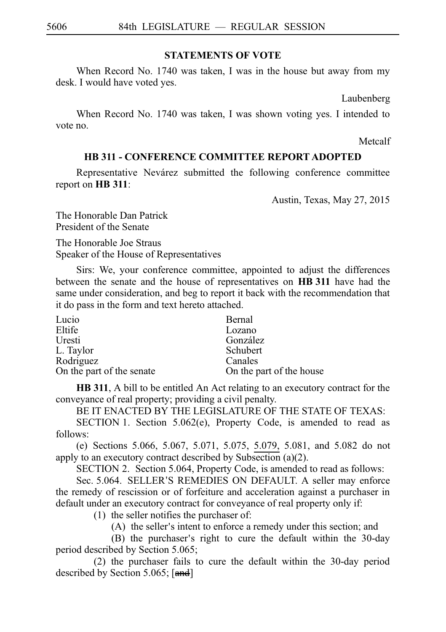# **STATEMENTS OF VOTE**

When Record No. 1740 was taken, I was in the house but away from my desk. I would have voted yes.

Laubenberg

When Record No. 1740 was taken, I was shown voting yes. I intended to vote no.

Metcalf

# **HB 311 - CONFERENCE COMMITTEE REPORT ADOPTED**

Representative Nevárez submitted the following conference committee report on **HB** 311:

Austin, Texas, May 27, 2015

The Honorable Dan Patrick President of the Senate

The Honorable Joe Straus Speaker of the House of Representatives

Sirs: We, your conference committee, appointed to adjust the differences between the senate and the house of representatives on **HB 311** have had the same under consideration, and beg to report it back with the recommendation that it do pass in the form and text hereto attached.

| Lucio                     | Bernal                   |
|---------------------------|--------------------------|
| Eltife                    | Lozano                   |
| Uresti                    | González                 |
| L. Taylor                 | Schubert                 |
| Rodriguez                 | Canales                  |
| On the part of the senate | On the part of the house |

**HB 311**, A bill to be entitled An Act relating to an executory contract for the conveyance of real property; providing a civil penalty.

BE IT ENACTED BY THE LEGISLATURE OF THE STATE OF TEXAS:

SECTION 1. Section  $5.062(e)$ , Property Code, is amended to read as follows:

(e) Sections 5.066, 5.067, 5.071, 5.075, 5.079, 5.081, and 5.082 do not apply to an executory contract described by Subsection (a)(2).

SECTION 2. Section 5.064, Property Code, is amended to read as follows:

Sec. 5.064. SELLER'S REMEDIES ON DEFAULT. A seller may enforce the remedy of rescission or of forfeiture and acceleration against a purchaser in default under an executory contract for conveyance of real property only if:

 $(1)$  the seller notifies the purchaser of:

 $(A)$  the seller's intent to enforce a remedy under this section; and

(B) the purchaser's right to cure the default within the 30-day period described by Section 5.065;

(2) the purchaser fails to cure the default within the 30-day period described by Section 5.065; [and]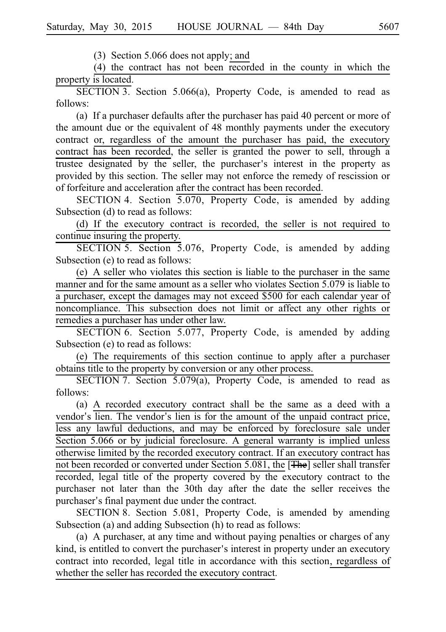$(3)$  Section 5.066 does not apply; and

(4) the contract has not been  $recovered$  in the county in which the property is located.

 $SECTION 3.$  Section 5.066(a), Property Code, is amended to read as follows:

(a) If a purchaser defaults after the purchaser has paid 40 percent or more of the amount due or the equivalent of 48 monthly payments under the executory contract or, regardless of the amount the purchaser has paid, the executory contract has been recorded, the seller is granted the power to sell, through a trustee designated by the seller, the purchaser's interest in the property as provided by this section. The seller may not enforce the remedy of rescission or of forfeiture and acceleration after the contract has been recorded.

SECTION 4. Section  $\overline{5.070}$ , Property Code, is amended by adding Subsection (d) to read as follows:

(d) If the executory contract is recorded, the seller is not required to continue insuring the property.

SECTION 5. Section 5.076, Property Code, is amended by adding Subsection (e) to read as follows:

(e) A seller who violates this section is liable to the purchaser in the same manner and for the same amount as a seller who violates Section 5.079 is liable to a purchaser, except the damages may not exceed \$500 for each calendar year of noncompliance. This subsection does not limit or affect any other rights or remedies a purchaser has under other law.

SECTION 6. Section 5.077, Property Code, is amended by adding Subsection (e) to read as follows:

 $(e)$  The requirements of this section continue to apply after a purchaser obtains title to the property by conversion or any other process.

SECTION 7. Section 5.079(a), Property Code, is amended to read as follows:

(a) A recorded executory contract shall be the same as a deed with a vendor's lien. The vendor's lien is for the amount of the unpaid contract price, less any lawful deductions, and may be enforced by foreclosure sale under Section 5.066 or by judicial foreclosure. A general warranty is implied unless otherwise limited by the recorded executory contract. If an executory contract has not been recorded or converted under Section 5.081, the [The] seller shall transfer recorded, legal title of the property covered by the executory contract to the purchaser not later than the 30th day after the date the seller receives the purchaser's final payment due under the contract.

SECTION 8. Section 5.081, Property Code, is amended by amending Subsection (a) and adding Subsection (h) to read as follows:

(a) A purchaser, at any time and without paying penalties or charges of any kind, is entitled to convert the purchaser's interest in property under an executory contract into recorded, legal title in accordance with this section, regardless of whether the seller has recorded the executory contract.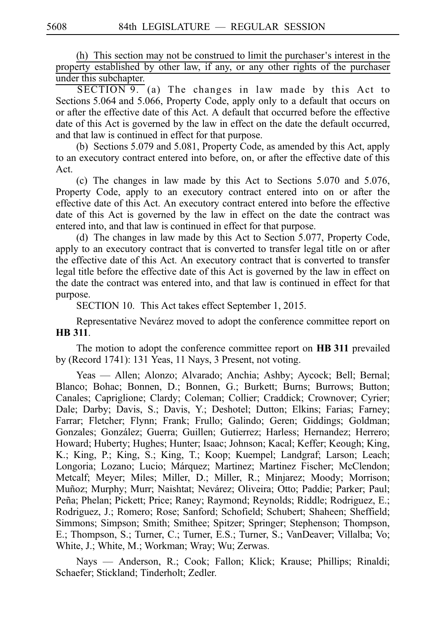$(h)$  This section may not be construed to limit the purchaser's interest in the property established by other law, if any, or any other rights of the purchaser under this subchapter.

 $SECTION 9.$  (a) The changes in law made by this Act to Sections 5.064 and 5.066, Property Code, apply only to a default that occurs on or after the effective date of this Act. A default that occurred before the effective date of this Act is governed by the law in effect on the date the default occurred, and that law is continued in effect for that purpose.

(b) Sections  $5.079$  and  $5.081$ , Property Code, as amended by this Act, apply to an executory contract entered into before, on, or after the effective date of this Act.

(c) The changes in law made by this Act to Sections  $5.070$  and  $5.076$ , Property Code, apply to an executory contract entered into on or after the effective date of this Act. An executory contract entered into before the effective date of this Act is governed by the law in effect on the date the contract was entered into, and that law is continued in effect for that purpose.

(d) The changes in law made by this Act to Section  $5.077$ , Property Code, apply to an executory contract that is converted to transfer legal title on or after the effective date of this Act. An executory contract that is converted to transfer legal title before the effective date of this Act is governed by the law in effect on the date the contract was entered into, and that law is continued in effect for that purpose.

SECTION 10. This Act takes effect September 1, 2015.

Representative Nevárez moved to adopt the conference committee report on **HBi311**.

The motion to adopt the conference committee report on **HB 311** prevailed by (Record 1741): 131 Yeas, 11 Nays, 3 Present, not voting.

Yeas — Allen; Alonzo; Alvarado; Anchia; Ashby; Aycock; Bell; Bernal; Blanco; Bohac; Bonnen, D.; Bonnen, G.; Burkett; Burns; Burrows; Button; Canales; Capriglione; Clardy; Coleman; Collier; Craddick; Crownover; Cyrier; Dale; Darby; Davis, S.; Davis, Y.; Deshotel; Dutton; Elkins; Farias; Farney; Farrar; Fletcher; Flynn; Frank; Frullo; Galindo; Geren; Giddings; Goldman; Gonzales; González; Guerra; Guillen; Gutierrez; Harless; Hernandez; Herrero; Howard; Huberty; Hughes; Hunter; Isaac; Johnson; Kacal; Keffer; Keough; King, K.; King, P.; King, S.; King, T.; Koop; Kuempel; Landgraf; Larson; Leach; Longoria; Lozano; Lucio; Márquez; Martinez; Martinez Fischer; McClendon; Metcalf; Meyer; Miles; Miller, D.; Miller, R.; Minjarez; Moody; Morrison; Muñoz; Murphy; Murr; Naishtat; Nevárez; Oliveira; Otto; Paddie; Parker; Paul; Peña; Phelan; Pickett; Price; Raney; Raymond; Reynolds; Riddle; Rodriguez, E.; Rodriguez, J.; Romero; Rose; Sanford; Schofield; Schubert; Shaheen; Sheffield; Simmons; Simpson; Smith; Smithee; Spitzer; Springer; Stephenson; Thompson, E.; Thompson, S.; Turner, C.; Turner, E.S.; Turner, S.; VanDeaver; Villalba; Vo; White, J.; White, M.; Workman; Wray; Wu; Zerwas.

Nays — Anderson, R.; Cook; Fallon; Klick; Krause; Phillips; Rinaldi; Schaefer; Stickland; Tinderholt; Zedler.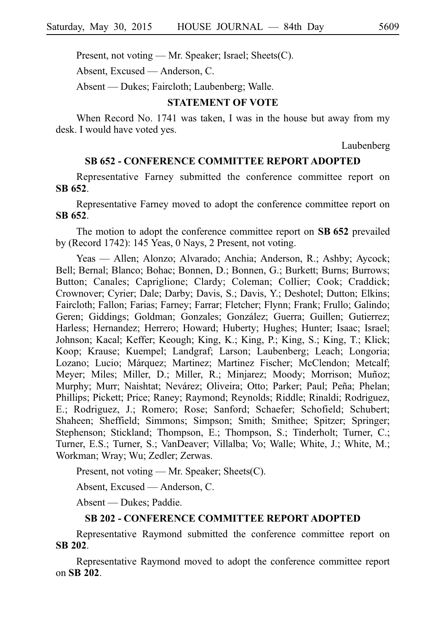Present, not voting — Mr. Speaker; Israel; Sheets(C).

Absent, Excused — Anderson, C.

Absent — Dukes; Faircloth; Laubenberg; Walle.

### **STATEMENT OF VOTE**

When Record No. 1741 was taken, I was in the house but away from my desk. I would have voted yes.

Laubenberg

### **SB 652 - CONFERENCE COMMITTEE REPORT ADOPTED**

Representative Farney submitted the conference committee report on **SBi652**.

Representative Farney moved to adopt the conference committee report on **SBi652**.

The motion to adopt the conference committee report on SB 652 prevailed by (Record 1742): 145 Yeas, 0 Nays, 2 Present, not voting.

Yeas — Allen; Alonzo; Alvarado; Anchia; Anderson, R.; Ashby; Aycock; Bell; Bernal; Blanco; Bohac; Bonnen, D.; Bonnen, G.; Burkett; Burns; Burrows; Button; Canales; Capriglione; Clardy; Coleman; Collier; Cook; Craddick; Crownover; Cyrier; Dale; Darby; Davis, S.; Davis, Y.; Deshotel; Dutton; Elkins; Faircloth; Fallon; Farias; Farney; Farrar; Fletcher; Flynn; Frank; Frullo; Galindo; Geren; Giddings; Goldman; Gonzales; González; Guerra; Guillen; Gutierrez; Harless; Hernandez; Herrero; Howard; Huberty; Hughes; Hunter; Isaac; Israel; Johnson; Kacal; Keffer; Keough; King, K.; King, P.; King, S.; King, T.; Klick; Koop; Krause; Kuempel; Landgraf; Larson; Laubenberg; Leach; Longoria; Lozano; Lucio; Márquez; Martinez; Martinez Fischer; McClendon; Metcalf; Meyer; Miles; Miller, D.; Miller, R.; Minjarez; Moody; Morrison; Muñoz; Murphy; Murr; Naishtat; Nevárez; Oliveira; Otto; Parker; Paul; Peña; Phelan; Phillips; Pickett; Price; Raney; Raymond; Reynolds; Riddle; Rinaldi; Rodriguez, E.; Rodriguez, J.; Romero; Rose; Sanford; Schaefer; Schofield; Schubert; Shaheen; Sheffield; Simmons; Simpson; Smith; Smithee; Spitzer; Springer; Stephenson; Stickland; Thompson, E.; Thompson, S.; Tinderholt; Turner, C.; Turner, E.S.; Turner, S.; VanDeaver; Villalba; Vo; Walle; White, J.; White, M.; Workman; Wray; Wu; Zedler; Zerwas.

Present, not voting — Mr. Speaker; Sheets(C).

Absent, Excused — Anderson, C.

Absent — Dukes; Paddie.

# **SB 202 - CONFERENCE COMMITTEE REPORT ADOPTED**

Representative Raymond submitted the conference committee report on **SBi202**.

Representative Raymond moved to adopt the conference committee report on **SBi202**.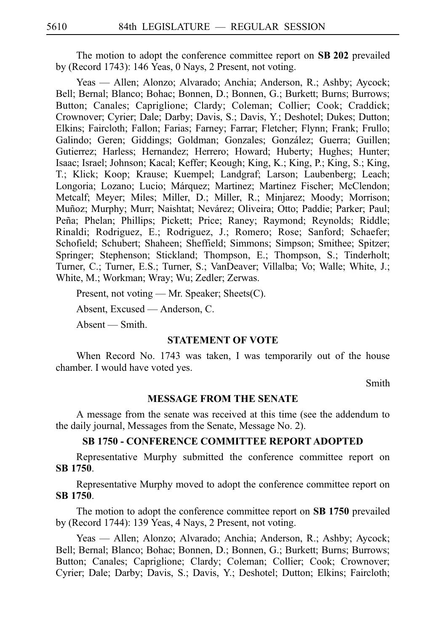The motion to adopt the conference committee report on **SB 202** prevailed by (Record 1743): 146 Yeas, 0 Nays, 2 Present, not voting.

Yeas — Allen; Alonzo; Alvarado; Anchia; Anderson, R.; Ashby; Aycock; Bell; Bernal; Blanco; Bohac; Bonnen, D.; Bonnen, G.; Burkett; Burns; Burrows; Button; Canales; Capriglione; Clardy; Coleman; Collier; Cook; Craddick; Crownover; Cyrier; Dale; Darby; Davis, S.; Davis, Y.; Deshotel; Dukes; Dutton; Elkins; Faircloth; Fallon; Farias; Farney; Farrar; Fletcher; Flynn; Frank; Frullo; Galindo; Geren; Giddings; Goldman; Gonzales; González; Guerra; Guillen; Gutierrez; Harless; Hernandez; Herrero; Howard; Huberty; Hughes; Hunter; Isaac; Israel; Johnson; Kacal; Keffer; Keough; King, K.; King, P.; King, S.; King, T.; Klick; Koop; Krause; Kuempel; Landgraf; Larson; Laubenberg; Leach; Longoria; Lozano; Lucio; Márquez; Martinez; Martinez Fischer; McClendon; Metcalf; Meyer; Miles; Miller, D.; Miller, R.; Minjarez; Moody; Morrison; Muñoz; Murphy; Murr; Naishtat; Nevárez; Oliveira; Otto; Paddie; Parker; Paul; Peña; Phelan; Phillips; Pickett; Price; Raney; Raymond; Reynolds; Riddle; Rinaldi; Rodriguez, E.; Rodriguez, J.; Romero; Rose; Sanford; Schaefer; Schofield; Schubert; Shaheen; Sheffield; Simmons; Simpson; Smithee; Spitzer; Springer; Stephenson; Stickland; Thompson, E.; Thompson, S.; Tinderholt; Turner, C.; Turner, E.S.; Turner, S.; VanDeaver; Villalba; Vo; Walle; White, J.; White, M.; Workman; Wray; Wu; Zedler; Zerwas.

Present, not voting — Mr. Speaker; Sheets(C).

Absent, Excused — Anderson, C.

Absent — Smith.

### **STATEMENT OF VOTE**

When Record No. 1743 was taken, I was temporarily out of the house chamber. I would have voted yes.

Smith

### **MESSAGE FROM THE SENATE**

A message from the senate was received at this time (see the addendum to the daily journal, Messages from the Senate, Message No. 2).

### **SB 1750 - CONFERENCE COMMITTEE REPORT ADOPTED**

Representative Murphy submitted the conference committee report on **SBi1750**.

Representative Murphy moved to adopt the conference committee report on **SBi1750**.

The motion to adopt the conference committee report on **SB 1750** prevailed by (Record 1744): 139 Yeas, 4 Nays, 2 Present, not voting.

Yeas — Allen; Alonzo; Alvarado; Anchia; Anderson, R.; Ashby; Aycock; Bell; Bernal; Blanco; Bohac; Bonnen, D.; Bonnen, G.; Burkett; Burns; Burrows; Button; Canales; Capriglione; Clardy; Coleman; Collier; Cook; Crownover; Cyrier; Dale; Darby; Davis, S.; Davis, Y.; Deshotel; Dutton; Elkins; Faircloth;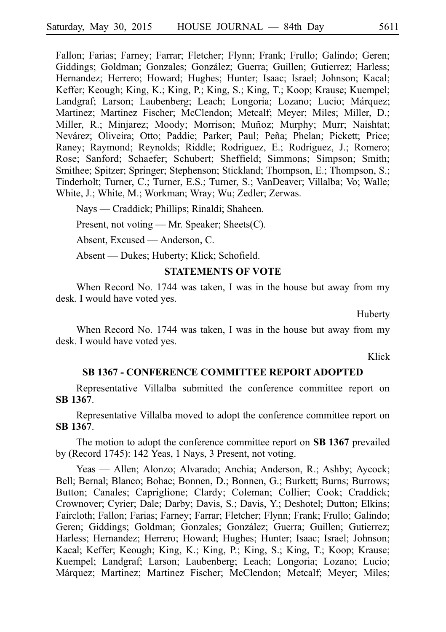Fallon; Farias; Farney; Farrar; Fletcher; Flynn; Frank; Frullo; Galindo; Geren; Giddings; Goldman; Gonzales; González; Guerra; Guillen; Gutierrez; Harless; Hernandez; Herrero; Howard; Hughes; Hunter; Isaac; Israel; Johnson; Kacal; Keffer; Keough; King, K.; King, P.; King, S.; King, T.; Koop; Krause; Kuempel; Landgraf; Larson; Laubenberg; Leach; Longoria; Lozano; Lucio; Márquez; Martinez; Martinez Fischer; McClendon; Metcalf; Meyer; Miles; Miller, D.; Miller, R.; Minjarez; Moody; Morrison; Muñoz; Murphy; Murr; Naishtat; Nevárez; Oliveira; Otto; Paddie; Parker; Paul; Peña; Phelan; Pickett; Price; Raney; Raymond; Reynolds; Riddle; Rodriguez, E.; Rodriguez, J.; Romero; Rose; Sanford; Schaefer; Schubert; Sheffield; Simmons; Simpson; Smith; Smithee; Spitzer; Springer; Stephenson; Stickland; Thompson, E.; Thompson, S.; Tinderholt; Turner, C.; Turner, E.S.; Turner, S.; VanDeaver; Villalba; Vo; Walle; White, J.; White, M.; Workman; Wray; Wu; Zedler; Zerwas.

Nays — Craddick; Phillips; Rinaldi; Shaheen.

Present, not voting — Mr. Speaker; Sheets(C).

Absent, Excused — Anderson, C.

Absent — Dukes; Huberty; Klick; Schofield.

#### **STATEMENTS OF VOTE**

When Record No. 1744 was taken, I was in the house but away from my desk. I would have voted yes.

Huberty

When Record No. 1744 was taken, I was in the house but away from my desk. I would have voted yes.

Klick

### **SB 1367 - CONFERENCE COMMITTEE REPORT ADOPTED**

Representative Villalba submitted the conference committee report on **SBi1367**.

Representative Villalba moved to adopt the conference committee report on **SBi1367**.

The motion to adopt the conference committee report on **SB 1367** prevailed by (Record 1745): 142 Yeas, 1 Nays, 3 Present, not voting.

Yeas — Allen; Alonzo; Alvarado; Anchia; Anderson, R.; Ashby; Aycock; Bell; Bernal; Blanco; Bohac; Bonnen, D.; Bonnen, G.; Burkett; Burns; Burrows; Button; Canales; Capriglione; Clardy; Coleman; Collier; Cook; Craddick; Crownover; Cyrier; Dale; Darby; Davis, S.; Davis, Y.; Deshotel; Dutton; Elkins; Faircloth; Fallon; Farias; Farney; Farrar; Fletcher; Flynn; Frank; Frullo; Galindo; Geren; Giddings; Goldman; Gonzales; González; Guerra; Guillen; Gutierrez; Harless; Hernandez; Herrero; Howard; Hughes; Hunter; Isaac; Israel; Johnson; Kacal; Keffer; Keough; King, K.; King, P.; King, S.; King, T.; Koop; Krause; Kuempel; Landgraf; Larson; Laubenberg; Leach; Longoria; Lozano; Lucio; Márquez; Martinez; Martinez Fischer; McClendon; Metcalf; Meyer; Miles;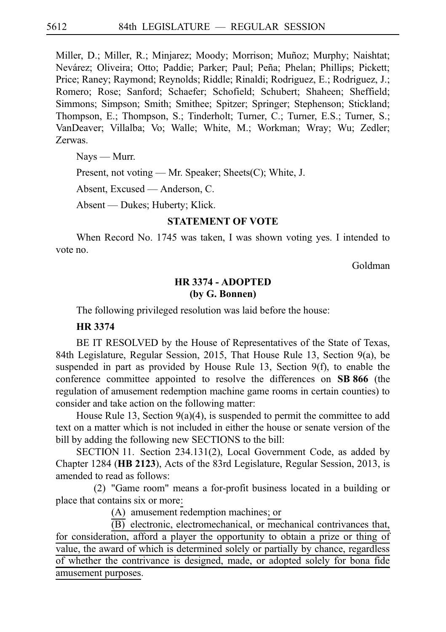Miller, D.; Miller, R.; Minjarez; Moody; Morrison; Muñoz; Murphy; Naishtat; Nevárez; Oliveira; Otto; Paddie; Parker; Paul; Peña; Phelan; Phillips; Pickett; Price; Raney; Raymond; Reynolds; Riddle; Rinaldi; Rodriguez, E.; Rodriguez, J.; Romero; Rose; Sanford; Schaefer; Schofield; Schubert; Shaheen; Sheffield; Simmons; Simpson; Smith; Smithee; Spitzer; Springer; Stephenson; Stickland; Thompson, E.; Thompson, S.; Tinderholt; Turner, C.; Turner, E.S.; Turner, S.; VanDeaver; Villalba; Vo; Walle; White, M.; Workman; Wray; Wu; Zedler; Zerwas.

Nays — Murr.

Present, not voting — Mr. Speaker; Sheets(C); White, J.

Absent, Excused — Anderson, C.

Absent — Dukes; Huberty; Klick.

## **STATEMENT OF VOTE**

When Record No. 1745 was taken, I was shown voting yes. I intended to vote no.

Goldman

# **HR 3374 - ADOPTED (by G. Bonnen)**

The following privileged resolution was laid before the house:

### **HR 3374**

BE IT RESOLVED by the House of Representatives of the State of Texas, 84th Legislature, Regular Session, 2015, That House Rule 13, Section 9(a), be suspended in part as provided by House Rule 13, Section 9(f), to enable the conference committee appointed to resolve the differences on **SB 866** (the regulation of amusement redemption machine game rooms in certain counties) to consider and take action on the following matter:

House Rule 13, Section 9(a)(4), is suspended to permit the committee to add text on a matter which is not included in either the house or senate version of the bill by adding the following new SECTIONS to the bill:

SECTION 11. Section 234.131(2), Local Government Code, as added by Chapter 1284 (**HBi2123**), Acts of the 83rd Legislature, Regular Session, 2013, is amended to read as follows:

(2) "Game room" means a for-profit business located in a building or place that contains six or more:

(A) amusement redemption machines; or

 $\overline{(B)}$  electronic, electromechanical, or mechanical contrivances that,

for consideration, afford a player the opportunity to obtain a prize or thing of value, the award of which is determined solely or partially by chance, regardless of whether the contrivance is designed, made, or adopted solely for bona fide amusement purposes.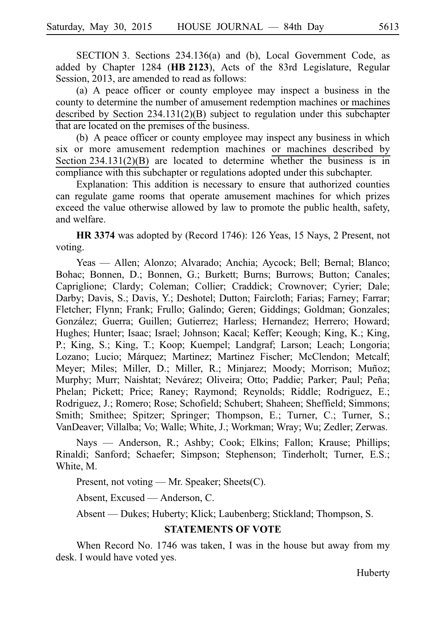SECTION 3. Sections 234.136(a) and (b), Local Government Code, as added by Chapter 1284 (HB 2123), Acts of the 83rd Legislature, Regular Session, 2013, are amended to read as follows:

(a) A peace officer or county employee may inspect a business in the county to determine the number of amusement redemption machines or machines described by Section 234.131(2)(B) subject to regulation under this subchapter that are located on the premises of the business.

(b) A peace officer or county employee may inspect any business in which six or more amusement redemption machines or machines described by Section  $234.131(2)(B)$  are located to determine whether the business is in compliance with this subchapter or regulations adopted under this subchapter.

Explanation: This addition is necessary to ensure that authorized counties can regulate game rooms that operate amusement machines for which prizes exceed the value otherwise allowed by law to promote the public health, safety, and welfare.

**HR 3374** was adopted by (Record 1746): 126 Yeas, 15 Nays, 2 Present, not voting.

Yeas — Allen; Alonzo; Alvarado; Anchia; Aycock; Bell; Bernal; Blanco; Bohac; Bonnen, D.; Bonnen, G.; Burkett; Burns; Burrows; Button; Canales; Capriglione; Clardy; Coleman; Collier; Craddick; Crownover; Cyrier; Dale; Darby; Davis, S.; Davis, Y.; Deshotel; Dutton; Faircloth; Farias; Farney; Farrar; Fletcher; Flynn; Frank; Frullo; Galindo; Geren; Giddings; Goldman; Gonzales; González; Guerra; Guillen; Gutierrez; Harless; Hernandez; Herrero; Howard; Hughes; Hunter; Isaac; Israel; Johnson; Kacal; Keffer; Keough; King, K.; King, P.; King, S.; King, T.; Koop; Kuempel; Landgraf; Larson; Leach; Longoria; Lozano; Lucio; Márquez; Martinez; Martinez Fischer; McClendon; Metcalf; Meyer; Miles; Miller, D.; Miller, R.; Minjarez; Moody; Morrison; Muñoz; Murphy; Murr; Naishtat; Nevárez; Oliveira; Otto; Paddie; Parker; Paul; Peña; Phelan; Pickett; Price; Raney; Raymond; Reynolds; Riddle; Rodriguez, E.; Rodriguez, J.; Romero; Rose; Schofield; Schubert; Shaheen; Sheffield; Simmons; Smith; Smithee; Spitzer; Springer; Thompson, E.; Turner, C.; Turner, S.; VanDeaver; Villalba; Vo; Walle; White, J.; Workman; Wray; Wu; Zedler; Zerwas.

Nays — Anderson, R.; Ashby; Cook; Elkins; Fallon; Krause; Phillips; Rinaldi; Sanford; Schaefer; Simpson; Stephenson; Tinderholt; Turner, E.S.; White, M.

Present, not voting — Mr. Speaker; Sheets(C).

Absent, Excused — Anderson, C.

Absent — Dukes; Huberty; Klick; Laubenberg; Stickland; Thompson, S.

# **STATEMENTS OF VOTE**

When Record No. 1746 was taken, I was in the house but away from my desk. I would have voted yes.

Huberty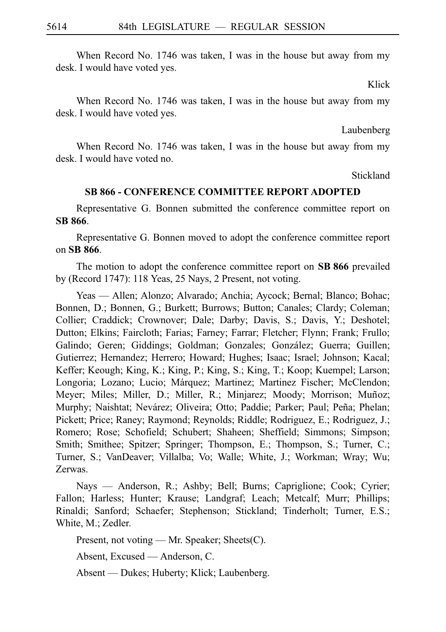When Record No. 1746 was taken, I was in the house but away from my desk. I would have voted yes.

Klick

When Record No. 1746 was taken, I was in the house but away from my desk. I would have voted yes.

Laubenberg

When Record No. 1746 was taken, I was in the house but away from my desk. I would have voted no.

Stickland

## **SB 866 - CONFERENCE COMMITTEE REPORT ADOPTED**

Representative G. Bonnen submitted the conference committee report on **SBi866**.

Representative G. Bonnen moved to adopt the conference committee report on **SBi866**.

The motion to adopt the conference committee report on SB 866 prevailed by (Record 1747): 118 Yeas, 25 Nays, 2 Present, not voting.

Yeas — Allen; Alonzo; Alvarado; Anchia; Aycock; Bernal; Blanco; Bohac; Bonnen, D.; Bonnen, G.; Burkett; Burrows; Button; Canales; Clardy; Coleman; Collier; Craddick; Crownover; Dale; Darby; Davis, S.; Davis, Y.; Deshotel; Dutton; Elkins; Faircloth; Farias; Farney; Farrar; Fletcher; Flynn; Frank; Frullo; Galindo; Geren; Giddings; Goldman; Gonzales; González; Guerra; Guillen; Gutierrez; Hernandez; Herrero; Howard; Hughes; Isaac; Israel; Johnson; Kacal; Keffer; Keough; King, K.; King, P.; King, S.; King, T.; Koop; Kuempel; Larson; Longoria; Lozano; Lucio; Márquez; Martinez; Martinez Fischer; McClendon; Meyer; Miles; Miller, D.; Miller, R.; Minjarez; Moody; Morrison; Muñoz; Murphy; Naishtat; Nevárez; Oliveira; Otto; Paddie; Parker; Paul; Peña; Phelan; Pickett; Price; Raney; Raymond; Reynolds; Riddle; Rodriguez, E.; Rodriguez, J.; Romero; Rose; Schofield; Schubert; Shaheen; Sheffield; Simmons; Simpson; Smith; Smithee; Spitzer; Springer; Thompson, E.; Thompson, S.; Turner, C.; Turner, S.; VanDeaver; Villalba; Vo; Walle; White, J.; Workman; Wray; Wu; Zerwas.

Nays — Anderson, R.; Ashby; Bell; Burns; Capriglione; Cook; Cyrier; Fallon; Harless; Hunter; Krause; Landgraf; Leach; Metcalf; Murr; Phillips; Rinaldi; Sanford; Schaefer; Stephenson; Stickland; Tinderholt; Turner, E.S.; White, M.; Zedler.

Present, not voting — Mr. Speaker; Sheets(C).

Absent, Excused — Anderson, C.

Absent — Dukes; Huberty; Klick; Laubenberg.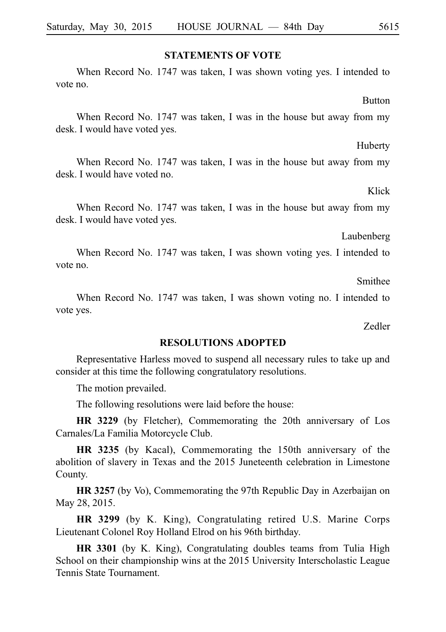### **STATEMENTS OF VOTE**

When Record No. 1747 was taken, I was shown voting yes. I intended to vote no.

When Record No. 1747 was taken, I was in the house but away from my desk. I would have voted yes.

When Record No. 1747 was taken, I was in the house but away from my desk. I would have voted no.

When Record No. 1747 was taken, I was in the house but away from my desk. I would have voted yes.

When Record No. 1747 was taken, I was shown voting yes. I intended to vote no.

When Record No. 1747 was taken, I was shown voting no. I intended to

vote yes.

**RESOLUTIONS ADOPTED** Representative Harless moved to suspend all necessary rules to take up and consider at this time the following congratulatory resolutions.

The motion prevailed.

The following resolutions were laid before the house:

**HR 3229** (by Fletcher), Commemorating the 20th anniversary of Los Carnales/La Familia Motorcycle Club.

**HR 3235** (by Kacal), Commemorating the 150th anniversary of the abolition of slavery in Texas and the 2015 Juneteenth celebration in Limestone County.

**HR 3257** (by Vo), Commemorating the 97th Republic Day in Azerbaijan on May 28, 2015.

**HR 3299** (by K. King), Congratulating retired U.S. Marine Corps Lieutenant Colonel Roy Holland Elrod on his 96th birthday.

**HR 3301** (by K. King), Congratulating doubles teams from Tulia High School on their championship wins at the 2015 University Interscholastic League Tennis State Tournament.

Smithee

Zedler

Laubenberg

#### Huberty

Klick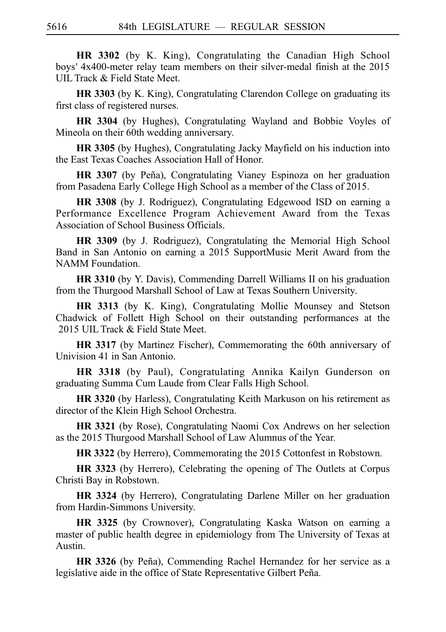**HR 3302** (by K. King), Congratulating the Canadian High School boys' 4x400-meter relay team members on their silver-medal finish at the 2015 UIL Track & Field State Meet.

**HR 3303** (by K. King), Congratulating Clarendon College on graduating its first class of registered nurses.

**HR 3304** (by Hughes), Congratulating Wayland and Bobbie Voyles of Mineola on their 60th wedding anniversary.

**HR 3305** (by Hughes), Congratulating Jacky Mayfield on his induction into the East Texas Coaches Association Hall of Honor.

**HR 3307** (by Peña), Congratulating Vianey Espinoza on her graduation from Pasadena Early College High School as a member of the Class of 2015.

**HR 3308** (by J. Rodriguez), Congratulating Edgewood ISD on earning a Performance Excellence Program Achievement Award from the Texas Association of School Business Officials.

**HR 3309** (by J. Rodriguez), Congratulating the Memorial High School Band in San Antonio on earning a 2015 SupportMusic Merit Award from the NAMM Foundation.

**HR 3310** (by Y. Davis), Commending Darrell Williams II on his graduation from the Thurgood Marshall School of Law at Texas Southern University.

**HR 3313** (by K. King), Congratulating Mollie Mounsey and Stetson Chadwick of Follett High School on their outstanding performances at the 2015 UIL Track & Field State Meet.

**HR 3317** (by Martinez Fischer), Commemorating the 60th anniversary of Univision 41 in San Antonio.

**HR 3318** (by Paul), Congratulating Annika Kailyn Gunderson on graduating Summa Cum Laude from Clear Falls High School.

**HR 3320** (by Harless), Congratulating Keith Markuson on his retirement as director of the Klein High School Orchestra.

**HR 3321** (by Rose), Congratulating Naomi Cox Andrews on her selection as the 2015 Thurgood Marshall School of Law Alumnus of the Year.

**HR 3322** (by Herrero), Commemorating the 2015 Cottonfest in Robstown.

**HR 3323** (by Herrero), Celebrating the opening of The Outlets at Corpus Christi Bay in Robstown.

**HR 3324** (by Herrero), Congratulating Darlene Miller on her graduation from Hardin-Simmons University.

**HR 3325** (by Crownover), Congratulating Kaska Watson on earning a master of public health degree in epidemiology from The University of Texas at Austin.

HR 3326 (by Peña), Commending Rachel Hernandez for her service as a legislative aide in the office of State Representative Gilbert Peña.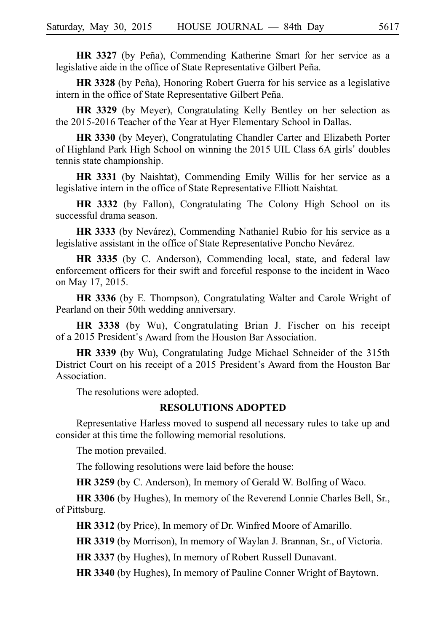**HR 3327** (by Peña), Commending Katherine Smart for her service as a legislative aide in the office of State Representative Gilbert Peña.

HR 3328 (by Peña), Honoring Robert Guerra for his service as a legislative intern in the office of State Representative Gilbert Peña.

**HR 3329** (by Meyer), Congratulating Kelly Bentley on her selection as the 2015-2016 Teacher of the Year at Hyer Elementary School in Dallas.

**HR 3330** (by Meyer), Congratulating Chandler Carter and Elizabeth Porter of Highland Park High School on winning the 2015 UIL Class 6A girls 'doubles tennis state championship.

**HR 3331** (by Naishtat), Commending Emily Willis for her service as a legislative intern in the office of State Representative Elliott Naishtat.

**HR 3332** (by Fallon), Congratulating The Colony High School on its successful drama season.

**HR 3333** (by Nevárez), Commending Nathaniel Rubio for his service as a legislative assistant in the office of State Representative Poncho Nevárez.

**HR 3335** (by C. Anderson), Commending local, state, and federal law enforcement officers for their swift and forceful response to the incident in Waco on May 17, 2015.

**HR 3336** (by E. Thompson), Congratulating Walter and Carole Wright of Pearland on their 50th wedding anniversary.

**HR 3338** (by Wu), Congratulating Brian J. Fischer on his receipt of a 2015 President's Award from the Houston Bar Association.

**HR 3339** (by Wu), Congratulating Judge Michael Schneider of the 315th District Court on his receipt of a 2015 President's Award from the Houston Bar Association.

The resolutions were adopted.

### **RESOLUTIONS ADOPTED**

Representative Harless moved to suspend all necessary rules to take up and consider at this time the following memorial resolutions.

The motion prevailed.

The following resolutions were laid before the house:

**HR 3259** (by C. Anderson), In memory of Gerald W. Bolfing of Waco.

**HR 3306** (by Hughes), In memory of the Reverend Lonnie Charles Bell, Sr., of Pittsburg.

**HR 3312** (by Price), In memory of Dr. Winfred Moore of Amarillo.

**HR 3319** (by Morrison), In memory of Waylan J. Brannan, Sr., of Victoria.

**HR 3337** (by Hughes), In memory of Robert Russell Dunavant.

**HR 3340** (by Hughes), In memory of Pauline Conner Wright of Baytown.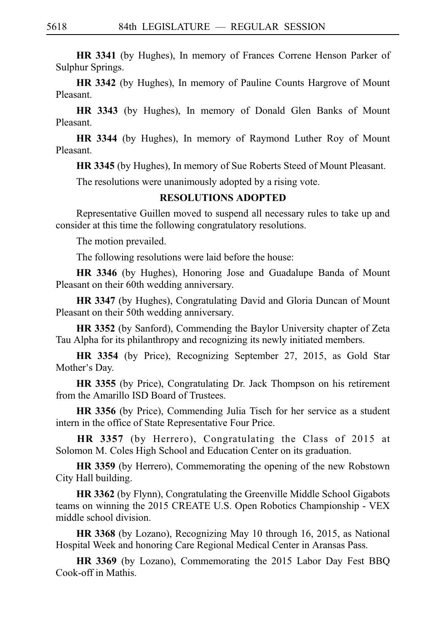**HR 3341** (by Hughes), In memory of Frances Correne Henson Parker of Sulphur Springs.

**HR 3342** (by Hughes), In memory of Pauline Counts Hargrove of Mount Pleasant.

**HR 3343** (by Hughes), In memory of Donald Glen Banks of Mount Pleasant.

**HR 3344** (by Hughes), In memory of Raymond Luther Roy of Mount Pleasant.

**HR 3345** (by Hughes), In memory of Sue Roberts Steed of Mount Pleasant.

The resolutions were unanimously adopted by a rising vote.

# **RESOLUTIONS ADOPTED**

Representative Guillen moved to suspend all necessary rules to take up and consider at this time the following congratulatory resolutions.

The motion prevailed.

The following resolutions were laid before the house:

**HR 3346** (by Hughes), Honoring Jose and Guadalupe Banda of Mount Pleasant on their 60th wedding anniversary.

**HR 3347** (by Hughes), Congratulating David and Gloria Duncan of Mount Pleasant on their 50th wedding anniversary.

**HR 3352** (by Sanford), Commending the Baylor University chapter of Zeta Tau Alpha for its philanthropy and recognizing its newly initiated members.

**HR 3354** (by Price), Recognizing September 27, 2015, as Gold Star Mother's Day.

**HR 3355** (by Price), Congratulating Dr. Jack Thompson on his retirement from the Amarillo ISD Board of Trustees.

**HR 3356** (by Price), Commending Julia Tisch for her service as a student intern in the office of State Representative Four Price.

**HR 3357** (by Herrero), Congratulating the Class of 2015 at Solomon M. Coles High School and Education Center on its graduation.

**HR 3359** (by Herrero), Commemorating the opening of the new Robstown City Hall building.

**HR 3362** (by Flynn), Congratulating the Greenville Middle School Gigabots teams on winning the 2015 CREATE U.S. Open Robotics Championship - VEX middle school division.

**HR 3368** (by Lozano), Recognizing May 10 through 16, 2015, as National Hospital Week and honoring Care Regional Medical Center in Aransas Pass.

**HR 3369** (by Lozano), Commemorating the 2015 Labor Day Fest BBQ Cook-off in Mathis.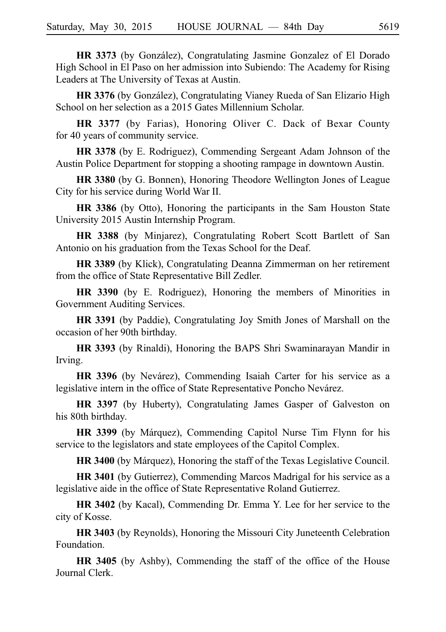HR 3373 (by González), Congratulating Jasmine Gonzalez of El Dorado High School in El Paso on her admission into Subiendo: The Academy for Rising Leaders at The University of Texas at Austin.

**HR 3376** (by González), Congratulating Vianey Rueda of San Elizario High School on her selection as a 2015 Gates Millennium Scholar.

**HR 3377** (by Farias), Honoring Oliver C. Dack of Bexar County for 40 years of community service.

**HR 3378** (by E. Rodriguez), Commending Sergeant Adam Johnson of the Austin Police Department for stopping a shooting rampage in downtown Austin.

**HR 3380** (by G. Bonnen), Honoring Theodore Wellington Jones of League City for his service during World War II.

**HR 3386** (by Otto), Honoring the participants in the Sam Houston State University 2015 Austin Internship Program.

**HR 3388** (by Minjarez), Congratulating Robert Scott Bartlett of San Antonio on his graduation from the Texas School for the Deaf.

**HR 3389** (by Klick), Congratulating Deanna Zimmerman on her retirement from the office of State Representative Bill Zedler.

**HR 3390** (by E. Rodriguez), Honoring the members of Minorities in Government Auditing Services.

**HR 3391** (by Paddie), Congratulating Joy Smith Jones of Marshall on the occasion of her 90th birthday.

**HR 3393** (by Rinaldi), Honoring the BAPS Shri Swaminarayan Mandir in Irving.

**HR 3396** (by Nevárez), Commending Isaiah Carter for his service as a legislative intern in the office of State Representative Poncho Nevárez.

**HR 3397** (by Huberty), Congratulating James Gasper of Galveston on his 80th birthday.

**HR 3399** (by Márquez), Commending Capitol Nurse Tim Flynn for his service to the legislators and state employees of the Capitol Complex.

**HR 3400** (by Márquez), Honoring the staff of the Texas Legislative Council.

**HR 3401** (by Gutierrez), Commending Marcos Madrigal for his service as a legislative aide in the office of State Representative Roland Gutierrez.

**HR 3402** (by Kacal), Commending Dr. Emma Y. Lee for her service to the city of Kosse.

**HR 3403** (by Reynolds), Honoring the Missouri City Juneteenth Celebration Foundation.

**HR 3405** (by Ashby), Commending the staff of the office of the House Journal Clerk.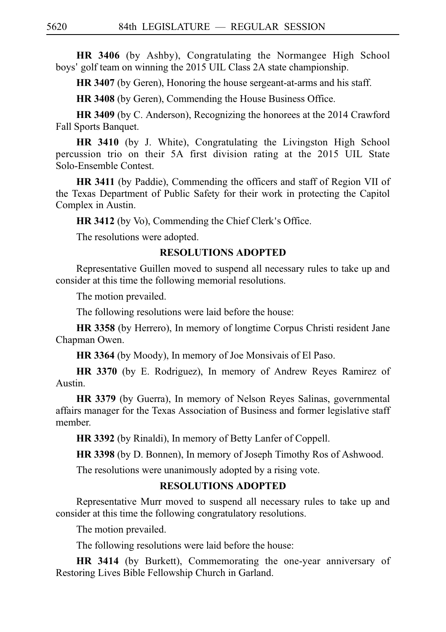**HR 3406** (by Ashby), Congratulating the Normangee High School boys' golf team on winning the 2015 UIL Class 2A state championship.

**HR 3407** (by Geren), Honoring the house sergeant-at-arms and his staff.

**HR 3408** (by Geren), Commending the House Business Office.

**HR 3409** (by C. Anderson), Recognizing the honorees at the 2014 Crawford Fall Sports Banquet.

**HR 3410** (by J. White), Congratulating the Livingston High School percussion trio on their 5A first division rating at the 2015 UIL State Solo-Ensemble Contest.

**HR 3411** (by Paddie), Commending the officers and staff of Region VII of the Texas Department of Public Safety for their work in protecting the Capitol Complex in Austin.

**HR 3412** (by Vo), Commending the Chief Clerk's Office.

The resolutions were adopted.

## **RESOLUTIONS ADOPTED**

Representative Guillen moved to suspend all necessary rules to take up and consider at this time the following memorial resolutions.

The motion prevailed.

The following resolutions were laid before the house:

**HR 3358** (by Herrero), In memory of longtime Corpus Christi resident Jane Chapman Owen.

**HR 3364** (by Moody), In memory of Joe Monsivais of El Paso.

**HR 3370** (by E. Rodriguez), In memory of Andrew Reyes Ramirez of Austin.

**HR 3379** (by Guerra), In memory of Nelson Reyes Salinas, governmental affairs manager for the Texas Association of Business and former legislative staff member.

**HR 3392** (by Rinaldi), In memory of Betty Lanfer of Coppell.

**HR 3398** (by D. Bonnen), In memory of Joseph Timothy Ros of Ashwood.

The resolutions were unanimously adopted by a rising vote.

# **RESOLUTIONS ADOPTED**

Representative Murr moved to suspend all necessary rules to take up and consider at this time the following congratulatory resolutions.

The motion prevailed.

The following resolutions were laid before the house:

**HR 3414** (by Burkett), Commemorating the one-year anniversary of Restoring Lives Bible Fellowship Church in Garland.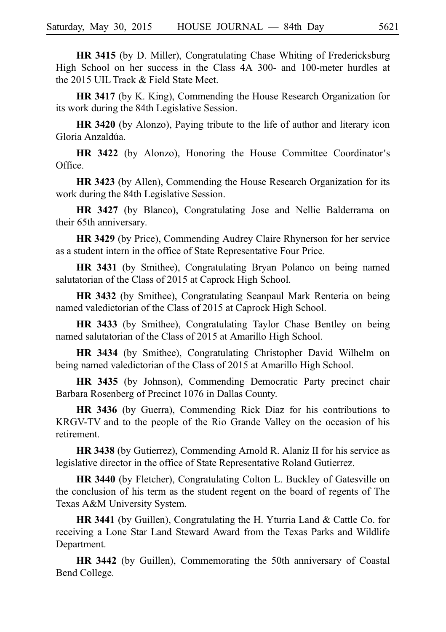**HR 3415** (by D. Miller), Congratulating Chase Whiting of Fredericksburg High School on her success in the Class 4A 300- and 100-meter hurdles at the 2015 UIL Track & Field State Meet.

**HR 3417** (by K. King), Commending the House Research Organization for its work during the 84th Legislative Session.

**HR 3420** (by Alonzo), Paying tribute to the life of author and literary icon Gloria Anzaldúa.

**HR 3422** (by Alonzo), Honoring the House Committee Coordinator's Office.

**HR 3423** (by Allen), Commending the House Research Organization for its work during the 84th Legislative Session.

**HR 3427** (by Blanco), Congratulating Jose and Nellie Balderrama on their 65th anniversary.

**HR 3429** (by Price), Commending Audrey Claire Rhynerson for her service as a student intern in the office of State Representative Four Price.

**HR 3431** (by Smithee), Congratulating Bryan Polanco on being named salutatorian of the Class of 2015 at Caprock High School.

**HR 3432** (by Smithee), Congratulating Seanpaul Mark Renteria on being named valedictorian of the Class of 2015 at Caprock High School.

**HR 3433** (by Smithee), Congratulating Taylor Chase Bentley on being named salutatorian of the Class of 2015 at Amarillo High School.

**HR 3434** (by Smithee), Congratulating Christopher David Wilhelm on being named valedictorian of the Class of 2015 at Amarillo High School.

**HR 3435** (by Johnson), Commending Democratic Party precinct chair Barbara Rosenberg of Precinct 1076 in Dallas County.

**HR 3436** (by Guerra), Commending Rick Diaz for his contributions to KRGV-TV and to the people of the Rio Grande Valley on the occasion of his retirement.

**HR 3438** (by Gutierrez), Commending Arnold R. Alaniz II for his service as legislative director in the office of State Representative Roland Gutierrez.

**HR 3440** (by Fletcher), Congratulating Colton L. Buckley of Gatesville on the conclusion of his term as the student regent on the board of regents of The Texas A&M University System.

**HR 3441** (by Guillen), Congratulating the H. Yturria Land & Cattle Co. for receiving a Lone Star Land Steward Award from the Texas Parks and Wildlife Department.

**HR 3442** (by Guillen), Commemorating the 50th anniversary of Coastal Bend College.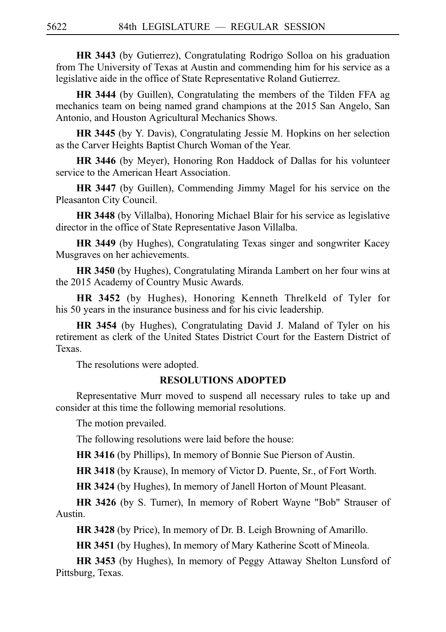**HR 3443** (by Gutierrez), Congratulating Rodrigo Solloa on his graduation from The University of Texas at Austin and commending him for his service as a legislative aide in the office of State Representative Roland Gutierrez.

**HR 3444** (by Guillen), Congratulating the members of the Tilden FFA ag mechanics team on being named grand champions at the 2015 San Angelo, San Antonio, and Houston Agricultural Mechanics Shows.

**HR 3445** (by Y. Davis), Congratulating Jessie M. Hopkins on her selection as the Carver Heights Baptist Church Woman of the Year.

**HR 3446** (by Meyer), Honoring Ron Haddock of Dallas for his volunteer service to the American Heart Association.

**HR 3447** (by Guillen), Commending Jimmy Magel for his service on the Pleasanton City Council.

**HR 3448** (by Villalba), Honoring Michael Blair for his service as legislative director in the office of State Representative Jason Villalba.

**HR 3449** (by Hughes), Congratulating Texas singer and songwriter Kacey Musgraves on her achievements.

**HR 3450** (by Hughes), Congratulating Miranda Lambert on her four wins at the 2015 Academy of Country Music Awards.

**HR 3452** (by Hughes), Honoring Kenneth Threlkeld of Tyler for his 50 years in the insurance business and for his civic leadership.

**HR 3454** (by Hughes), Congratulating David J. Maland of Tyler on his retirement as clerk of the United States District Court for the Eastern District of Texas.

The resolutions were adopted.

## **RESOLUTIONS ADOPTED**

Representative Murr moved to suspend all necessary rules to take up and consider at this time the following memorial resolutions.

The motion prevailed.

The following resolutions were laid before the house:

**HR 3416** (by Phillips), In memory of Bonnie Sue Pierson of Austin.

**HR 3418** (by Krause), In memory of Victor D. Puente, Sr., of Fort Worth.

**HR 3424** (by Hughes), In memory of Janell Horton of Mount Pleasant.

**HR 3426** (by S. Turner), In memory of Robert Wayne "Bob" Strauser of Austin.

**HR 3428** (by Price), In memory of Dr. B. Leigh Browning of Amarillo.

**HR 3451** (by Hughes), In memory of Mary Katherine Scott of Mineola.

**HR 3453** (by Hughes), In memory of Peggy Attaway Shelton Lunsford of Pittsburg, Texas.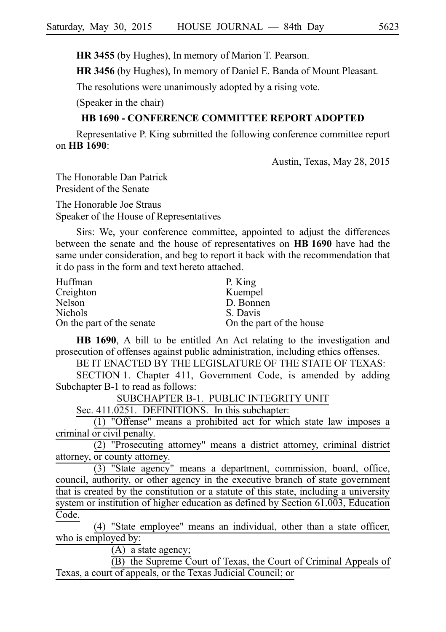**HR 3455** (by Hughes), In memory of Marion T. Pearson.

**HR 3456** (by Hughes), In memory of Daniel E. Banda of Mount Pleasant.

The resolutions were unanimously adopted by a rising vote.

(Speaker in the chair)

# **HB 1690 - CONFERENCE COMMITTEE REPORT ADOPTED**

Representative P. King submitted the following conference committee report on **HBi1690**:

Austin, Texas, May 28, 2015

The Honorable Dan Patrick President of the Senate

The Honorable Joe Straus Speaker of the House of Representatives

Sirs: We, your conference committee, appointed to adjust the differences between the senate and the house of representatives on **HBi1690** have had the same under consideration, and beg to report it back with the recommendation that it do pass in the form and text hereto attached.

| Huffman                   | P. King                  |
|---------------------------|--------------------------|
| Creighton                 | Kuempel                  |
| Nelson                    | D. Bonnen                |
| <b>Nichols</b>            | S. Davis                 |
| On the part of the senate | On the part of the house |

**HB 1690**, A bill to be entitled An Act relating to the investigation and prosecution of offenses against public administration, including ethics offenses.

BE IT ENACTED BY THE LEGISLATURE OF THE STATE OF TEXAS:

SECTION 1. Chapter 411, Government Code, is amended by adding Subchapter B-1 to read as follows:

SUBCHAPTER B-1. PUBLIC INTEGRITY UNIT

Sec.  $411.0251$ . DEFINITIONS. In this subchapter:

(1) "Offense" means a prohibited act for which state law imposes a criminal or civil penalty.

 $(2)$  "Prosecuting attorney" means a district attorney, criminal district attorney, or county attorney.

 $(3)$  "State agency" means a department, commission, board, office, council, authority, or other agency in the executive branch of state government that is created by the constitution or a statute of this state, including a university system or institution of higher education as defined by Section 61.003, Education Code.

(4) "State employee" means an individual, other than a state officer, who is employed by:

 $\overline{(A)}$  a state agency;

(B) the Supreme Court of Texas, the Court of Criminal Appeals of Texas, a court of appeals, or the Texas Judicial Council; or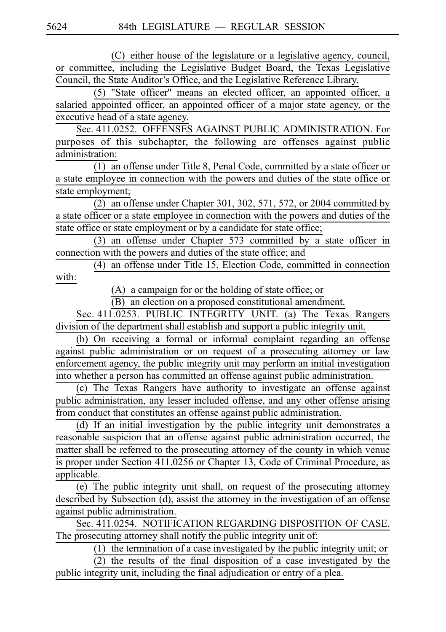(C) either house of the legislature or a legislative agency, council, or committee, including the Legislative Budget Board, the Texas Legislative Council, the State Auditor's Office, and the Legislative Reference Library.

(5) "State officer" means an elected officer, an appointed officer, a salaried appointed officer, an appointed officer of a major state agency, or the executive head of a state agency.

Sec. 411.0252. OFFENSES AGAINST PUBLIC ADMINISTRATION. For purposes of this subchapter, the following are offenses against public administration:

(1) an offense under Title 8, Penal Code, committed by a state officer or a state employee in connection with the powers and duties of the state office or state employment;

 $\overline{(2)}$  an offense under Chapter 301, 302, 571, 572, or 2004 committed by a state officer or a state employee in connection with the powers and duties of the state office or state employment or by a candidate for state office;

 $(3)$  an offense under Chapter 573 committed by a state officer in connection with the powers and duties of the state office; and

 $(4)$  an offense under Title 15, Election Code, committed in connection with:

 $(A)$  a campaign for or the holding of state office; or

(B) an election on a proposed constitutional amendment.

Sec. 411.0253. PUBLIC INTEGRITY UNIT. (a) The Texas Rangers division of the department shall establish and support a public integrity unit.

(b) On receiving a formal or informal complaint regarding an offense against public administration or on request of a prosecuting attorney or law enforcement agency, the public integrity unit may perform an initial investigation into whether a person has committed an offense against public administration.

(c) The Texas Rangers have authority to investigate an offense against public administration, any lesser included offense, and any other offense arising from conduct that constitutes an offense against public administration.

 $(d)$  If an initial investigation by the public integrity unit demonstrates a reasonable suspicion that an offense against public administration occurred, the matter shall be referred to the prosecuting attorney of the county in which venue is proper under Section 411.0256 or Chapter 13, Code of Criminal Procedure, as applicable.

 $\overline{(e)}$  The public integrity unit shall, on request of the prosecuting attorney described by Subsection (d), assist the attorney in the investigation of an offense against public administration.

Sec. 411.0254. NOTIFICATION REGARDING DISPOSITION OF CASE. The prosecuting attorney shall notify the public integrity unit of:

 $(1)$  the termination of a case investigated by the public integrity unit; or  $(2)$  the results of the final disposition of a case investigated by the public integrity unit, including the final adjudication or entry of a plea.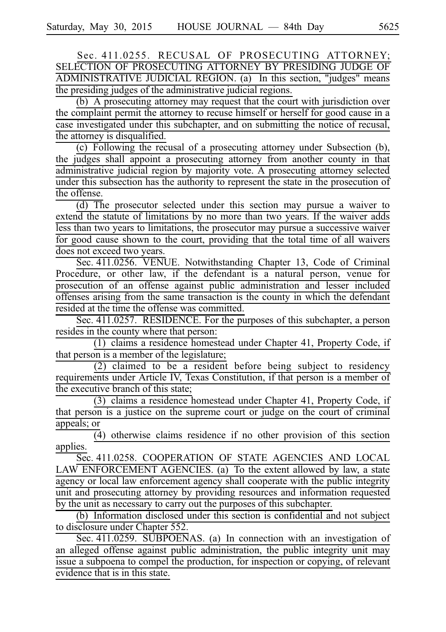Sec. 411.0255. RECUSAL OF PROSECUTING ATTORNEY; SELECTION OF PROSECUTING ATTORNEY BY PRESIDING JUDGE OF ADMINISTRATIVE JUDICIAL REGION. (a) In this section, "judges" means the presiding judges of the administrative judicial regions.

 $(b)$  A prosecuting attorney may request that the court with jurisdiction over the complaint permit the attorney to recuse himself or herself for good cause in a case investigated under this subchapter, and on submitting the notice of recusal, the attorney is disqualified.

 $(c)$  Following the recusal of a prosecuting attorney under Subsection (b), the judges shall appoint a prosecuting attorney from another county in that administrative judicial region by majority vote. A prosecuting attorney selected under this subsection has the authority to represent the state in the prosecution of the offense.

 $(d)$  The prosecutor selected under this section may pursue a waiver to extend the statute of limitations by no more than two years. If the waiver adds less than two years to limitations, the prosecutor may pursue a successive waiver for good cause shown to the court, providing that the total time of all waivers does not exceed two years.

Sec. 411.0256. VENUE. Notwithstanding Chapter 13, Code of Criminal Procedure, or other law, if the defendant is a natural person, venue for prosecution of an offense against public administration and lesser included offenses arising from the same transaction is the county in which the defendant resided at the time the offense was committed.

Sec. 411.0257. RESIDENCE. For the purposes of this subchapter, a person resides in the county where that person:

 $(1)$  claims a residence homestead under Chapter 41, Property Code, if that person is a member of the legislature;

 $(2)$  claimed to be a resident before being subject to residency requirements under Article IV, Texas Constitution, if that person is a member of the executive branch of this state;

(3) claims a residence homestead under Chapter 41, Property Code, if that person is a justice on the supreme court or judge on the court of criminal appeals; or

 $\overline{(4)}$  otherwise claims residence if no other provision of this section applies.

Sec. 411.0258. COOPERATION OF STATE AGENCIES AND LOCAL  $LAW$  ENFORCEMENT AGENCIES. (a) To the extent allowed by law, a state agency or local law enforcement agency shall cooperate with the public integrity unit and prosecuting attorney by providing resources and information requested by the unit as necessary to carry out the purposes of this subchapter.

(b) Information disclosed under this section is confidential and not subject to disclosure under Chapter 552.

Sec. 411.0259. SUBPOENAS. (a) In connection with an investigation of an alleged offense against public administration, the public integrity unit may issue a subpoena to compel the production, for inspection or copying, of relevant evidence that is in this state.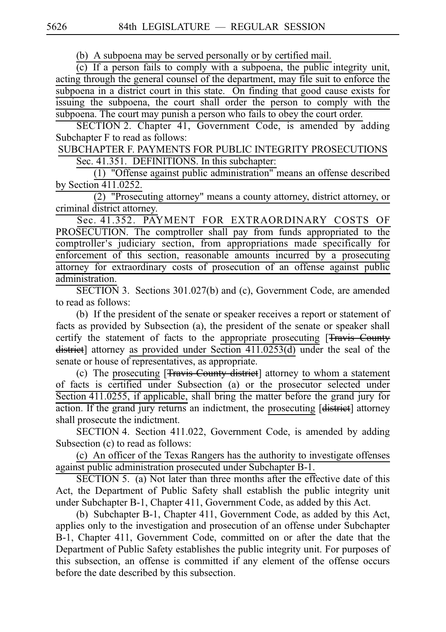(b) A subpoena may be served personally or by certified mail.

 $(c)$  If a person fails to comply with a subpoena, the public integrity unit, acting through the general counsel of the department, may file suit to enforce the subpoena in a district court in this state. On finding that good cause exists for issuing the subpoena, the court shall order the person to comply with the subpoena. The court may punish a person who fails to obey the court order.

SECTION 2. Chapter 41, Government Code, is amended by adding Subchapter F to read as follows:

SUBCHAPTER F. PAYMENTS FOR PUBLIC INTEGRITY PROSECUTIONS Sec. 41.351. DEFINITIONS. In this subchapter:

 $(1)$  "Offense against public administration" means an offense described by Section 411.0252.

 $(2)$  "Prosecuting attorney" means a county attorney, district attorney, or criminal district attorney.

Sec. 41.352. PAYMENT FOR EXTRAORDINARY COSTS OF PROSECUTION. The comptroller shall pay from funds appropriated to the comptroller's judiciary section, from appropriations made specifically for enforcement of this section, reasonable amounts incurred by a prosecuting attorney for extraordinary costs of prosecution of an offense against public administration.

SECTION 3. Sections 301.027(b) and (c), Government Code, are amended to read as follows:

(b) If the president of the senate or speaker receives a report or statement of facts as provided by Subsection (a), the president of the senate or speaker shall certify the statement of facts to the appropriate prosecuting [Travis County district] attorney as provided under Section 411.0253(d) under the seal of the senate or house of representatives, as appropriate.

(c) The prosecuting [Travis County district] attorney to whom a statement of facts is certified under Subsection (a) or the prosecutor selected under Section 411.0255, if applicable, shall bring the matter before the grand jury for action. If the grand jury returns an indictment, the prosecuting [district] attorney shall prosecute the indictment.

SECTION 4. Section 411.022, Government Code, is amended by adding Subsection (c) to read as follows:

(c) An officer of the Texas Rangers has the authority to investigate offenses against public administration prosecuted under Subchapter B-1.

SECTION 5. (a) Not later than three months after the effective date of this Act, the Department of Public Safety shall establish the public integrity unit under Subchapter B-1, Chapter 411, Government Code, as added by this Act.

(b) Subchapter B-1, Chapter 411, Government Code, as added by this Act, applies only to the investigation and prosecution of an offense under Subchapter B-1, Chapter 411, Government Code, committed on or after the date that the Department of Public Safety establishes the public integrity unit. For purposes of this subsection, an offense is committed if any element of the offense occurs before the date described by this subsection.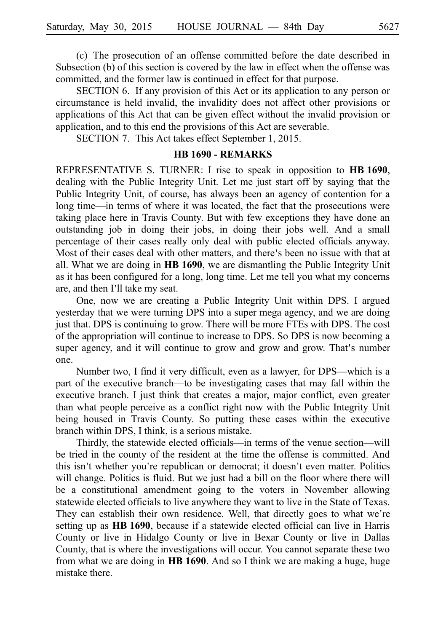(c) The prosecution of an offense committed before the date described in Subsection (b) of this section is covered by the law in effect when the offense was committed, and the former law is continued in effect for that purpose.

SECTION 6. If any provision of this Act or its application to any person or circumstance is held invalid, the invalidity does not affect other provisions or applications of this Act that can be given effect without the invalid provision or application, and to this end the provisions of this Act are severable.

SECTION 7. This Act takes effect September 1, 2015.

### **HB 1690 - REMARKS**

REPRESENTATIVE S. TURNER: I rise to speak in opposition to **HBi1690**, dealing with the Public Integrity Unit. Let me just start off by saying that the Public Integrity Unit, of course, has always been an agency of contention for a long time—in terms of where it was located, the fact that the prosecutions were taking place here in Travis County. But with few exceptions they have done an outstanding job in doing their jobs, in doing their jobs well. And a small percentage of their cases really only deal with public elected officials anyway. Most of their cases deal with other matters, and there's been no issue with that at all. What we are doing in **HB 1690**, we are dismantling the Public Integrity Unit as it has been configured for a long, long time. Let me tell you what my concerns are, and then I'll take my seat.

One, now we are creating a Public Integrity Unit within DPS. I argued yesterday that we were turning DPS into a super mega agency, and we are doing just that. DPS is continuing to grow. There will be more FTEs with DPS. The cost of the appropriation will continue to increase to DPS. So DPS is now becoming a super agency, and it will continue to grow and grow and grow. That's number one.

Number two, I find it very difficult, even as a lawyer, for DPS—which is a part of the executive branch—to be investigating cases that may fall within the executive branch. I just think that creates a major, major conflict, even greater than what people perceive as a conflict right now with the Public Integrity Unit being housed in Travis County. So putting these cases within the executive branch within DPS, I think, is a serious mistake.

Thirdly, the statewide elected officials—in terms of the venue section—will be tried in the county of the resident at the time the offense is committed. And this isn't whether you're republican or democrat; it doesn't even matter. Politics will change. Politics is fluid. But we just had a bill on the floor where there will be a constitutional amendment going to the voters in November allowing statewide elected officials to live anywhere they want to live in the State of Texas. They can establish their own residence. Well, that directly goes to what we're setting up as **HBi1690**, because if a statewide elected official can live in Harris County or live in Hidalgo County or live in Bexar County or live in Dallas County, that is where the investigations will occur. You cannot separate these two from what we are doing in **HBi1690**. And so I think we are making a huge, huge mistake there.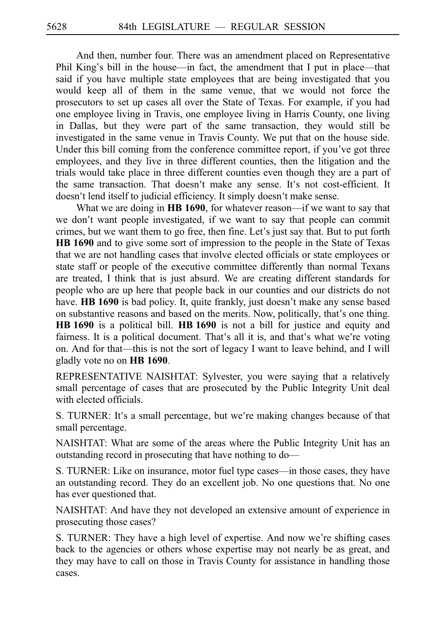And then, number four. There was an amendment placed on Representative Phil King's bill in the house—in fact, the amendment that I put in place—that said if you have multiple state employees that are being investigated that you would keep all of them in the same venue, that we would not force the prosecutors to set up cases all over the State of Texas. For example, if you had one employee living in Travis, one employee living in Harris County, one living in Dallas, but they were part of the same transaction, they would still be investigated in the same venue in Travis County. We put that on the house side. Under this bill coming from the conference committee report, if you've got three employees, and they live in three different counties, then the litigation and the trials would take place in three different counties even though they are a part of the same transaction. That doesn't make any sense. It's not cost-efficient. It doesn't lend itself to judicial efficiency. It simply doesn't make sense.

What we are doing in **HB 1690**, for whatever reason—if we want to say that we don't want people investigated, if we want to say that people can commit crimes, but we want them to go free, then fine. Let's just say that. But to put forth **HBi1690** and to give some sort of impression to the people in the State of Texas that we are not handling cases that involve elected officials or state employees or state staff or people of the executive committee differently than normal Texans are treated, I think that is just absurd. We are creating different standards for people who are up here that people back in our counties and our districts do not have. **HB 1690** is bad policy. It, quite frankly, just doesn't make any sense based on substantive reasons and based on the merits. Now, politically, that's one thing. **HBi1690** is a political bill. **HBi1690** is not a bill for justice and equity and fairness. It is a political document. That's all it is, and that's what we're voting on. And for that—this is not the sort of legacy I want to leave behind, and I will gladly vote no on **HBi1690**.

REPRESENTATIVE NAISHTAT: Sylvester, you were saying that a relatively small percentage of cases that are prosecuted by the Public Integrity Unit deal with elected officials.

S. TURNER: It's a small percentage, but we're making changes because of that small percentage.

NAISHTAT: What are some of the areas where the Public Integrity Unit has an outstanding record in prosecuting that have nothing to do—

S. TURNER: Like on insurance, motor fuel type cases—in those cases, they have an outstanding record. They do an excellent job. No one questions that. No one has ever questioned that.

NAISHTAT: And have they not developed an extensive amount of experience in prosecuting those cases?

S. TURNER: They have a high level of expertise. And now we're shifting cases back to the agencies or others whose expertise may not nearly be as great, and they may have to call on those in Travis County for assistance in handling those cases.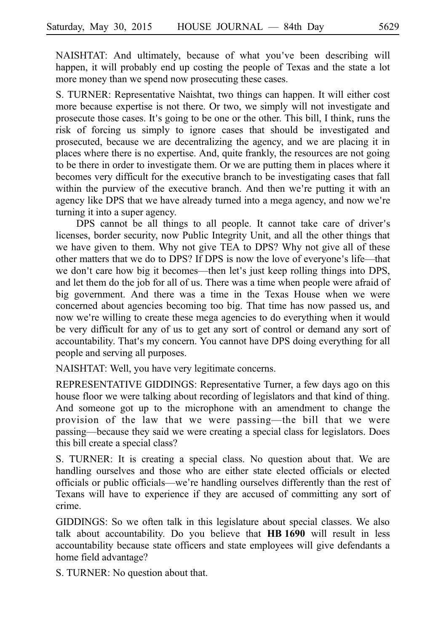NAISHTAT: And ultimately, because of what you ve been describing will ' happen, it will probably end up costing the people of Texas and the state a lot more money than we spend now prosecuting these cases.

S. TURNER: Representative Naishtat, two things can happen. It will either cost more because expertise is not there. Or two, we simply will not investigate and prosecute those cases. It's going to be one or the other. This bill, I think, runs the risk of forcing us simply to ignore cases that should be investigated and prosecuted, because we are decentralizing the agency, and we are placing it in places where there is no expertise. And, quite frankly, the resources are not going to be there in order to investigate them. Or we are putting them in places where it becomes very difficult for the executive branch to be investigating cases that fall within the purview of the executive branch. And then we're putting it with an agency like DPS that we have already turned into a mega agency, and now we're turning it into a super agency.

DPS cannot be all things to all people. It cannot take care of driver's licenses, border security, now Public Integrity Unit, and all the other things that we have given to them. Why not give TEA to DPS? Why not give all of these other matters that we do to DPS? If DPS is now the love of everyone's life—that we don't care how big it becomes—then let's just keep rolling things into DPS, and let them do the job for all of us. There was a time when people were afraid of big government. And there was a time in the Texas House when we were concerned about agencies becoming too big. That time has now passed us, and now we're willing to create these mega agencies to do everything when it would be very difficult for any of us to get any sort of control or demand any sort of accountability. That's my concern. You cannot have DPS doing everything for all people and serving all purposes.

NAISHTAT: Well, you have very legitimate concerns.

REPRESENTATIVE GIDDINGS: Representative Turner, a few days ago on this house floor we were talking about recording of legislators and that kind of thing. And someone got up to the microphone with an amendment to change the provision of the law that we were passing—the bill that we were passing—because they said we were creating a special class for legislators. Does this bill create a special class?

S. TURNER: It is creating a special class. No question about that. We are handling ourselves and those who are either state elected officials or elected officials or public officials—we re handling ourselves differently than the rest of ' Texans will have to experience if they are accused of committing any sort of crime.

GIDDINGS: So we often talk in this legislature about special classes. We also talk about accountability. Do you believe that **HB 1690** will result in less accountability because state officers and state employees will give defendants a home field advantage?

S. TURNER: No question about that.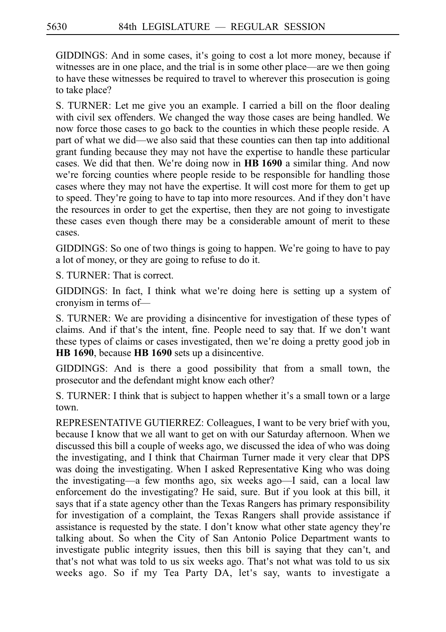GIDDINGS: And in some cases, it's going to cost a lot more money, because if witnesses are in one place, and the trial is in some other place—are we then going to have these witnesses be required to travel to wherever this prosecution is going to take place?

S. TURNER: Let me give you an example. I carried a bill on the floor dealing with civil sex offenders. We changed the way those cases are being handled. We now force those cases to go back to the counties in which these people reside. A part of what we did—we also said that these counties can then tap into additional grant funding because they may not have the expertise to handle these particular cases. We did that then. We're doing now in **HB 1690** a similar thing. And now we're forcing counties where people reside to be responsible for handling those cases where they may not have the expertise. It will cost more for them to get up to speed. They're going to have to tap into more resources. And if they don't have the resources in order to get the expertise, then they are not going to investigate these cases even though there may be a considerable amount of merit to these cases.

GIDDINGS: So one of two things is going to happen. We re going to have to pay ' a lot of money, or they are going to refuse to do it.

S. TURNER: That is correct.

GIDDINGS: In fact, I think what we're doing here is setting up a system of cronyism in terms of—

S. TURNER: We are providing a disincentive for investigation of these types of claims. And if that's the intent, fine. People need to say that. If we don't want these types of claims or cases investigated, then we're doing a pretty good job in **HB** 1690, because **HB** 1690 sets up a disincentive.

GIDDINGS: And is there a good possibility that from a small town, the prosecutor and the defendant might know each other?

S. TURNER: I think that is subject to happen whether it's a small town or a large town.

REPRESENTATIVE GUTIERREZ: Colleagues, I want to be very brief with you, because I know that we all want to get on with our Saturday afternoon. When we discussed this bill a couple of weeks ago, we discussed the idea of who was doing the investigating, and I think that Chairman Turner made it very clear that DPS was doing the investigating. When I asked Representative King who was doing the investigating—a few months ago, six weeks ago—I said, can a local law enforcement do the investigating? He said, sure. But if you look at this bill, it says that if a state agency other than the Texas Rangers has primary responsibility for investigation of a complaint, the Texas Rangers shall provide assistance if assistance is requested by the state. I don't know what other state agency they're talking about. So when the City of San Antonio Police Department wants to investigate public integrity issues, then this bill is saying that they can't, and that's not what was told to us six weeks ago. That's not what was told to us six weeks ago. So if my Tea Party DA, let's say, wants to investigate a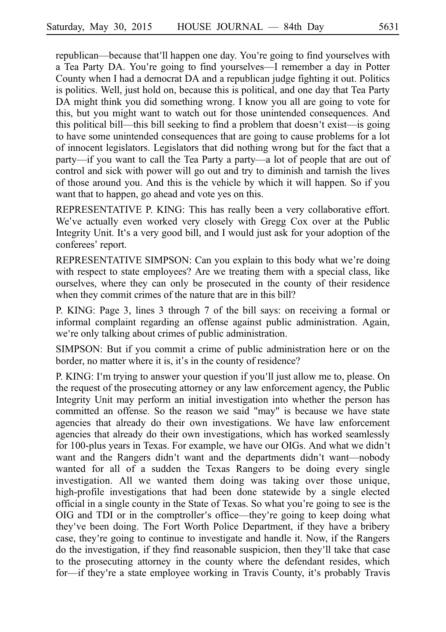republican—because that II happen one day. You're going to find yourselves with a Tea Party DA. You're going to find yourselves---I remember a day in Potter County when I had a democrat DA and a republican judge fighting it out. Politics is politics. Well, just hold on, because this is political, and one day that Tea Party DA might think you did something wrong. I know you all are going to vote for this, but you might want to watch out for those unintended consequences. And this political bill—this bill seeking to find a problem that doesn't exist—is going to have some unintended consequences that are going to cause problems for a lot of innocent legislators. Legislators that did nothing wrong but for the fact that a party—if you want to call the Tea Party a party—a lot of people that are out of control and sick with power will go out and try to diminish and tarnish the lives of those around you. And this is the vehicle by which it will happen. So if you want that to happen, go ahead and vote yes on this.

REPRESENTATIVE P. KING: This has really been a very collaborative effort. We've actually even worked very closely with Gregg Cox over at the Public Integrity Unit. It's a very good bill, and I would just ask for your adoption of the conferees' report.

REPRESENTATIVE SIMPSON: Can you explain to this body what we're doing with respect to state employees? Are we treating them with a special class, like ourselves, where they can only be prosecuted in the county of their residence when they commit crimes of the nature that are in this bill?

P. KING: Page 3, lines 3 through 7 of the bill says: on receiving a formal or informal complaint regarding an offense against public administration. Again, we're only talking about crimes of public administration.

SIMPSON: But if you commit a crime of public administration here or on the border, no matter where it is, it's in the county of residence?

P. KING: I'm trying to answer your question if you'll just allow me to, please. On the request of the prosecuting attorney or any law enforcement agency, the Public Integrity Unit may perform an initial investigation into whether the person has committed an offense. So the reason we said "may" is because we have state agencies that already do their own investigations. We have law enforcement agencies that already do their own investigations, which has worked seamlessly for 100-plus years in Texas. For example, we have our OIGs. And what we didn't want and the Rangers didn't want and the departments didn't want-nobody wanted for all of a sudden the Texas Rangers to be doing every single investigation. All we wanted them doing was taking over those unique, high-profile investigations that had been done statewide by a single elected official in a single county in the State of Texas. So what you re going to see is the ' OIG and TDI or in the comptroller's office—they're going to keep doing what they ve been doing. The Fort Worth Police Department, if they have a bribery ' case, they're going to continue to investigate and handle it. Now, if the Rangers do the investigation, if they find reasonable suspicion, then they ll take that case ' to the prosecuting attorney in the county where the defendant resides, which for—if they're a state employee working in Travis County, it's probably Travis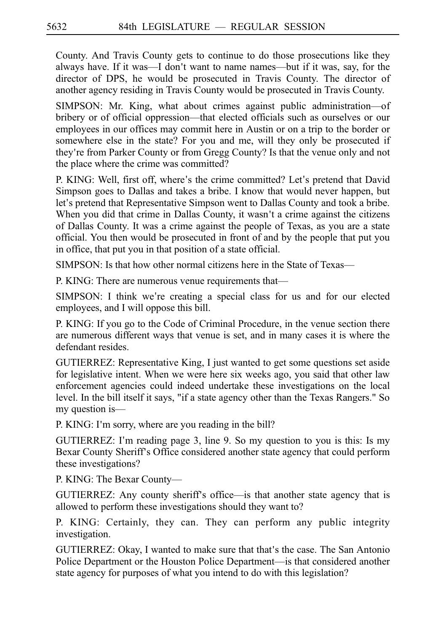County. And Travis County gets to continue to do those prosecutions like they always have. If it was—I don't want to name names—but if it was, say, for the director of DPS, he would be prosecuted in Travis County. The director of another agency residing in Travis County would be prosecuted in Travis County.

SIMPSON: Mr. King, what about crimes against public administration—of bribery or of official oppression—that elected officials such as ourselves or our employees in our offices may commit here in Austin or on a trip to the border or somewhere else in the state? For you and me, will they only be prosecuted if they re from Parker County or from Gregg County? Is that the venue only and not ' the place where the crime was committed?

P. KING: Well, first off, where's the crime committed? Let's pretend that David Simpson goes to Dallas and takes a bribe. I know that would never happen, but let's pretend that Representative Simpson went to Dallas County and took a bribe. When you did that crime in Dallas County, it wasn't a crime against the citizens of Dallas County. It was a crime against the people of Texas, as you are a state official. You then would be prosecuted in front of and by the people that put you in office, that put you in that position of a state official.

SIMPSON: Is that how other normal citizens here in the State of Texas—

P. KING: There are numerous venue requirements that—

SIMPSON: I think we're creating a special class for us and for our elected employees, and I will oppose this bill.

P. KING: If you go to the Code of Criminal Procedure, in the venue section there are numerous different ways that venue is set, and in many cases it is where the defendant resides.

GUTIERREZ: Representative King, I just wanted to get some questions set aside for legislative intent. When we were here six weeks ago, you said that other law enforcement agencies could indeed undertake these investigations on the local level. In the bill itself it says, "if a state agency other than the Texas Rangers." So my question is—

P. KING: I'm sorry, where are you reading in the bill?

GUTIERREZ: I'm reading page 3, line 9. So my question to you is this: Is my Bexar County Sheriff's Office considered another state agency that could perform these investigations?

P. KING: The Bexar County—

GUTIERREZ: Any county sheriff's office—is that another state agency that is allowed to perform these investigations should they want to?

P. KING: Certainly, they can. They can perform any public integrity investigation.

GUTIERREZ: Okay, I wanted to make sure that that's the case. The San Antonio Police Department or the Houston Police Department—is that considered another state agency for purposes of what you intend to do with this legislation?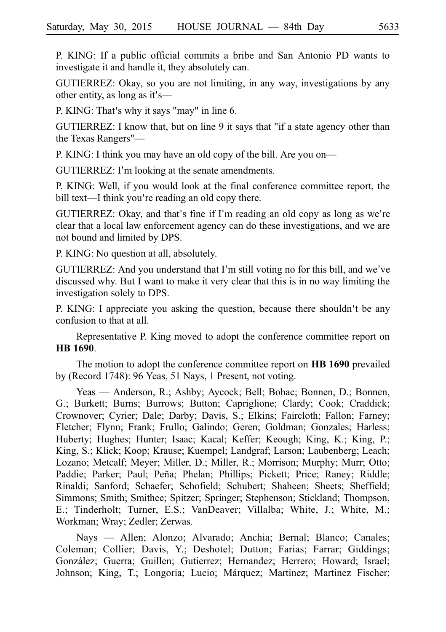P. KING: If a public official commits a bribe and San Antonio PD wants to investigate it and handle it, they absolutely can.

GUTIERREZ: Okay, so you are not limiting, in any way, investigations by any other entity, as long as it's— $\overline{\phantom{a}}$ 

P. KING: That's why it says "may" in line 6.

GUTIERREZ: I know that, but on line 9 it says that "if a state agency other than the Texas Rangers"—

P. KING: I think you may have an old copy of the bill. Are you on—

GUTIERREZ: I'm looking at the senate amendments.

P. KING: Well, if you would look at the final conference committee report, the bill text—I think you're reading an old copy there.

GUTIERREZ: Okay, and that's fine if I'm reading an old copy as long as we're clear that a local law enforcement agency can do these investigations, and we are not bound and limited by DPS.

P. KING: No question at all, absolutely.

GUTIERREZ: And you understand that I'm still voting no for this bill, and we've discussed why. But I want to make it very clear that this is in no way limiting the investigation solely to DPS.

P. KING: I appreciate you asking the question, because there shouldn't be any confusion to that at all.

Representative P. King moved to adopt the conference committee report on **HBi1690**.

The motion to adopt the conference committee report on **HB 1690** prevailed by (Record 1748): 96 Yeas, 51 Nays, 1 Present, not voting.

Yeas — Anderson, R.; Ashby; Aycock; Bell; Bohac; Bonnen, D.; Bonnen, G.; Burkett; Burns; Burrows; Button; Capriglione; Clardy; Cook; Craddick; Crownover; Cyrier; Dale; Darby; Davis, S.; Elkins; Faircloth; Fallon; Farney; Fletcher; Flynn; Frank; Frullo; Galindo; Geren; Goldman; Gonzales; Harless; Huberty; Hughes; Hunter; Isaac; Kacal; Keffer; Keough; King, K.; King, P.; King, S.; Klick; Koop; Krause; Kuempel; Landgraf; Larson; Laubenberg; Leach; Lozano; Metcalf; Meyer; Miller, D.; Miller, R.; Morrison; Murphy; Murr; Otto; Paddie; Parker; Paul; Peña; Phelan; Phillips; Pickett; Price; Raney; Riddle; Rinaldi; Sanford; Schaefer; Schofield; Schubert; Shaheen; Sheets; Sheffield; Simmons; Smith; Smithee; Spitzer; Springer; Stephenson; Stickland; Thompson, E.; Tinderholt; Turner, E.S.; VanDeaver; Villalba; White, J.; White, M.; Workman; Wray; Zedler; Zerwas.

Nays — Allen; Alonzo; Alvarado; Anchia; Bernal; Blanco; Canales; Coleman; Collier; Davis, Y.; Deshotel; Dutton; Farias; Farrar; Giddings; González; Guerra; Guillen; Gutierrez; Hernandez; Herrero; Howard; Israel; Johnson; King, T.; Longoria; Lucio; Márquez; Martinez; Martinez Fischer;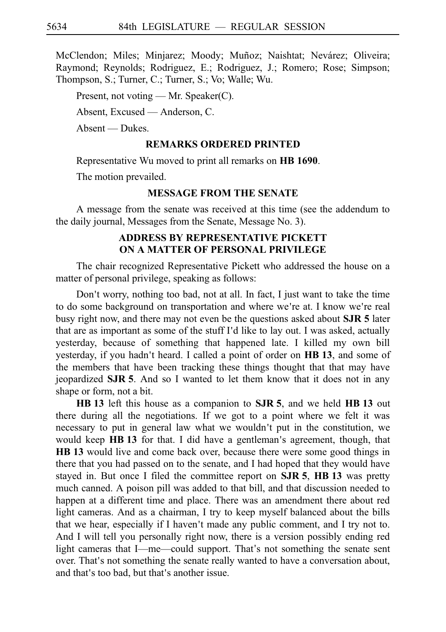McClendon; Miles; Minjarez; Moody; Muñoz; Naishtat; Nevárez; Oliveira; Raymond; Reynolds; Rodriguez, E.; Rodriguez, J.; Romero; Rose; Simpson; Thompson, S.; Turner, C.; Turner, S.; Vo; Walle; Wu.

Present, not voting — Mr. Speaker(C).

Absent, Excused — Anderson, C.

Absent — Dukes.

### **REMARKS ORDERED PRINTED**

Representative Wu moved to print all remarks on **HBi1690**.

The motion prevailed.

### **MESSAGE FROM THE SENATE**

A message from the senate was received at this time (see the addendum to the daily journal, Messages from the Senate, Message No. 3).

# **ADDRESS BY REPRESENTATIVE PICKETT ON A MATTER OF PERSONAL PRIVILEGE**

The chair recognized Representative Pickett who addressed the house on a matter of personal privilege, speaking as follows:

Don't worry, nothing too bad, not at all. In fact, I just want to take the time to do some background on transportation and where we're at. I know we're real busy right now, and there may not even be the questions asked about **SJR 5** later that are as important as some of the stuff I'd like to lay out. I was asked, actually yesterday, because of something that happened late. I killed my own bill yesterday, if you hadn't heard. I called a point of order on HB 13, and some of the members that have been tracking these things thought that that may have jeopardized **SJRi5**. And so I wanted to let them know that it does not in any shape or form, not a bit.

**HB** 13 left this house as a companion to **SJR** 5, and we held **HB** 13 out there during all the negotiations. If we got to a point where we felt it was necessary to put in general law what we wouldn't put in the constitution, we would keep **HB 13** for that. I did have a gentleman's agreement, though, that **HB** 13 would live and come back over, because there were some good things in there that you had passed on to the senate, and I had hoped that they would have stayed in. But once I filed the committee report on  $SJR$  5,  $HB$  13 was pretty much canned. A poison pill was added to that bill, and that discussion needed to happen at a different time and place. There was an amendment there about red light cameras. And as a chairman, I try to keep myself balanced about the bills that we hear, especially if I haven't made any public comment, and I try not to. And I will tell you personally right now, there is a version possibly ending red light cameras that I—me—could support. That's not something the senate sent over. That's not something the senate really wanted to have a conversation about, and that's too bad, but that's another issue.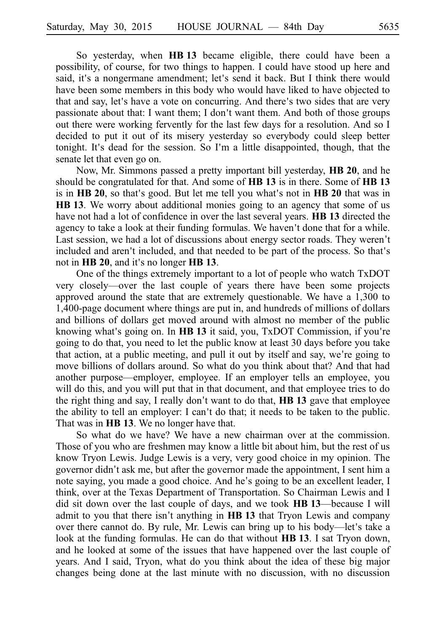So yesterday, when **HBi13** became eligible, there could have been a possibility, of course, for two things to happen. I could have stood up here and said, it's a nongermane amendment; let's send it back. But I think there would have been some members in this body who would have liked to have objected to that and say, let's have a vote on concurring. And there's two sides that are very passionate about that: I want them; I don't want them. And both of those groups out there were working fervently for the last few days for a resolution. And so I decided to put it out of its misery yesterday so everybody could sleep better tonight. It's dead for the session. So I'm a little disappointed, though, that the senate let that even go on.

Now, Mr. Simmons passed a pretty important bill yesterday, **HB 20**, and he should be congratulated for that. And some of **HBi13** is in there. Some of **HBi13** is in **HB 20**, so that's good. But let me tell you what's not in **HB 20** that was in **HB** 13. We worry about additional monies going to an agency that some of us have not had a lot of confidence in over the last several years. **HB 13** directed the agency to take a look at their funding formulas. We haven't done that for a while. Last session, we had a lot of discussions about energy sector roads. They weren't included and aren't included, and that needed to be part of the process. So that's not in **HB 20**, and it's no longer **HB 13**.

One of the things extremely important to a lot of people who watch TxDOT very closely—over the last couple of years there have been some projects approved around the state that are extremely questionable. We have a 1,300 to 1,400-page document where things are put in, and hundreds of millions of dollars and billions of dollars get moved around with almost no member of the public knowing what's going on. In **HB 13** it said, you, TxDOT Commission, if you're going to do that, you need to let the public know at least 30 days before you take that action, at a public meeting, and pull it out by itself and say, we're going to move billions of dollars around. So what do you think about that? And that had another purpose—employer, employee. If an employer tells an employee, you will do this, and you will put that in that document, and that employee tries to do the right thing and say, I really don't want to do that, **HB 13** gave that employee the ability to tell an employer: I can't do that; it needs to be taken to the public. That was in **HB 13**. We no longer have that.

So what do we have? We have a new chairman over at the commission. Those of you who are freshmen may know a little bit about him, but the rest of us know Tryon Lewis. Judge Lewis is a very, very good choice in my opinion. The governor didn't ask me, but after the governor made the appointment, I sent him a note saying, you made a good choice. And he's going to be an excellent leader, I think, over at the Texas Department of Transportation. So Chairman Lewis and I did sit down over the last couple of days, and we took **HBi13**—because I will admit to you that there isn't anything in **HB 13** that Tryon Lewis and company over there cannot do. By rule, Mr. Lewis can bring up to his body—let's take a look at the funding formulas. He can do that without **HBi13**. I sat Tryon down, and he looked at some of the issues that have happened over the last couple of years. And I said, Tryon, what do you think about the idea of these big major changes being done at the last minute with no discussion, with no discussion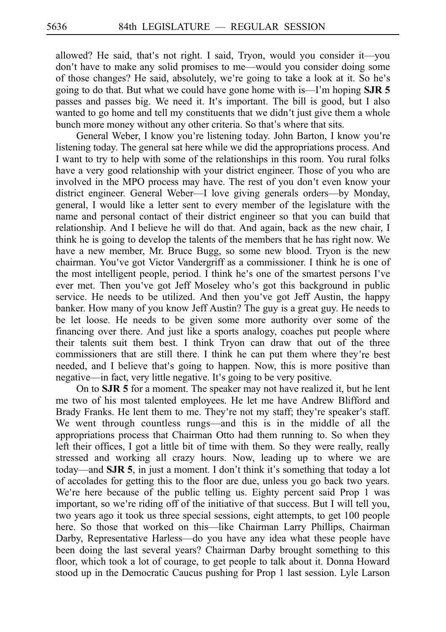allowed? He said, that's not right. I said, Tryon, would you consider it—you don't have to make any solid promises to me—would you consider doing some of those changes? He said, absolutely, we're going to take a look at it. So he's going to do that. But what we could have gone home with is—I'm hoping **SJR 5** passes and passes big. We need it. It's important. The bill is good, but I also wanted to go home and tell my constituents that we didn't just give them a whole bunch more money without any other criteria. So that's where that sits.

General Weber, I know you're listening today. John Barton, I know you're listening today. The general sat here while we did the appropriations process. And I want to try to help with some of the relationships in this room. You rural folks have a very good relationship with your district engineer. Those of you who are involved in the MPO process may have. The rest of you don't even know your district engineer. General Weber—I love giving generals orders—by Monday, general, I would like a letter sent to every member of the legislature with the name and personal contact of their district engineer so that you can build that relationship. And I believe he will do that. And again, back as the new chair, I think he is going to develop the talents of the members that he has right now. We have a new member, Mr. Bruce Bugg, so some new blood. Tryon is the new chairman. You ve got Victor Vandergriff as a commissioner. I think he is one of ' the most intelligent people, period. I think he's one of the smartest persons I've ever met. Then you've got Jeff Moseley who's got this background in public service. He needs to be utilized. And then you've got Jeff Austin, the happy banker. How many of you know Jeff Austin? The guy is a great guy. He needs to be let loose. He needs to be given some more authority over some of the financing over there. And just like a sports analogy, coaches put people where their talents suit them best. I think Tryon can draw that out of the three commissioners that are still there. I think he can put them where they're best needed, and I believe that's going to happen. Now, this is more positive than negative—in fact, very little negative. It's going to be very positive.

On to **SJR 5** for a moment. The speaker may not have realized it, but he lent me two of his most talented employees. He let me have Andrew Blifford and Brady Franks. He lent them to me. They're not my staff; they're speaker's staff. We went through countless rungs—and this is in the middle of all the appropriations process that Chairman Otto had them running to. So when they left their offices, I got a little bit of time with them. So they were really, really stressed and working all crazy hours. Now, leading up to where we are today—and **SJR 5**, in just a moment. I don't think it's something that today a lot of accolades for getting this to the floor are due, unless you go back two years. We're here because of the public telling us. Eighty percent said Prop 1 was important, so we're riding off of the initiative of that success. But I will tell you, two years ago it took us three special sessions, eight attempts, to get 100 people here. So those that worked on this—like Chairman Larry Phillips, Chairman Darby, Representative Harless—do you have any idea what these people have been doing the last several years? Chairman Darby brought something to this floor, which took a lot of courage, to get people to talk about it. Donna Howard stood up in the Democratic Caucus pushing for Prop 1 last session. Lyle Larson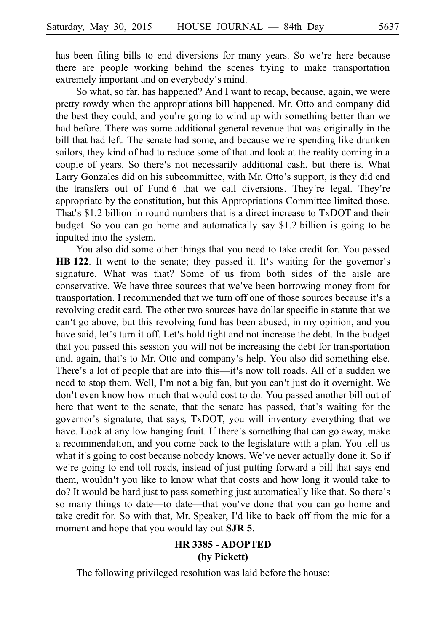has been filing bills to end diversions for many years. So we're here because there are people working behind the scenes trying to make transportation extremely important and on everybody's mind.

So what, so far, has happened? And I want to recap, because, again, we were pretty rowdy when the appropriations bill happened. Mr. Otto and company did the best they could, and you re going to wind up with something better than we ' had before. There was some additional general revenue that was originally in the bill that had left. The senate had some, and because we're spending like drunken sailors, they kind of had to reduce some of that and look at the reality coming in a couple of years. So there's not necessarily additional cash, but there is. What Larry Gonzales did on his subcommittee, with Mr. Otto's support, is they did end the transfers out of Fund 6 that we call diversions. They're legal. They're appropriate by the constitution, but this Appropriations Committee limited those. That's  $$1.2$  billion in round numbers that is a direct increase to  $TxDOT$  and their budget. So you can go home and automatically say \$1.2 billion is going to be inputted into the system.

You also did some other things that you need to take credit for. You passed HB 122. It went to the senate; they passed it. It's waiting for the governor's signature. What was that? Some of us from both sides of the aisle are conservative. We have three sources that we've been borrowing money from for transportation. I recommended that we turn off one of those sources because it's a revolving credit card. The other two sources have dollar specific in statute that we can't go above, but this revolving fund has been abused, in my opinion, and you have said, let's turn it off. Let's hold tight and not increase the debt. In the budget that you passed this session you will not be increasing the debt for transportation and, again, that's to Mr. Otto and company's help. You also did something else. There's a lot of people that are into this—it's now toll roads. All of a sudden we need to stop them. Well, I'm not a big fan, but you can't just do it overnight. We don't even know how much that would cost to do. You passed another bill out of here that went to the senate, that the senate has passed, that's waiting for the governor's signature, that says, TxDOT, you will inventory everything that we have. Look at any low hanging fruit. If there's something that can go away, make a recommendation, and you come back to the legislature with a plan. You tell us what it's going to cost because nobody knows. We've never actually done it. So if we're going to end toll roads, instead of just putting forward a bill that says end them, wouldn't you like to know what that costs and how long it would take to do? It would be hard just to pass something just automatically like that. So there's so many things to date—to date—that you've done that you can go home and take credit for. So with that, Mr. Speaker, I'd like to back off from the mic for a moment and hope that you would lay out **SJR 5**.

# **HR 3385 - ADOPTED (by Pickett)**

The following privileged resolution was laid before the house: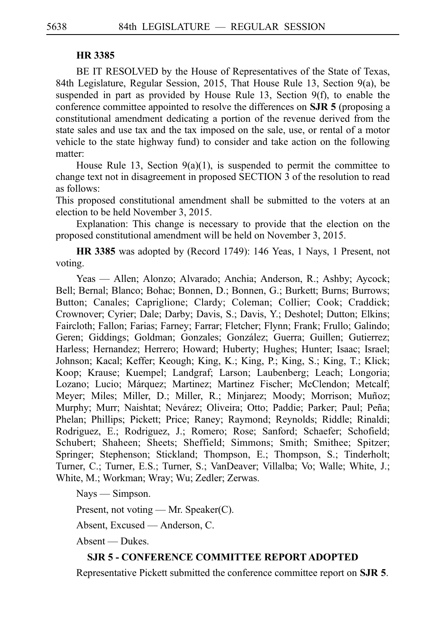### **HR 3385**

BE IT RESOLVED by the House of Representatives of the State of Texas, 84th Legislature, Regular Session, 2015, That House Rule 13, Section 9(a), be suspended in part as provided by House Rule 13, Section 9(f), to enable the conference committee appointed to resolve the differences on **SJR 5** (proposing a constitutional amendment dedicating a portion of the revenue derived from the state sales and use tax and the tax imposed on the sale, use, or rental of a motor vehicle to the state highway fund) to consider and take action on the following matter:

House Rule 13, Section  $9(a)(1)$ , is suspended to permit the committee to change text not in disagreement in proposed SECTION 3 of the resolution to read as follows:

This proposed constitutional amendment shall be submitted to the voters at an election to be held November 3, 2015.

Explanation: This change is necessary to provide that the election on the proposed constitutional amendment will be held on November 3, 2015.

**HR 3385** was adopted by (Record 1749): 146 Yeas, 1 Nays, 1 Present, not voting.

Yeas — Allen; Alonzo; Alvarado; Anchia; Anderson, R.; Ashby; Aycock; Bell; Bernal; Blanco; Bohac; Bonnen, D.; Bonnen, G.; Burkett; Burns; Burrows; Button; Canales; Capriglione; Clardy; Coleman; Collier; Cook; Craddick; Crownover; Cyrier; Dale; Darby; Davis, S.; Davis, Y.; Deshotel; Dutton; Elkins; Faircloth; Fallon; Farias; Farney; Farrar; Fletcher; Flynn; Frank; Frullo; Galindo; Geren; Giddings; Goldman; Gonzales; González; Guerra; Guillen; Gutierrez; Harless; Hernandez; Herrero; Howard; Huberty; Hughes; Hunter; Isaac; Israel; Johnson; Kacal; Keffer; Keough; King, K.; King, P.; King, S.; King, T.; Klick; Koop; Krause; Kuempel; Landgraf; Larson; Laubenberg; Leach; Longoria; Lozano; Lucio; Márquez; Martinez; Martinez Fischer; McClendon; Metcalf; Meyer; Miles; Miller, D.; Miller, R.; Minjarez; Moody; Morrison; Muñoz; Murphy; Murr; Naishtat; Nevárez; Oliveira; Otto; Paddie; Parker; Paul; Peña; Phelan; Phillips; Pickett; Price; Raney; Raymond; Reynolds; Riddle; Rinaldi; Rodriguez, E.; Rodriguez, J.; Romero; Rose; Sanford; Schaefer; Schofield; Schubert; Shaheen; Sheets; Sheffield; Simmons; Smith; Smithee; Spitzer; Springer; Stephenson; Stickland; Thompson, E.; Thompson, S.; Tinderholt; Turner, C.; Turner, E.S.; Turner, S.; VanDeaver; Villalba; Vo; Walle; White, J.; White, M.; Workman; Wray; Wu; Zedler; Zerwas.

Nays — Simpson.

Present, not voting — Mr. Speaker(C).

Absent, Excused — Anderson, C.

Absent — Dukes.

## **SJR 5 - CONFERENCE COMMITTEE REPORT ADOPTED**

Representative Pickett submitted the conference committee report on **SJR 5**.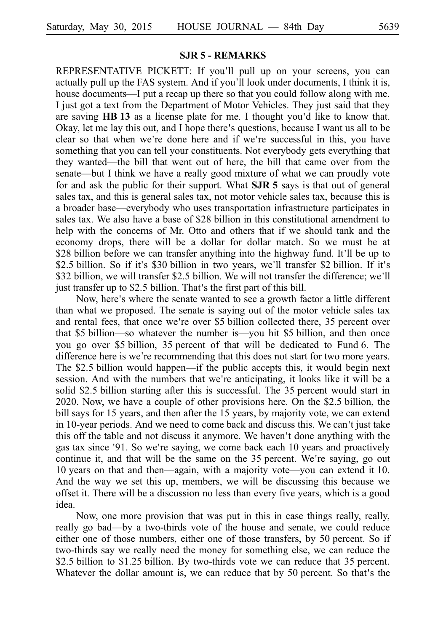REPRESENTATIVE PICKETT: If you'll pull up on your screens, you can actually pull up the FAS system. And if you'll look under documents, I think it is, house documents—I put a recap up there so that you could follow along with me. I just got a text from the Department of Motor Vehicles. They just said that they are saving **HB 13** as a license plate for me. I thought you'd like to know that. Okay, let me lay this out, and I hope there's questions, because I want us all to be clear so that when we're done here and if we're successful in this, you have something that you can tell your constituents. Not everybody gets everything that they wanted—the bill that went out of here, the bill that came over from the senate—but I think we have a really good mixture of what we can proudly vote for and ask the public for their support. What **SJR 5** says is that out of general sales tax, and this is general sales tax, not motor vehicle sales tax, because this is a broader base—everybody who uses transportation infrastructure participates in sales tax. We also have a base of \$28 billion in this constitutional amendment to help with the concerns of Mr. Otto and others that if we should tank and the economy drops, there will be a dollar for dollar match. So we must be at \$28 billion before we can transfer anything into the highway fund. It'll be up to \$2.5 billion. So if it's \$30 billion in two years, we'll transfer \$2 billion. If it's \$32 billion, we will transfer \$2.5 billion. We will not transfer the difference; we'll just transfer up to \$2.5 billion. That's the first part of this bill.

Now, here's where the senate wanted to see a growth factor a little different than what we proposed. The senate is saying out of the motor vehicle sales tax and rental fees, that once we're over \$5 billion collected there, 35 percent over that \$5 billion—so whatever the number is—you hit \$5 billion, and then once you go over \$5 billion, 35 percent of that will be dedicated to Fund 6. The difference here is we're recommending that this does not start for two more years. The \$2.5 billion would happen—if the public accepts this, it would begin next session. And with the numbers that we're anticipating, it looks like it will be a solid \$2.5 billion starting after this is successful. The 35 percent would start in 2020. Now, we have a couple of other provisions here. On the \$2.5 billion, the bill says for 15 years, and then after the 15 years, by majority vote, we can extend in 10-year periods. And we need to come back and discuss this. We can't just take this off the table and not discuss it anymore. We haven't done anything with the gas tax since '91. So we're saying, we come back each 10 years and proactively continue it, and that will be the same on the  $35$  percent. We re saying, go out 10 years on that and then—again, with a majority vote—you can extend it 10. And the way we set this up, members, we will be discussing this because we offset it. There will be a discussion no less than every five years, which is a good idea.

Now, one more provision that was put in this in case things really, really, really go bad—by a two-thirds vote of the house and senate, we could reduce either one of those numbers, either one of those transfers, by 50 percent. So if two-thirds say we really need the money for something else, we can reduce the \$2.5 billion to \$1.25 billion. By two-thirds vote we can reduce that 35 percent. Whatever the dollar amount is, we can reduce that by 50 percent. So that's the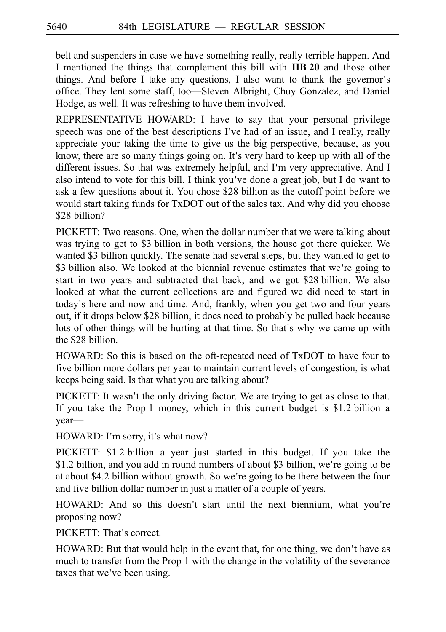belt and suspenders in case we have something really, really terrible happen. And I mentioned the things that complement this bill with **HBi20** and those other things. And before I take any questions, I also want to thank the governor s' office. They lent some staff, too—Steven Albright, Chuy Gonzalez, and Daniel Hodge, as well. It was refreshing to have them involved.

REPRESENTATIVE HOWARD: I have to say that your personal privilege speech was one of the best descriptions I've had of an issue, and I really, really appreciate your taking the time to give us the big perspective, because, as you know, there are so many things going on. It's very hard to keep up with all of the different issues. So that was extremely helpful, and I'm very appreciative. And I also intend to vote for this bill. I think you ve done a great job, but I do want to ' ask a few questions about it. You chose \$28 billion as the cutoff point before we would start taking funds for TxDOT out of the sales tax. And why did you choose \$28 billion?

PICKETT: Two reasons. One, when the dollar number that we were talking about was trying to get to \$3 billion in both versions, the house got there quicker. We wanted \$3 billion quickly. The senate had several steps, but they wanted to get to \$3 billion also. We looked at the biennial revenue estimates that we're going to start in two years and subtracted that back, and we got \$28 billion. We also looked at what the current collections are and figured we did need to start in today's here and now and time. And, frankly, when you get two and four years out, if it drops below \$28 billion, it does need to probably be pulled back because lots of other things will be hurting at that time. So that's why we came up with the \$28 billion.

HOWARD: So this is based on the oft-repeated need of TxDOT to have four to five billion more dollars per year to maintain current levels of congestion, is what keeps being said. Is that what you are talking about?

PICKETT: It wasn't the only driving factor. We are trying to get as close to that. If you take the Prop 1 money, which in this current budget is  $$1.2$  billion a year—

HOWARD: I'm sorry, it's what now?

PICKETT: \$1.2 billion a year just started in this budget. If you take the \$1.2 billion, and you add in round numbers of about \$3 billion, we're going to be at about \$4.2 billion without growth. So we're going to be there between the four and five billion dollar number in just a matter of a couple of years.

HOWARD: And so this doesn't start until the next biennium, what you're proposing now?

PICKETT: That's correct.

HOWARD: But that would help in the event that, for one thing, we don't have as much to transfer from the Prop 1 with the change in the volatility of the severance taxes that we've been using.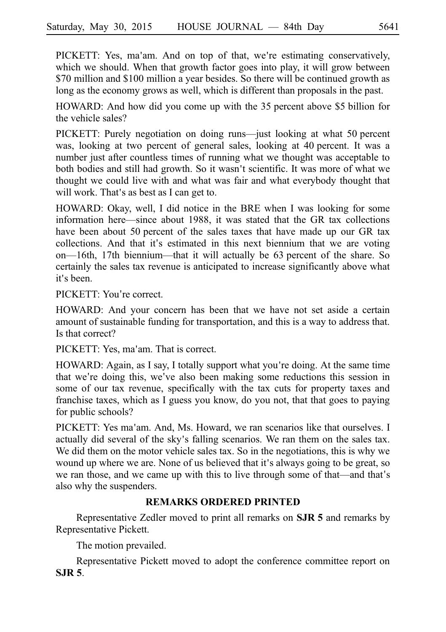PICKETT: Yes, ma'am. And on top of that, we're estimating conservatively, which we should. When that growth factor goes into play, it will grow between \$70 million and \$100 million a year besides. So there will be continued growth as long as the economy grows as well, which is different than proposals in the past.

HOWARD: And how did you come up with the 35 percent above \$5 billion for the vehicle sales?

PICKETT: Purely negotiation on doing runs—just looking at what 50 percent was, looking at two percent of general sales, looking at 40 percent. It was a number just after countless times of running what we thought was acceptable to both bodies and still had growth. So it wasn't scientific. It was more of what we thought we could live with and what was fair and what everybody thought that will work. That's as best as I can get to.

HOWARD: Okay, well, I did notice in the BRE when I was looking for some information here—since about 1988, it was stated that the GR tax collections have been about 50 percent of the sales taxes that have made up our GR tax collections. And that it's estimated in this next biennium that we are voting on—16th, 17th biennium—that it will actually be  $63$  percent of the share. So certainly the sales tax revenue is anticipated to increase significantly above what it's been.

PICKETT: You're correct.

HOWARD: And your concern has been that we have not set aside a certain amount of sustainable funding for transportation, and this is a way to address that. Is that correct?

PICKETT: Yes, ma'am. That is correct.

HOWARD: Again, as I say, I totally support what you're doing. At the same time that we're doing this, we've also been making some reductions this session in some of our tax revenue, specifically with the tax cuts for property taxes and franchise taxes, which as I guess you know, do you not, that that goes to paying for public schools?

PICKETT: Yes ma'am. And, Ms. Howard, we ran scenarios like that ourselves. I actually did several of the sky's falling scenarios. We ran them on the sales tax. We did them on the motor vehicle sales tax. So in the negotiations, this is why we wound up where we are. None of us believed that it's always going to be great, so we ran those, and we came up with this to live through some of that—and that's also why the suspenders.

# **REMARKS ORDERED PRINTED**

Representative Zedler moved to print all remarks on **SJR 5** and remarks by Representative Pickett.

The motion prevailed.

Representative Pickett moved to adopt the conference committee report on **SJR 5**.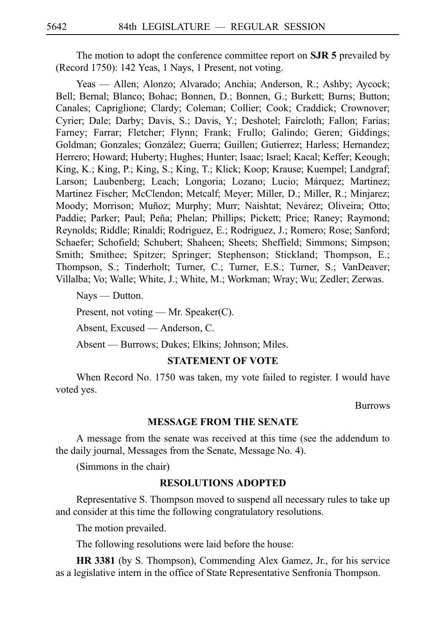The motion to adopt the conference committee report on **SJR 5** prevailed by (Record 1750): 142 Yeas, 1 Nays, 1 Present, not voting.

Yeas — Allen; Alonzo; Alvarado; Anchia; Anderson, R.; Ashby; Aycock; Bell; Bernal; Blanco; Bohac; Bonnen, D.; Bonnen, G.; Burkett; Burns; Button; Canales; Capriglione; Clardy; Coleman; Collier; Cook; Craddick; Crownover; Cyrier; Dale; Darby; Davis, S.; Davis, Y.; Deshotel; Faircloth; Fallon; Farias; Farney; Farrar; Fletcher; Flynn; Frank; Frullo; Galindo; Geren; Giddings; Goldman; Gonzales; González; Guerra; Guillen; Gutierrez; Harless; Hernandez; Herrero; Howard; Huberty; Hughes; Hunter; Isaac; Israel; Kacal; Keffer; Keough; King, K.; King, P.; King, S.; King, T.; Klick; Koop; Krause; Kuempel; Landgraf; Larson; Laubenberg; Leach; Longoria; Lozano; Lucio; Márquez; Martinez; Martinez Fischer; McClendon; Metcalf; Meyer; Miller, D.; Miller, R.; Minjarez; Moody; Morrison; Muñoz; Murphy; Murr; Naishtat; Nevárez; Oliveira; Otto; Paddie; Parker; Paul; Peña; Phelan; Phillips; Pickett; Price; Raney; Raymond; Reynolds; Riddle; Rinaldi; Rodriguez, E.; Rodriguez, J.; Romero; Rose; Sanford; Schaefer; Schofield; Schubert; Shaheen; Sheets; Sheffield; Simmons; Simpson; Smith; Smithee; Spitzer; Springer; Stephenson; Stickland; Thompson, E.; Thompson, S.; Tinderholt; Turner, C.; Turner, E.S.; Turner, S.; VanDeaver; Villalba; Vo; Walle; White, J.; White, M.; Workman; Wray; Wu; Zedler; Zerwas.

Nays — Dutton.

Present, not voting — Mr. Speaker(C).

Absent, Excused — Anderson, C.

Absent — Burrows; Dukes; Elkins; Johnson; Miles.

### **STATEMENT OF VOTE**

When Record No. 1750 was taken, my vote failed to register. I would have voted yes.

Burrows

### **MESSAGE FROM THE SENATE**

A message from the senate was received at this time (see the addendum to the daily journal, Messages from the Senate, Message No. 4).

(Simmons in the chair)

### **RESOLUTIONS ADOPTED**

Representative S. Thompson moved to suspend all necessary rules to take up and consider at this time the following congratulatory resolutions.

The motion prevailed.

The following resolutions were laid before the house:

**HR 3381** (by S. Thompson), Commending Alex Gamez, Jr., for his service as a legislative intern in the office of State Representative Senfronia Thompson.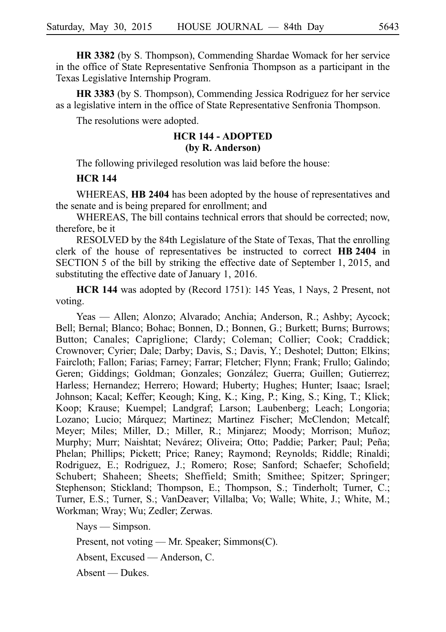**HR 3382** (by S. Thompson), Commending Shardae Womack for her service in the office of State Representative Senfronia Thompson as a participant in the Texas Legislative Internship Program.

**HR 3383** (by S. Thompson), Commending Jessica Rodriguez for her service as a legislative intern in the office of State Representative Senfronia Thompson.

The resolutions were adopted.

# **HCR 144 - ADOPTED (by R. Anderson)**

The following privileged resolution was laid before the house:

## **HCR 144**

WHEREAS, **HB 2404** has been adopted by the house of representatives and the senate and is being prepared for enrollment; and

WHEREAS, The bill contains technical errors that should be corrected; now, therefore, be it

RESOLVED by the 84th Legislature of the State of Texas, That the enrolling clerk of the house of representatives be instructed to correct **HB 2404** in SECTION 5 of the bill by striking the effective date of September 1, 2015, and substituting the effective date of January 1, 2016.

**HCR 144** was adopted by (Record 1751): 145 Yeas, 1 Nays, 2 Present, not voting.

Yeas — Allen; Alonzo; Alvarado; Anchia; Anderson, R.; Ashby; Aycock; Bell; Bernal; Blanco; Bohac; Bonnen, D.; Bonnen, G.; Burkett; Burns; Burrows; Button; Canales; Capriglione; Clardy; Coleman; Collier; Cook; Craddick; Crownover; Cyrier; Dale; Darby; Davis, S.; Davis, Y.; Deshotel; Dutton; Elkins; Faircloth; Fallon; Farias; Farney; Farrar; Fletcher; Flynn; Frank; Frullo; Galindo; Geren; Giddings; Goldman; Gonzales; González; Guerra; Guillen; Gutierrez; Harless; Hernandez; Herrero; Howard; Huberty; Hughes; Hunter; Isaac; Israel; Johnson; Kacal; Keffer; Keough; King, K.; King, P.; King, S.; King, T.; Klick; Koop; Krause; Kuempel; Landgraf; Larson; Laubenberg; Leach; Longoria; Lozano; Lucio; Márquez; Martinez; Martinez Fischer; McClendon; Metcalf; Meyer; Miles; Miller, D.; Miller, R.; Minjarez; Moody; Morrison; Muñoz; Murphy; Murr; Naishtat; Nevárez; Oliveira; Otto; Paddie; Parker; Paul; Peña; Phelan; Phillips; Pickett; Price; Raney; Raymond; Reynolds; Riddle; Rinaldi; Rodriguez, E.; Rodriguez, J.; Romero; Rose; Sanford; Schaefer; Schofield; Schubert; Shaheen; Sheets; Sheffield; Smith; Smithee; Spitzer; Springer; Stephenson; Stickland; Thompson, E.; Thompson, S.; Tinderholt; Turner, C.; Turner, E.S.; Turner, S.; VanDeaver; Villalba; Vo; Walle; White, J.; White, M.; Workman; Wray; Wu; Zedler; Zerwas.

Nays — Simpson.

Present, not voting — Mr. Speaker; Simmons(C).

Absent, Excused — Anderson, C.

Absent — Dukes.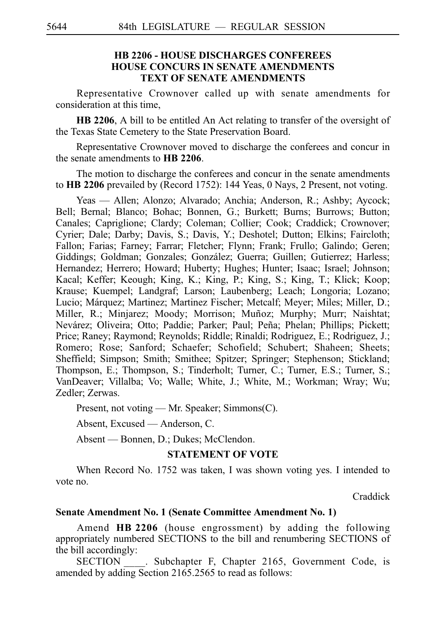# **HB 2206 - HOUSE DISCHARGES CONFEREES HOUSE CONCURS IN SENATE AMENDMENTS TEXT OF SENATE AMENDMENTS**

Representative Crownover called up with senate amendments for consideration at this time,

**HB 2206**, A bill to be entitled An Act relating to transfer of the oversight of the Texas State Cemetery to the State Preservation Board.

Representative Crownover moved to discharge the conferees and concur in the senate amendments to **HBi2206**.

The motion to discharge the conferees and concur in the senate amendments to **HBi2206** prevailed by (Record 1752): 144 Yeas, 0 Nays, 2 Present, not voting.

Yeas — Allen; Alonzo; Alvarado; Anchia; Anderson, R.; Ashby; Aycock; Bell; Bernal; Blanco; Bohac; Bonnen, G.; Burkett; Burns; Burrows; Button; Canales; Capriglione; Clardy; Coleman; Collier; Cook; Craddick; Crownover; Cyrier; Dale; Darby; Davis, S.; Davis, Y.; Deshotel; Dutton; Elkins; Faircloth; Fallon; Farias; Farney; Farrar; Fletcher; Flynn; Frank; Frullo; Galindo; Geren; Giddings; Goldman; Gonzales; González; Guerra; Guillen; Gutierrez; Harless; Hernandez; Herrero; Howard; Huberty; Hughes; Hunter; Isaac; Israel; Johnson; Kacal; Keffer; Keough; King, K.; King, P.; King, S.; King, T.; Klick; Koop; Krause; Kuempel; Landgraf; Larson; Laubenberg; Leach; Longoria; Lozano; Lucio; Márquez; Martinez; Martinez Fischer; Metcalf; Meyer; Miles; Miller, D.; Miller, R.; Minjarez; Moody; Morrison; Muñoz; Murphy; Murr; Naishtat; Nevárez; Oliveira; Otto; Paddie; Parker; Paul; Peña; Phelan; Phillips; Pickett; Price; Raney; Raymond; Reynolds; Riddle; Rinaldi; Rodriguez, E.; Rodriguez, J.; Romero; Rose; Sanford; Schaefer; Schofield; Schubert; Shaheen; Sheets; Sheffield; Simpson; Smith; Smithee; Spitzer; Springer; Stephenson; Stickland; Thompson, E.; Thompson, S.; Tinderholt; Turner, C.; Turner, E.S.; Turner, S.; VanDeaver; Villalba; Vo; Walle; White, J.; White, M.; Workman; Wray; Wu; Zedler; Zerwas.

Present, not voting — Mr. Speaker; Simmons(C).

Absent, Excused — Anderson, C.

Absent — Bonnen, D.; Dukes; McClendon.

### **STATEMENT OF VOTE**

When Record No. 1752 was taken, I was shown voting yes. I intended to vote no.

Craddick

## **Senate Amendment No. 1 (Senate Committee Amendment No.i1)**

Amend HB 2206 (house engrossment) by adding the following appropriately numbered SECTIONS to the bill and renumbering SECTIONS of the bill accordingly:

SECTION . Subchapter F, Chapter 2165, Government Code, is amended by adding Section 2165.2565 to read as follows: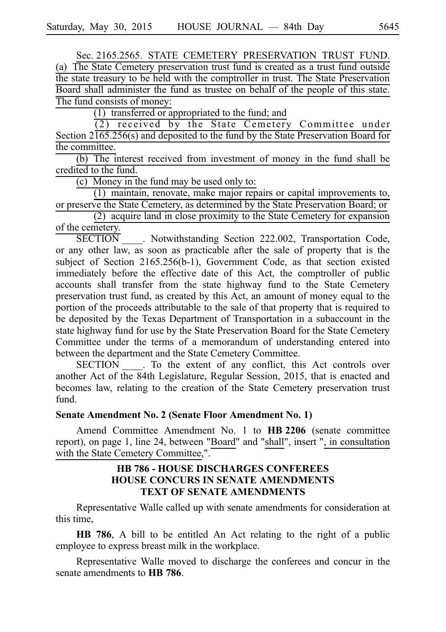Sec. 2165.2565. STATE CEMETERY PRESERVATION TRUST FUND.

(a) The State Cemetery preservation trust fund is created as a trust fund outside the state treasury to be held with the comptroller in trust. The State Preservation Board shall administer the fund as trustee on behalf of the people of this state. The fund consists of money:

 $(1)$  transferred or appropriated to the fund; and

 $(2)$  received by the State Cemetery Committee under Section  $2\overline{165.256(s)}$  and deposited to the fund by the State Preservation Board for the committee.

 $(b)$  The interest received from investment of money in the fund shall be credited to the fund.

(c) Money in the fund may be used only to:

 $(1)$  maintain, renovate, make major repairs or capital improvements to, or preserve the State Cemetery, as determined by the State Preservation Board; or

 $(2)$  acquire land in close proximity to the State Cemetery for expansion of the cemetery.

SECTION<sub>\_\_\_\_\_</sub>. Notwithstanding Section 222.002, Transportation Code, or any other law, as soon as practicable after the sale of property that is the subject of Section 2165.256(b-1), Government Code, as that section existed immediately before the effective date of this Act, the comptroller of public accounts shall transfer from the state highway fund to the State Cemetery preservation trust fund, as created by this Act, an amount of money equal to the portion of the proceeds attributable to the sale of that property that is required to be deposited by the Texas Department of Transportation in a subaccount in the state highway fund for use by the State Preservation Board for the State Cemetery Committee under the terms of a memorandum of understanding entered into between the department and the State Cemetery Committee.

SECTION . To the extent of any conflict, this Act controls over another Act of the 84th Legislature, Regular Session, 2015, that is enacted and becomes law, relating to the creation of the State Cemetery preservation trust fund.

### **Senate Amendment No. 2 (Senate Floor Amendment No. 1)**

Amend Committee Amendment No. 1 to **HB 2206** (senate committee report), on page 1, line 24, between "Board" and "shall", insert ", in consultation with the State Cemetery Committee,".

# **HB 786 - HOUSE DISCHARGES CONFEREES HOUSE CONCURS IN SENATE AMENDMENTS TEXT OF SENATE AMENDMENTS**

Representative Walle called up with senate amendments for consideration at this time,

**HB 786**, A bill to be entitled An Act relating to the right of a public employee to express breast milk in the workplace.

Representative Walle moved to discharge the conferees and concur in the senate amendments to **HB** 786.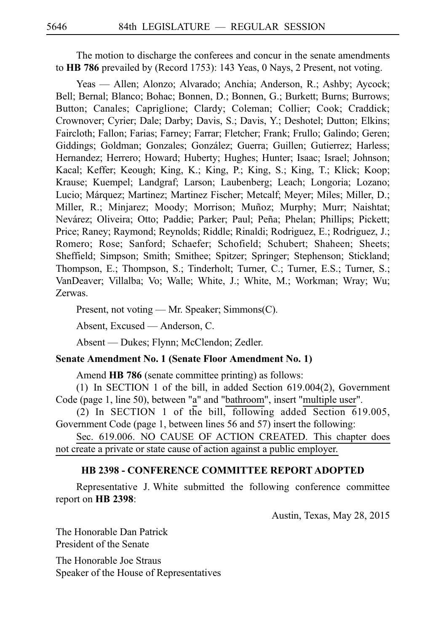The motion to discharge the conferees and concur in the senate amendments to HB 786 prevailed by (Record 1753): 143 Yeas, 0 Nays, 2 Present, not voting.

Yeas — Allen; Alonzo; Alvarado; Anchia; Anderson, R.; Ashby; Aycock; Bell; Bernal; Blanco; Bohac; Bonnen, D.; Bonnen, G.; Burkett; Burns; Burrows; Button; Canales; Capriglione; Clardy; Coleman; Collier; Cook; Craddick; Crownover; Cyrier; Dale; Darby; Davis, S.; Davis, Y.; Deshotel; Dutton; Elkins; Faircloth; Fallon; Farias; Farney; Farrar; Fletcher; Frank; Frullo; Galindo; Geren; Giddings; Goldman; Gonzales; González; Guerra; Guillen; Gutierrez; Harless; Hernandez; Herrero; Howard; Huberty; Hughes; Hunter; Isaac; Israel; Johnson; Kacal; Keffer; Keough; King, K.; King, P.; King, S.; King, T.; Klick; Koop; Krause; Kuempel; Landgraf; Larson; Laubenberg; Leach; Longoria; Lozano; Lucio; Márquez; Martinez; Martinez Fischer; Metcalf; Meyer; Miles; Miller, D.; Miller, R.; Minjarez; Moody; Morrison; Muñoz; Murphy; Murr; Naishtat; Nevárez; Oliveira; Otto; Paddie; Parker; Paul; Peña; Phelan; Phillips; Pickett; Price; Raney; Raymond; Reynolds; Riddle; Rinaldi; Rodriguez, E.; Rodriguez, J.; Romero; Rose; Sanford; Schaefer; Schofield; Schubert; Shaheen; Sheets; Sheffield; Simpson; Smith; Smithee; Spitzer; Springer; Stephenson; Stickland; Thompson, E.; Thompson, S.; Tinderholt; Turner, C.; Turner, E.S.; Turner, S.; VanDeaver; Villalba; Vo; Walle; White, J.; White, M.; Workman; Wray; Wu; Zerwas.

Present, not voting — Mr. Speaker; Simmons(C).

Absent, Excused — Anderson, C.

Absent — Dukes; Flynn; McClendon; Zedler.

#### **Senate Amendment No. 1 (Senate Floor Amendment No. 1)**

Amend **HB 786** (senate committee printing) as follows:

(1) In SECTION 1 of the bill, in added Section  $619.004(2)$ , Government Code (page 1, line 50), between "a" and "bathroom", insert "multiple user".

(2) In SECTION 1 of the bill, following added Section 619.005, Government Code (page 1, between lines 56 and 57) insert the following:

Sec. 619.006. NO CAUSE OF ACTION CREATED. This chapter does not create a private or state cause of action against a public employer.

### **HB 2398 - CONFERENCE COMMITTEE REPORT ADOPTED**

Representative J. White submitted the following conference committee report on **HB** 2398:

Austin, Texas, May 28, 2015

The Honorable Dan Patrick President of the Senate

The Honorable Joe Straus Speaker of the House of Representatives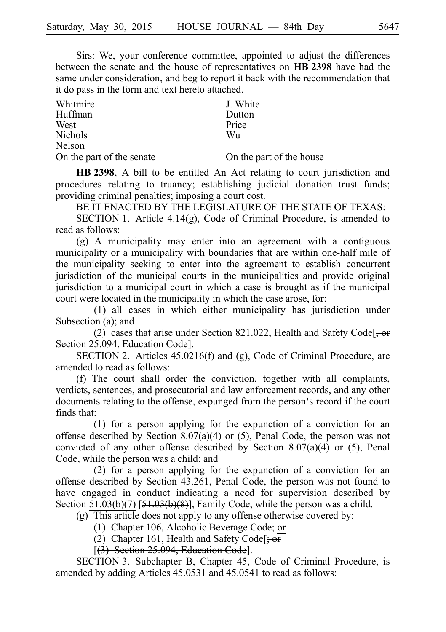Sirs: We, your conference committee, appointed to adjust the differences between the senate and the house of representatives on HB 2398 have had the same under consideration, and beg to report it back with the recommendation that it do pass in the form and text hereto attached.

| Whitmire                  | J. White                 |
|---------------------------|--------------------------|
| Huffman                   | Dutton                   |
| West                      | Price                    |
| <b>Nichols</b>            | Wu                       |
| Nelson                    |                          |
| On the part of the senate | On the part of the house |

HB 2398, A bill to be entitled An Act relating to court jurisdiction and procedures relating to truancy; establishing judicial donation trust funds; providing criminal penalties; imposing a court cost.

BE IT ENACTED BY THE LEGISLATURE OF THE STATE OF TEXAS:

SECTION 1. Article 4.14(g), Code of Criminal Procedure, is amended to read as follows:

 $(g)$  A municipality may enter into an agreement with a contiguous municipality or a municipality with boundaries that are within one-half mile of the municipality seeking to enter into the agreement to establish concurrent jurisdiction of the municipal courts in the municipalities and provide original jurisdiction to a municipal court in which a case is brought as if the municipal court were located in the municipality in which the case arose, for:

 $(1)$  all cases in which either municipality has jurisdiction under Subsection (a); and

(2) cases that arise under Section 821.022, Health and Safety Code. $\frac{1}{2}$ Section 25.094, Education Code].

SECTION 2. Articles 45.0216(f) and (g), Code of Criminal Procedure, are amended to read as follows:

(f) The court shall order the conviction, together with all complaints, verdicts, sentences, and prosecutorial and law enforcement records, and any other documents relating to the offense, expunged from the person's record if the court finds that:

 $(1)$  for a person applying for the expunction of a conviction for an offense described by Section 8.07(a)(4) or (5), Penal Code, the person was not convicted of any other offense described by Section 8.07(a)(4) or (5), Penal Code, while the person was a child; and

(2) for a person applying for the expunction of a conviction for an offense described by Section 43.261, Penal Code, the person was not found to have engaged in conduct indicating a need for supervision described by Section  $\overline{51.03(b)(7)}$  [ $\overline{51.03(b)(8)}$ ], Family Code, while the person was a child.

- $(g)$  This article does not apply to any offense otherwise covered by:
	- (1) Chapter 106, Alcoholic Beverage Code; or
	- (2) Chapter 161, Health and Safety Code<sup>[; or</sup>

[(3) Section 25.094, Education Code].

SECTION 3. Subchapter B, Chapter 45, Code of Criminal Procedure, is amended by adding Articles 45.0531 and 45.0541 to read as follows: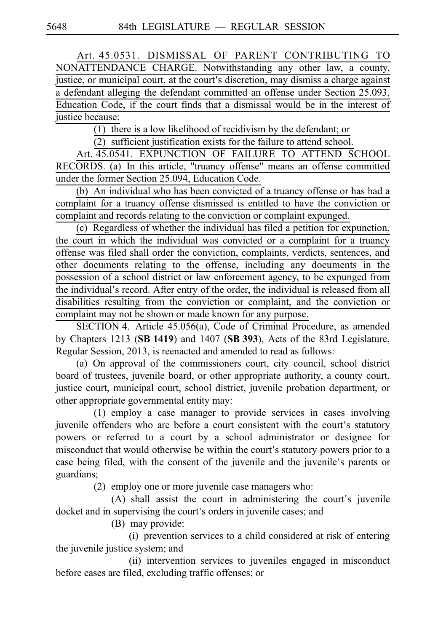Art. 45.0531. DISMISSAL OF PARENT CONTRIBUTING TO NONATTENDANCE CHARGE. Notwithstanding any other law, a county, justice, or municipal court, at the court's discretion, may dismiss a charge against a defendant alleging the defendant committed an offense under Section 25.093, Education Code, if the court finds that a dismissal would be in the interest of justice because:

 $\overline{(1)}$  there is a low likelihood of recidivism by the defendant; or

 $(2)$  sufficient justification exists for the failure to attend school.

Art. 45.0541. EXPUNCTION OF FAILURE TO ATTEND SCHOOL RECORDS. (a) In this article, "truancy offense" means an offense committed under the former Section 25.094, Education Code.

(b) An individual who has been convicted of a truancy offense or has had a complaint for a truancy offense dismissed is entitled to have the conviction or complaint and records relating to the conviction or complaint expunged.

(c) Regardless of whether the individual has filed a petition for expunction, the court in which the individual was convicted or a complaint for a truancy offense was filed shall order the conviction, complaints, verdicts, sentences, and other documents relating to the offense, including any documents in the possession of a school district or law enforcement agency, to be expunged from the individual's record. After entry of the order, the individual is released from all disabilities resulting from the conviction or complaint, and the conviction or complaint may not be shown or made known for any purpose.

SECTION 4. Article 45.056(a), Code of Criminal Procedure, as amended by Chapters 1213 (SB 1419) and 1407 (SB 393), Acts of the 83rd Legislature, Regular Session, 2013, is reenacted and amended to read as follows:

(a) On approval of the commissioners court, city council, school district board of trustees, juvenile board, or other appropriate authority, a county court, justice court, municipal court, school district, juvenile probation department, or other appropriate governmental entity may:

 $(1)$  employ a case manager to provide services in cases involving juvenile offenders who are before a court consistent with the court's statutory powers or referred to a court by a school administrator or designee for misconduct that would otherwise be within the court's statutory powers prior to a case being filed, with the consent of the juvenile and the juvenile's parents or guardians;

(2) employ one or more juvenile case managers who:

 $(A)$  shall assist the court in administering the court's juvenile docket and in supervising the court's orders in juvenile cases; and

(B) may provide:

(i) prevention services to a child considered at risk of entering the juvenile justice system; and

(ii) intervention services to juveniles engaged in misconduct before cases are filed, excluding traffic offenses; or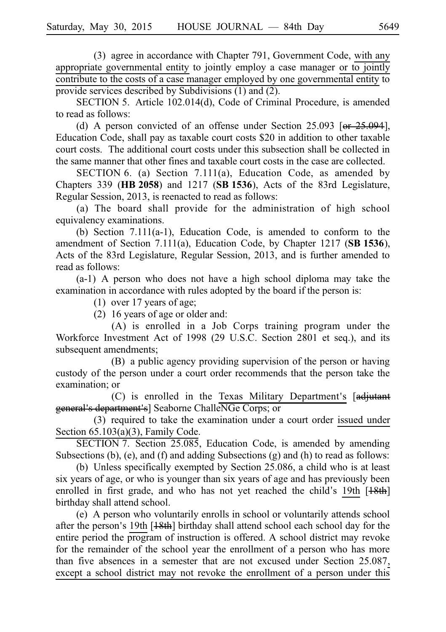(3) agree in accordance with Chapter 791, Government Code, with any appropriate governmental entity to jointly employ a case manager or to jointly contribute to the costs of a case manager employed by one governmental entity to provide services described by Subdivisions (1) and (2).

SECTION 5. Article 102.014(d), Code of Criminal Procedure, is amended to read as follows:

(d) A person convicted of an offense under Section 25.093 [or  $25.094$ ], Education Code, shall pay as taxable court costs \$20 in addition to other taxable court costs. The additional court costs under this subsection shall be collected in the same manner that other fines and taxable court costs in the case are collected.

SECTION 6. (a) Section 7.111(a), Education Code, as amended by Chapters 339 (**HBi2058**) and 1217 (**SBi1536**), Acts of the 83rd Legislature, Regular Session, 2013, is reenacted to read as follows:

(a) The board shall provide for the administration of high school equivalency examinations.

(b) Section 7.111(a-1), Education Code, is amended to conform to the amendment of Section 7.111(a), Education Code, by Chapter 1217 (SB 1536), Acts of the 83rd Legislature, Regular Session, 2013, and is further amended to read as follows:

 $(a-1)$  A person who does not have a high school diploma may take the examination in accordance with rules adopted by the board if the person is:

(1) over 17 years of age;

 $(2)$  16 years of age or older and:

(A) is enrolled in a Job Corps training program under the Workforce Investment Act of 1998 (29 U.S.C. Section 2801 et seq.), and its subsequent amendments;

(B) a public agency providing supervision of the person or having custody of the person under a court order recommends that the person take the examination; or

 $(C)$  is enrolled in the Texas Military Department's  $[adj;]$ general's department's] Seaborne ChalleNGe Corps; or

(3) required to take the examination under a court order issued under Section 65.103(a)(3), Family Code.

SECTION 7. Section 25.085, Education Code, is amended by amending Subsections (b), (e), and (f) and adding Subsections (g) and (h) to read as follows:

(b) Unless specifically exempted by Section  $25.086$ , a child who is at least six years of age, or who is younger than six years of age and has previously been enrolled in first grade, and who has not yet reached the child's 19th  $[18th]$ birthday shall attend school.

(e) A person who voluntarily enrolls in school or voluntarily attends school after the person's 19th  $[18th]$  birthday shall attend school each school day for the entire period the program of instruction is offered. A school district may revoke for the remainder of the school year the enrollment of a person who has more than five absences in a semester that are not excused under Section 25.087, except a school district may not revoke the enrollment of a person under this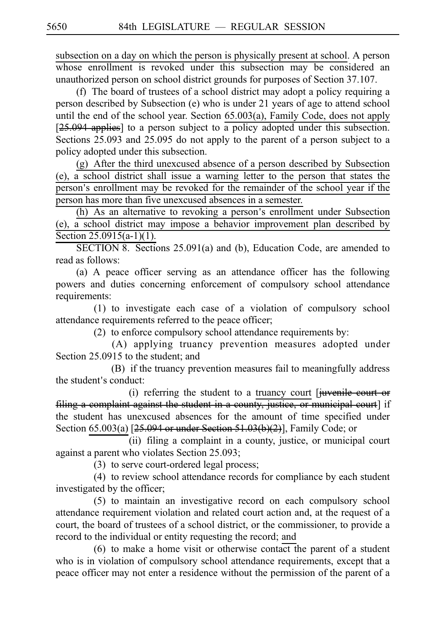subsection on a day on which the person is physically present at school. A person whose enrollment is revoked under this subsection may be considered an unauthorized person on school district grounds for purposes of Section 37.107.

(f) The board of trustees of a school district may adopt a policy requiring a person described by Subsection (e) who is under 21 years of age to attend school until the end of the school year. Section 65.003(a), Family Code, does not apply [25.094 applies] to a person subject to a policy adopted under this subsection. Sections 25.093 and 25.095 do not apply to the parent of a person subject to a policy adopted under this subsection.

(g) After the third unexcused absence of a person described by Subsection (e), a school district shall issue a warning letter to the person that states the person's enrollment may be revoked for the remainder of the school year if the person has more than five unexcused absences in a semester.

(h) As an alternative to revoking a person's enrollment under Subsection (e), a school district may impose a behavior improvement plan described by Section 25.0915(a-1)(1).

SECTION 8. Sections 25.091(a) and (b), Education Code, are amended to read as follows:

(a) A peace officer serving as an attendance officer has the following powers and duties concerning enforcement of compulsory school attendance requirements:

 $(1)$  to investigate each case of a violation of compulsory school attendance requirements referred to the peace officer;

(2) to enforce compulsory school attendance requirements by:

(A) applying truancy prevention measures adopted under Section 25.0915 to the student; and

(B) if the truancy prevention measures fail to meaningfully address the student's conduct:

(i) referring the student to a truancy court  $[i]$ uvenile court or filing a complaint against the student in a county, justice, or municipal court] if the student has unexcused absences for the amount of time specified under Section 65.003(a) [25.094 or under Section 51.03(b)(2)], Family Code; or

(ii) filing a complaint in a county, justice, or municipal court against a parent who violates Section 25.093;

(3) to serve court-ordered legal process;

(4) to review school attendance records for compliance by each student investigated by the officer;

(5) to maintain an investigative record on each compulsory school attendance requirement violation and related court action and, at the request of a court, the board of trustees of a school district, or the commissioner, to provide a record to the individual or entity requesting the record; and

 $(6)$  to make a home visit or otherwise contact the parent of a student who is in violation of compulsory school attendance requirements, except that a peace officer may not enter a residence without the permission of the parent of a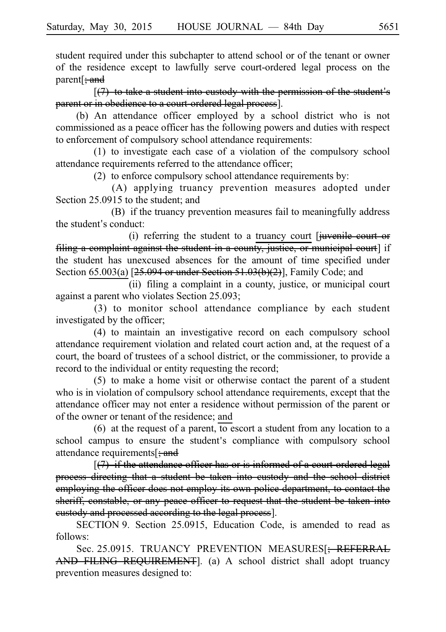student required under this subchapter to attend school or of the tenant or owner of the residence except to lawfully serve court-ordered legal process on the parent<sup>[</sup>; and

 $[$ (7) to take a student into custody with the permission of the student's parent or in obedience to a court-ordered legal process].

(b) An attendance officer employed by a school district who is not commissioned as a peace officer has the following powers and duties with respect to enforcement of compulsory school attendance requirements:

 $(1)$  to investigate each case of a violation of the compulsory school attendance requirements referred to the attendance officer;

 $(2)$  to enforce compulsory school attendance requirements by:

(A) applying truancy prevention measures adopted under Section 25.0915 to the student; and

(B) if the truancy prevention measures fail to meaningfully address the student's conduct:

(i) referring the student to a truancy court  $\theta$  [juvenile court or filing a complaint against the student in a county, justice, or municipal court] if the student has unexcused absences for the amount of time specified under Section  $65.003(a)$  [ $25.094$  or under Section  $51.03(b)(2)$ ], Family Code; and

(ii) filing a complaint in a county, justice, or municipal court against a parent who violates Section 25.093;

 $(3)$  to monitor school attendance compliance by each student investigated by the officer;

(4) to maintain an investigative record on each compulsory school attendance requirement violation and related court action and, at the request of a court, the board of trustees of a school district, or the commissioner, to provide a record to the individual or entity requesting the record;

 $(5)$  to make a home visit or otherwise contact the parent of a student who is in violation of compulsory school attendance requirements, except that the attendance officer may not enter a residence without permission of the parent or of the owner or tenant of the residence; and

 $(6)$  at the request of a parent, to escort a student from any location to a school campus to ensure the student's compliance with compulsory school attendance requirements  $\frac{1}{2}$  and

 $[(7)$  if the attendance officer has or is informed of a court-ordered legal process directing that a student be taken into custody and the school district employing the officer does not employ its own police department, to contact the sheriff, constable, or any peace officer to request that the student be taken into custody and processed according to the legal process].

SECTION 9. Section 25.0915, Education Code, is amended to read as follows:

Sec. 25.0915. TRUANCY PREVENTION MEASURES<sup>[</sup>; REFERRAL AND FILING REQUIREMENT]. (a) A school district shall adopt truancy prevention measures designed to: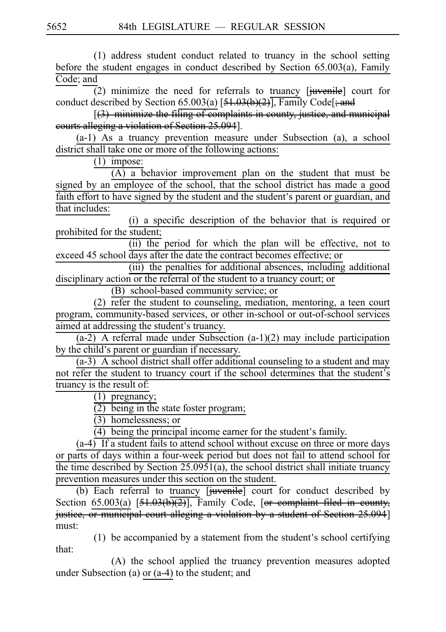(1) address student conduct related to truancy in the school setting before the student engages in conduct described by Section 65.003(a), Family Code; and

(2) minimize the need for referrals to truancy  $[\overline{i}$ uvenile] court for conduct described by Section 65.003(a)  $[51.03(b)(2)]$ , Family Code[; and

 $[3]$  minimize the filing of complaints in county, justice, and municipal courts alleging a violation of Section 25.094].

(a-1) As a truancy prevention measure under Subsection (a), a school district shall take one or more of the following actions:

 $(1)$  impose:

 $(A)$  a behavior improvement plan on the student that must be signed by an employee of the school, that the school district has made a good faith effort to have signed by the student and the student's parent or guardian, and that includes:

 $(i)$  a specific description of the behavior that is required or prohibited for the student;

(ii) the period for which the plan will be effective, not to exceed 45 school days after the date the contract becomes effective; or

(iii) the penalties for additional absences, including additional disciplinary action or the referral of the student to a truancy court; or

(B) school-based community service; or

(2)  $\overline{\text{refer}}$  the student to counseling, mediation, mentoring, a teen court program, community-based services, or other in-school or out-of-school services aimed at addressing the student's truancy.

 $(a-2)$  A referral made under Subsection  $(a-1)(2)$  may include participation by the child's parent or guardian if necessary.

 $(a-3)$  A school district shall offer additional counseling to a student and may not refer the student to truancy court if the school determines that the student's truancy is the result of:

 $(1)$  pregnancy;

 $\overline{(2)}$  being in the state foster program;

 $\overline{(3)}$  homelessness; or

 $(4)$  being the principal income earner for the student's family.

 $(a-4)$  If a student fails to attend school without excuse on three or more days or parts of days within a four-week period but does not fail to attend school for the time described by Section 25.0951(a), the school district shall initiate truancy prevention measures under this section on the student.

(b) Each referral to  $\frac{truancy}{drum}$  [juvenile] court for conduct described by Section  $65.003(a)$  [ $51.03(b)(2)$ ], Family Code, [or complaint filed in county, justice, or municipal court alleging a violation by a student of Section 25.094] must:

 $(1)$  be accompanied by a statement from the student's school certifying that:

(A) the school applied the truancy prevention measures adopted under Subsection (a) or (a-4) to the student; and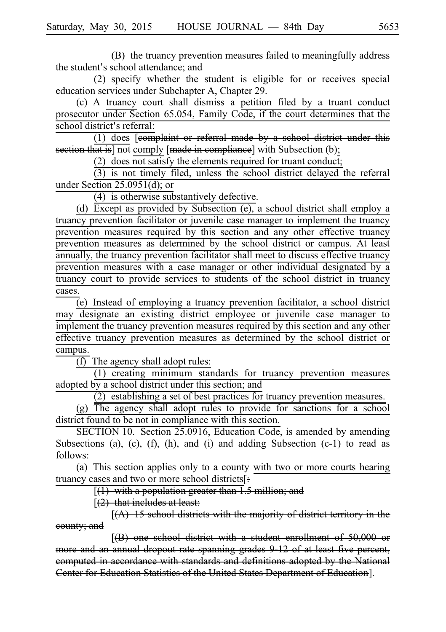(B) the truancy prevention measures failed to meaningfully address the student's school attendance; and

 $(2)$  specify whether the student is eligible for or receives special education services under Subchapter A, Chapter 29.

(c) A truancy court shall dismiss a petition filed by a truant conduct prosecutor under Section 65.054, Family Code, if the court determines that the school district's referral:

 $(1)$  does  $\overline{[eomplement]}$  or referral made by a school district under this section that is] not comply [made in compliance] with Subsection (b);

(2) does not satisfy the elements required for truant conduct;

 $(3)$  is not timely filed, unless the school district delayed the referral under Section 25.0951(d); or

 $(4)$  is otherwise substantively defective.

(d) Except as provided by Subsection  $(e)$ , a school district shall employ a truancy prevention facilitator or juvenile case manager to implement the truancy prevention measures required by this section and any other effective truancy prevention measures as determined by the school district or campus. At least annually, the truancy prevention facilitator shall meet to discuss effective truancy prevention measures with a case manager or other individual designated by a truancy court to provide services to students of the school district in truancy cases.

 $\overline{e}$  Instead of employing a truancy prevention facilitator, a school district may designate an existing district employee or juvenile case manager to implement the truancy prevention measures required by this section and any other effective truancy prevention measures as determined by the school district or campus.

 $\overline{(f)}$  The agency shall adopt rules:

 $(1)$  creating minimum standards for truancy prevention measures adopted by a school district under this section; and

 $(2)$  establishing a set of best practices for truancy prevention measures.

 $(g)$  The agency shall adopt rules to provide for sanctions for a school district found to be not in compliance with this section.

SECTION 10. Section 25.0916, Education Code, is amended by amending Subsections (a), (c),  $(f)$ ,  $(h)$ , and  $(i)$  and adding Subsection  $(c-1)$  to read as follows:

(a) This section applies only to a county with two or more courts hearing truancy cases and two or more school districts[:

 $[(1)$  with a population greater than  $\overline{1.5}$  million; and

 $(2)$  that includes at least:

 $[(A)$  15 school districts with the majority of district territory in the county; and

[(B) one school district with a student enrollment of 50,000 or more and an annual dropout rate spanning grades 9-12 of at least five percent, computed in accordance with standards and definitions adopted by the National Center for Education Statistics of the United States Department of Education].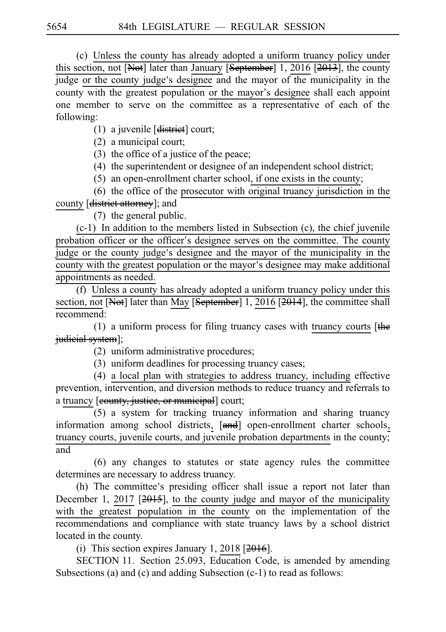(c) Unless the county has already adopted a uniform truancy policy under this section, not [Not] later than January [September] 1, 2016 [2013], the county judge or the county judge's designee and the mayor of the municipality in the county with the greatest population or the mayor's designee shall each appoint one member to serve on the committee as a representative of each of the following:

(1) a juvenile  $[**distinct**]$  court;

 $(2)$  a municipal court;

(3) the office of a justice of the peace;

 $(4)$  the superintendent or designee of an independent school district;

 $(5)$  an open-enrollment charter school, if one exists in the county;

 $(6)$  the office of the prosecutor with original truancy jurisdiction in the county [district attorney]; and

 $(7)$  the general public.

 $(c-1)$  In addition to the members listed in Subsection  $(c)$ , the chief juvenile probation officer or the officer's designee serves on the committee. The county judge or the county judge's designee and the mayor of the municipality in the county with the greatest population or the mayor's designee may make additional appointments as needed.

(f) Unless a county has already adopted a uniform truancy policy under this section, not [Not] later than May [September] 1, 2016 [2014], the committee shall recommend:

(1) a uniform process for filing truancy cases with truancy courts  $[the]$ judicial system];

 $(2)$  uniform administrative procedures;

(3) uniform deadlines for processing truancy cases;

 $(4)$  a local plan with strategies to address truancy, including effective prevention, intervention, and diversion methods to reduce truancy and referrals to a truancy [eounty, justice, or municipal] court;

 $(5)$  a system for tracking truancy information and sharing truancy information among school districts, [and] open-enrollment charter schools, truancy courts, juvenile courts, and juvenile probation departments in the county; and

 $(6)$  any changes to statutes or state agency rules the committee determines are necessary to address truancy.

(h) The committee's presiding officer shall issue a report not later than December 1, 2017 [2015], to the county judge and mayor of the municipality with the greatest population in the county on the implementation of the recommendations and compliance with state truancy laws by a school district located in the county.

(i) This section expires January 1, 2018  $[2016]$ .

SECTION 11. Section 25.093, Education Code, is amended by amending Subsections (a) and (c) and adding Subsection (c-1) to read as follows: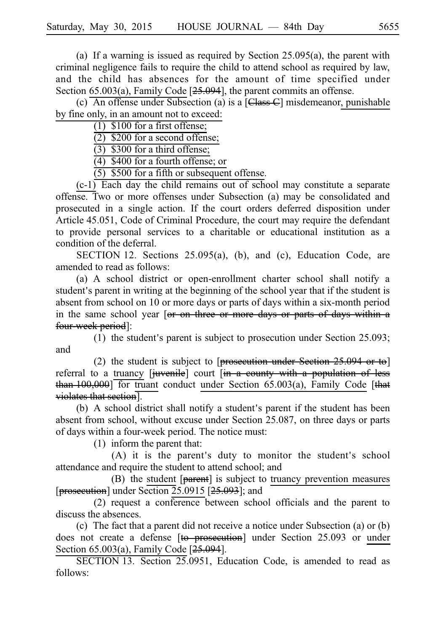(a) If a warning is issued as required by Section 25.095(a), the parent with criminal negligence fails to require the child to attend school as required by law, and the child has absences for the amount of time specified under Section  $65.003(a)$ , Family Code  $[25.094]$ , the parent commits an offense.

(c) An offense under Subsection (a) is a  $[Class C]$  misdemeanor, punishable by fine only, in an amount not to exceed:

 $(1)$  \$100 for a first offense;

 $(2)$  \$200 for a second offense;

 $\overline{(3)}$  \$300 for a third offense;

 $(4)$  \$400 for a fourth offense; or

 $(5)$  \$500 for a fifth or subsequent offense.

 $(c-1)$  Each day the child remains out of school may constitute a separate offense. Two or more offenses under Subsection (a) may be consolidated and prosecuted in a single action. If the court orders deferred disposition under Article 45.051, Code of Criminal Procedure, the court may require the defendant to provide personal services to a charitable or educational institution as a condition of the deferral.

SECTION 12. Sections  $25.095(a)$ , (b), and (c), Education Code, are amended to read as follows:

(a) A school district or open-enrollment charter school shall notify a student's parent in writing at the beginning of the school year that if the student is absent from school on 10 or more days or parts of days within a six-month period in the same school year [or on three or more days or parts of days within a four-week period]:

(1) the student's parent is subject to prosecution under Section  $25.093$ ; and

(2) the student is subject to [prosecution under Section  $25.094$  or to] referral to a truancy [juvenile] court [in a county with a population of less than  $100,000$  for truant conduct under Section 65.003(a), Family Code [that violates that section].

(b) A school district shall notify a student's parent if the student has been absent from school, without excuse under Section 25.087, on three days or parts of days within a four-week period. The notice must:

 $(1)$  inform the parent that:

(A) it is the parent's duty to monitor the student's school attendance and require the student to attend school; and

 $(B)$  the student [ $parent$ ] is subject to truancy prevention measures [prosecution] under Section  $25.0915$  [ $25.093$ ]; and

 $(2)$  request a conference between school officials and the parent to discuss the absences.

(c) The fact that a parent did not receive a notice under Subsection (a) or  $(b)$ does not create a defense [to prosecution] under Section 25.093 or under Section  $65.003(a)$ , Family Code  $[25.094]$ .

SECTION 13. Section 25.0951, Education Code, is amended to read as follows: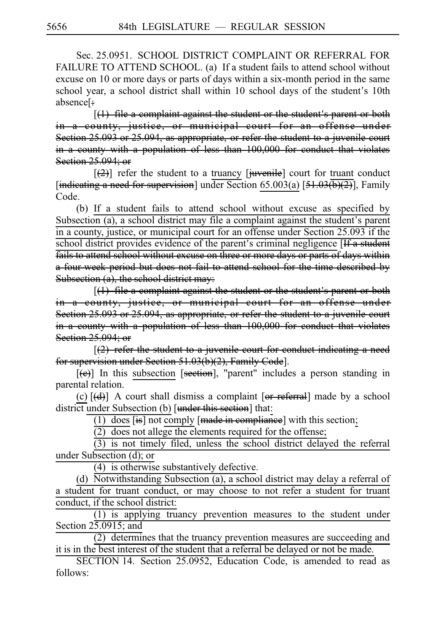Sec. 25.0951. SCHOOL DISTRICT COMPLAINT OR REFERRAL FOR FAILURE TO ATTEND SCHOOL. (a) If a student fails to attend school without excuse on 10 or more days or parts of days within a six-month period in the same school year, a school district shall within 10 school days of the student's 10th absence[:

 $[(1)$  file a complaint against the student or the student's parent or both in a county, justice, or municipal court for an offense under Section 25.093 or 25.094, as appropriate, or refer the student to a juvenile court in a county with a population of less than 100,000 for conduct that violates Section 25,094; or

 $[2]$  refer the student to a truancy  $[i]$ uvenile] court for truant conduct [indicating a need for supervision] under Section 65.003(a)  $[51.03\overline{(b)(2)}]$ , Family Code.

(b) If a student fails to attend school without excuse as specified by Subsection  $(a)$ , a school district may file a complaint against the student's parent in a county, justice, or municipal court for an offense under Section 25.093 if the school district provides evidence of the parent's criminal negligence [If a student fails to attend school without excuse on three or more days or parts of days within a four-week period but does not fail to attend school for the time described by Subsection (a), the school district may:

 $[(1)$  file a complaint against the student or the student's parent or both in a county, justice, or municipal court for an offense under Section 25.093 or 25.094, as appropriate, or refer the student to a juvenile court in a county with a population of less than 100,000 for conduct that violates Section 25.094; or

 $(2)$  refer the student to a juvenile court for conduct indicating a need for supervision under Section 51.03(b)(2), Family Code].

 $[\Theta]$  In this subsection [section], "parent" includes a person standing in parental relation.

(c)  $[\text{d}]$  A court shall dismiss a complaint  $[\text{or } \text{referral}]$  made by a school district under Subsection (b) [under this section] that:

(1) does  $[$ is] not comply  $[$ made in compliance] with this section;

 $(2)$  does not allege the elements required for the offense;

 $(3)$  is not timely filed, unless the school district delayed the referral under Subsection (d); or

 $(4)$  is otherwise substantively defective.

(d) Notwithstanding Subsection (a), a school district may delay a referral of a student for truant conduct, or may choose to not refer a student for truant conduct, if the school district:

 $(1)$  is applying truancy prevention measures to the student under Section 25.0915; and

 $(2)$  determines that the truancy prevention measures are succeeding and it is in the best interest of the student that a referral be delayed or not be made.

SECTION 14. Section 25.0952, Education Code, is amended to read as follows: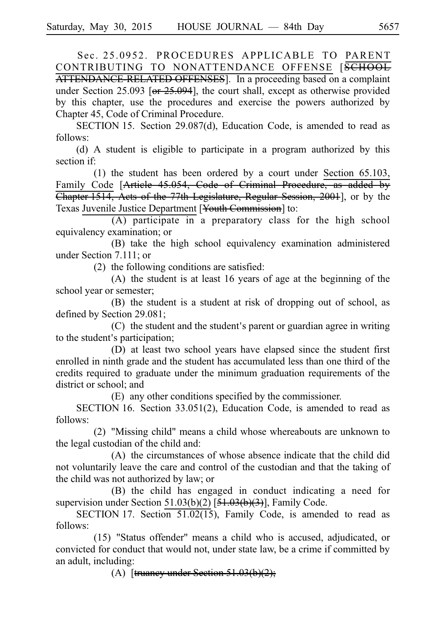Sec. 25.0952. PROCEDURES APPLICABLE TO PARENT CONTRIBUTING TO NONATTENDANCE OFFENSE [SCHOOL ATTENDANCE RELATED OFFENSES]. In a proceeding based on a complaint under Section 25.093 [or 25.094], the court shall, except as otherwise provided by this chapter, use the procedures and exercise the powers authorized by Chapter 45, Code of Criminal Procedure.

SECTION 15. Section 29.087(d), Education Code, is amended to read as follows:

(d) A student is eligible to participate in a program authorized by this section if:

(1) the student has been ordered by a court under Section  $65.103$ , Family Code [Article 45.054, Code of Criminal Procedure, as added by Chapter 1514, Acts of the 77th Legislature, Regular Session, 2001], or by the Texas Juvenile Justice Department [Youth Commission] to:

 $(A)$  participate in a preparatory class for the high school equivalency examination; or

(B) take the high school equivalency examination administered under Section 7.111; or

(2) the following conditions are satisfied:

 $(A)$  the student is at least 16 years of age at the beginning of the school year or semester;

(B) the student is a student at risk of dropping out of school, as defined by Section 29.081;

 $(C)$  the student and the student's parent or guardian agree in writing to the student's participation;

(D) at least two school years have elapsed since the student first enrolled in ninth grade and the student has accumulated less than one third of the credits required to graduate under the minimum graduation requirements of the district or school; and

(E) any other conditions specified by the commissioner.

SECTION 16. Section 33.051(2), Education Code, is amended to read as follows:

 $(2)$  "Missing child" means a child whose whereabouts are unknown to the legal custodian of the child and:

(A) the circumstances of whose absence indicate that the child did not voluntarily leave the care and control of the custodian and that the taking of the child was not authorized by law; or

(B) the child has engaged in conduct indicating a need for supervision under Section 51.03(b)(2) [51.03(b)(3)], Family Code.

SECTION 17. Section  $51.02(15)$ , Family Code, is amended to read as follows:

(15) "Status offender" means a child who is accused, adjudicated, or convicted for conduct that would not, under state law, be a crime if committed by an adult, including:

(A) [truancy under Section  $51.03(b)(2)$ ;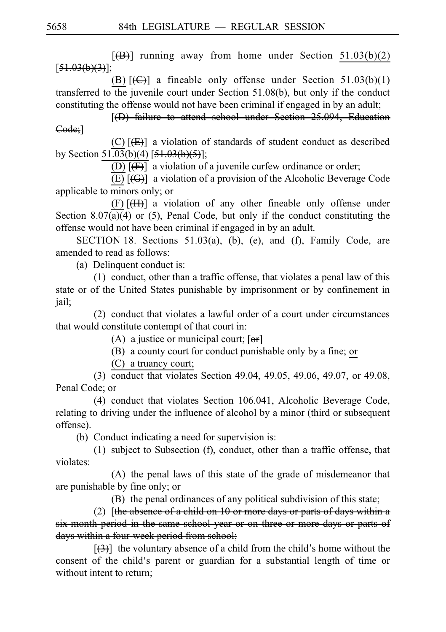$[\langle \overline{\mathbf{B}} \rangle]$  running away from home under Section 51.03(b)(2)  $[51.03(b)(3)]$ ;

(B)  $[\left(\bigoplus\right)]$  a fineable only offense under Section 51.03(b)(1) transferred to the juvenile court under Section 51.08(b), but only if the conduct constituting the offense would not have been criminal if engaged in by an adult;

[(D) failure to attend school under Section 25.094, Education Code;]

(C)  $[\frac{E}{E}]$  a violation of standards of student conduct as described by Section 51.03(b)(4)  $[51.03(b)(5)]$ ;

(D)  $[\text{F}]$  a violation of a juvenile curfew ordinance or order;

(E)  $[\langle G \rangle]$  a violation of a provision of the Alcoholic Beverage Code applicable to minors only; or

 $(F)$ [ $(H)$ ] a violation of any other fineable only offense under Section 8.07(a)(4) or (5), Penal Code, but only if the conduct constituting the offense would not have been criminal if engaged in by an adult.

SECTION 18. Sections  $51.03(a)$ , (b), (e), and (f), Family Code, are amended to read as follows:

(a) Delinquent conduct is:

 $(1)$  conduct, other than a traffic offense, that violates a penal law of this state or of the United States punishable by imprisonment or by confinement in jail;

 $(2)$  conduct that violates a lawful order of a court under circumstances that would constitute contempt of that court in:

(A) a justice or municipal court;  $[**or**]$ 

(B) a county court for conduct punishable only by a fine; or

 $(C)$  a truancy court;

(3) conduct that violates Section 49.04, 49.05, 49.06, 49.07, or 49.08, Penal Code; or

 $(4)$  conduct that violates Section 106.041, Alcoholic Beverage Code, relating to driving under the influence of alcohol by a minor (third or subsequent offense).

(b) Conduct indicating a need for supervision is:

 $(1)$  subject to Subsection  $(f)$ , conduct, other than a traffic offense, that violates:

 $(A)$  the penal laws of this state of the grade of misdemeanor that are punishable by fine only; or

(B) the penal ordinances of any political subdivision of this state;

(2)  $[the absence of a child on 10 or more days or parts of days within a]$ six month period in the same school year or on three or more days or parts of days within a four-week period from school;

 $[3]$  the voluntary absence of a child from the child's home without the consent of the child's parent or guardian for a substantial length of time or without intent to return;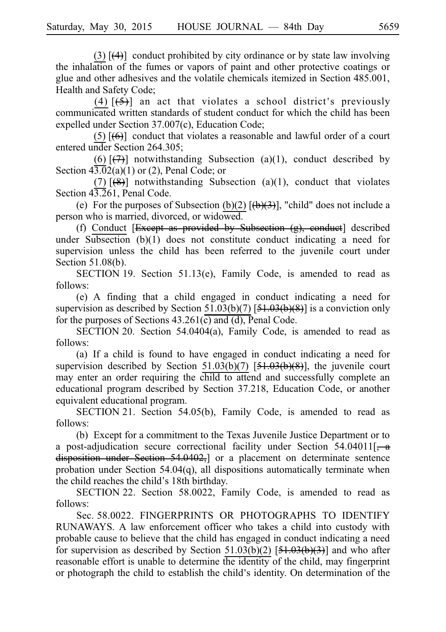(3)  $\left[\frac{4}{4}\right]$  conduct prohibited by city ordinance or by state law involving the inhalation of the fumes or vapors of paint and other protective coatings or glue and other adhesives and the volatile chemicals itemized in Section 485.001, Health and Safety Code;

(4)  $\left[\frac{5}{5}\right]$  an act that violates a school district's previously communicated written standards of student conduct for which the child has been expelled under Section 37.007(c), Education Code;

(5)  $[\bigoplus]$  conduct that violates a reasonable and lawful order of a court entered under Section 264.305;

(6)  $[\overline{(7)}]$  notwithstanding Subsection (a)(1), conduct described by Section  $4\overline{3.0}2(a)(1)$  or (2), Penal Code; or

(7)  $\left[\left(8\right)\right]$  notwithstanding Subsection (a)(1), conduct that violates Section 43.261, Penal Code.

(e) For the purposes of Subsection (b)(2)  $[\frac{(\mathbf{b})(3)}{(\mathbf{b})(3)}]$ , "child" does not include a person who is married, divorced, or widowed.

(f) Conduct [ $Exeept$  as provided by Subsection  $(g)$ , conduct] described under Subsection (b)(1) does not constitute conduct indicating a need for supervision unless the child has been referred to the juvenile court under Section  $51.08(b)$ .

SECTION 19. Section 51.13(e), Family Code, is amended to read as follows:

(e) A finding that a child engaged in conduct indicating a need for supervision as described by Section  $51.03(b)(7)$  [ $\overline{51.03(b)(8)}$ ] is a conviction only for the purposes of Sections  $43.261(\overline{c})$  and  $\overline{(d)}$ , Penal Code.

SECTION 20. Section  $54.0404(a)$ , Family Code, is amended to read as follows:

(a) If a child is found to have engaged in conduct indicating a need for supervision described by Section  $51.03(b)(7)$   $[51.03(b)(8)]$ , the juvenile court may enter an order requiring the child to attend and successfully complete an educational program described by Section 37.218, Education Code, or another equivalent educational program.

SECTION 21. Section 54.05(b), Family Code, is amended to read as follows:

(b) Except for a commitment to the Texas Juvenile Justice Department or to a post-adjudication secure correctional facility under Section  $54.04011$ [ $\div$  a disposition under Section 54.0402,] or a placement on determinate sentence probation under Section 54.04(q), all dispositions automatically terminate when the child reaches the child's 18th birthday.

SECTION 22. Section 58.0022, Family Code, is amended to read as follows:

Sec. 58.0022. FINGERPRINTS OR PHOTOGRAPHS TO IDENTIFY RUNAWAYS. A law enforcement officer who takes a child into custody with probable cause to believe that the child has engaged in conduct indicating a need for supervision as described by Section  $51.03(b)(2)$   $[51.03(b)(3)]$  and who after reasonable effort is unable to determine the identity of the child, may fingerprint or photograph the child to establish the child's identity. On determination of the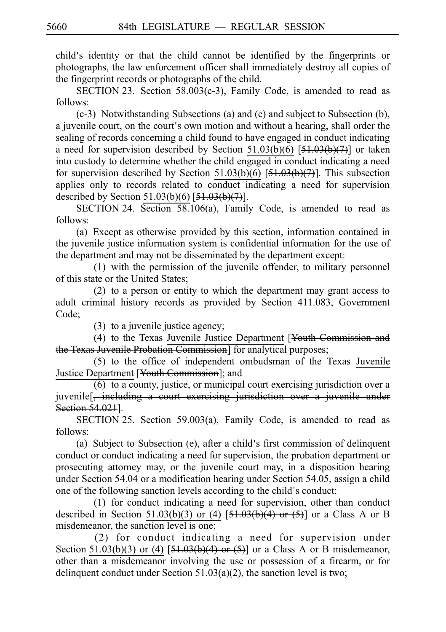child's identity or that the child cannot be identified by the fingerprints or photographs, the law enforcement officer shall immediately destroy all copies of the fingerprint records or photographs of the child.

SECTION 23. Section  $58.003(c-3)$ , Family Code, is amended to read as follows:

 $(c-3)$  Notwithstanding Subsections (a) and  $(c)$  and subject to Subsection (b), a juvenile court, on the court's own motion and without a hearing, shall order the sealing of records concerning a child found to have engaged in conduct indicating a need for supervision described by Section  $51.03(b)(6)$   $[51.03(b)(7)]$  or taken into custody to determine whether the child engaged in conduct indicating a need for supervision described by Section 51.03(b)(6)  $[51.03(b)(7)]$ . This subsection applies only to records related to conduct indicating a need for supervision described by Section 51.03(b)(6)  $[51.03(b)(7)]$ .

SECTION 24. Section  $58.106(a)$ , Family Code, is amended to read as follows:

(a) Except as otherwise provided by this section, information contained in the juvenile justice information system is confidential information for the use of the department and may not be disseminated by the department except:

 $(1)$  with the permission of the juvenile offender, to military personnel of this state or the United States;

 $(2)$  to a person or entity to which the department may grant access to adult criminal history records as provided by Section 411.083, Government Code;

 $(3)$  to a juvenile justice agency;

(4) to the Texas Juvenile Justice Department [Youth Commission and the Texas Juvenile Probation Commission] for analytical purposes;

(5) to the office of independent ombudsman of the Texas Juvenile Justice Department [Youth Commission]; and

 $(6)$  to a county, justice, or municipal court exercising jurisdiction over a juvenile<sup>[</sup>, including a court exercising jurisdiction over a juvenile under Section 54.021].

SECTION 25. Section 59.003(a), Family Code, is amended to read as follows:

(a) Subject to Subsection (e), after a child's first commission of delinquent conduct or conduct indicating a need for supervision, the probation department or prosecuting attorney may, or the juvenile court may, in a disposition hearing under Section 54.04 or a modification hearing under Section 54.05, assign a child one of the following sanction levels according to the child's conduct:

 $(1)$  for conduct indicating a need for supervision, other than conduct described in Section 51.03(b)(3) or (4)  $[51.03(b)(4)$  or (5)] or a Class A or B misdemeanor, the sanction level is one;

(2) for conduct indicating a need for supervision under Section 51.03(b)(3) or (4)  $[51.03(b)(4)$  or (5)] or a Class A or B misdemeanor, other than a misdemeanor involving the use or possession of a firearm, or for delinquent conduct under Section  $51.03(a)(2)$ , the sanction level is two;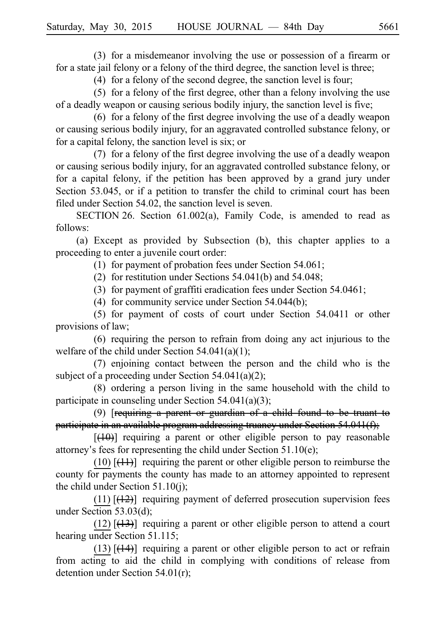(3) for a misdemeanor involving the use or possession of a firearm or for a state jail felony or a felony of the third degree, the sanction level is three;

(4) for a felony of the second degree, the sanction level is four;

(5) for a felony of the first degree, other than a felony involving the use of a deadly weapon or causing serious bodily injury, the sanction level is five;

(6) for a felony of the first degree involving the use of a deadly weapon or causing serious bodily injury, for an aggravated controlled substance felony, or for a capital felony, the sanction level is six; or

 $(7)$  for a felony of the first degree involving the use of a deadly weapon or causing serious bodily injury, for an aggravated controlled substance felony, or for a capital felony, if the petition has been approved by a grand jury under Section 53.045, or if a petition to transfer the child to criminal court has been filed under Section 54.02, the sanction level is seven.

SECTION 26. Section  $61.002(a)$ , Family Code, is amended to read as follows:

(a) Except as provided by Subsection (b), this chapter applies to a proceeding to enter a juvenile court order:

(1) for payment of probation fees under Section  $54.061$ ;

(2) for restitution under Sections  $54.041(b)$  and  $54.048$ ;

(3) for payment of graffiti eradication fees under Section  $54.0461$ ;

(4) for community service under Section  $54.044(b)$ ;

 $(5)$  for payment of costs of court under Section 54.0411 or other provisions of law;

 $(6)$  requiring the person to refrain from doing any act injurious to the welfare of the child under Section 54.041(a)(1);

 $(7)$  enjoining contact between the person and the child who is the subject of a proceeding under Section 54.041(a)(2);

 $(8)$  ordering a person living in the same household with the child to participate in counseling under Section 54.041(a)(3);

(9)  $[regularing a parent or guardian of a child found to be treatment to$ participate in an available program addressing truancy under Section 54.041(f);

 $[$ ( $\downarrow$ 0)] requiring a parent or other eligible person to pay reasonable attorney's fees for representing the child under Section  $51.10(e)$ ;

 $(10)$  [ $(11)$ ] requiring the parent or other eligible person to reimburse the county for payments the county has made to an attorney appointed to represent the child under Section 51.10(j);

(11)  $[\frac{(12)}{12}]$  requiring payment of deferred prosecution supervision fees under Section 53.03(d);

 $(12)$  [ $(13)$ ] requiring a parent or other eligible person to attend a court hearing under Section 51.115;

(13)  $\left[\frac{(14)}{13}\right]$  requiring a parent or other eligible person to act or refrain from acting to aid the child in complying with conditions of release from detention under Section 54.01(r);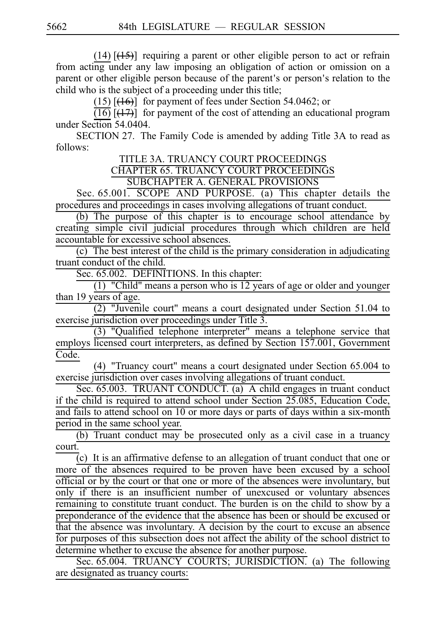(14)  $\left[\frac{(15)}{(15)}\right]$  requiring a parent or other eligible person to act or refrain from acting under any law imposing an obligation of action or omission on a parent or other eligible person because of the parent's or person's relation to the child who is the subject of a proceeding under this title;

(15)  $\left[\left(16\right)\right]$  for payment of fees under Section 54.0462; or

 $\overline{(16)}$   $\overline{(17)}$  for payment of the cost of attending an educational program under Section 54.0404.

SECTION 27. The Family Code is amended by adding Title 3A to read as follows:

TITLE 3A. TRUANCY COURT PROCEEDINGS

CHAPTER 65. TRUANCY COURT PROCEEDINGS

SUBCHAPTER A. GENERAL PROVISIONS

Sec. 65.001. SCOPE AND PURPOSE. (a) This chapter details the procedures and proceedings in cases involving allegations of truant conduct.

(b) The purpose of this chapter is to encourage school attendance by creating simple civil judicial procedures through which children are held accountable for excessive school absences.

 $(c)$  The best interest of the child is the primary consideration in adjudicating truant conduct of the child.

Sec. 65.002. DEFINITIONS. In this chapter:

(1) "Child" means a person who is  $12$  years of age or older and younger than 19 years of age.

 $\frac{34}{(2)}$  "Juvenile court" means a court designated under Section 51.04 to exercise jurisdiction over proceedings under Title 3.

(3) "Qualified telephone interpreter" means a telephone service that employs licensed court interpreters, as defined by Section 157.001, Government Code.

(4) "Truancy court" means a court designated under Section 65.004 to exercise jurisdiction over cases involving allegations of truant conduct.

Sec.  $65.003$ . TRUANT CONDUCT. (a) A child engages in truant conduct if the child is required to attend school under Section 25.085, Education Code, and fails to attend school on 10 or more days or parts of days within a six-month period in the same school year.

 $(b)$  Truant conduct may be prosecuted only as a civil case in a truancy court.

 $\overline{c}(c)$  It is an affirmative defense to an allegation of truant conduct that one or more of the absences required to be proven have been excused by a school official or by the court or that one or more of the absences were involuntary, but only if there is an insufficient number of unexcused or voluntary absences remaining to constitute truant conduct. The burden is on the child to show by a preponderance of the evidence that the absence has been or should be excused or that the absence was involuntary. A decision by the court to excuse an absence for purposes of this subsection does not affect the ability of the school district to determine whether to excuse the absence for another purpose.

Sec. 65.004. TRUANCY COURTS; JURISDICTION. (a) The following are designated as truancy courts: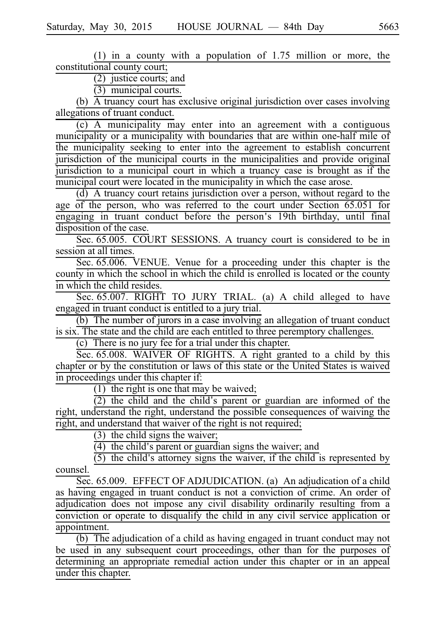(1) in a county with a population of  $1.75$  million or more, the constitutional county court;

 $(2)$  justice courts; and

 $(3)$  municipal courts.

(b)  $\overline{A}$  truancy court has exclusive original jurisdiction over cases involving allegations of truant conduct.

 $(c)$  A municipality may enter into an agreement with a contiguous municipality or a municipality with boundaries that are within one-half mile of the municipality seeking to enter into the agreement to establish concurrent jurisdiction of the municipal courts in the municipalities and provide original jurisdiction to a municipal court in which a truancy case is brought as if the municipal court were located in the municipality in which the case arose.

 $(d)$  A truancy court retains jurisdiction over a person, without regard to the age of the person, who was referred to the court under Section 65.051 for engaging in truant conduct before the person ' s 19th birthday, until final disposition of the case.

Sec. 65.005. COURT SESSIONS. A truancy court is considered to be in session at all times.

Sec. 65.006. VENUE. Venue for a proceeding under this chapter is the county in which the school in which the child is enrolled is located or the county in which the child resides.

Sec. 65.007. RIGHT TO JURY TRIAL. (a) A child alleged to have engaged in truant conduct is entitled to a jury trial.

 $(b)$  The number of jurors in a case involving an allegation of truant conduct is six. The state and the child are each entitled to three peremptory challenges.

 $(c)$  There is no jury fee for a trial under this chapter.

Sec.  $65.008$ . WAIVER OF RIGHTS. A right granted to a child by this chapter or by the constitution or laws of this state or the United States is waived in proceedings under this chapter if:

 $\overline{(1)}$  the right is one that may be waived;

 $\overline{(2)}$  the child and the child's parent or guardian are informed of the right, understand the right, understand the possible consequences of waiving the right, and understand that waiver of the right is not required;

 $(3)$  the child signs the waiver;

 $(4)$  the child's parent or guardian signs the waiver; and

 $(5)$  the child's attorney signs the waiver, if the child is represented by counsel.

Sec. 65.009. EFFECT OF ADJUDICATION. (a) An adjudication of a child as having engaged in truant conduct is not a conviction of crime. An order of adjudication does not impose any civil disability ordinarily resulting from a conviction or operate to disqualify the child in any civil service application or appointment.

 $(b)$  The adjudication of a child as having engaged in truant conduct may not be used in any subsequent court proceedings, other than for the purposes of determining an appropriate remedial action under this chapter or in an appeal under this chapter.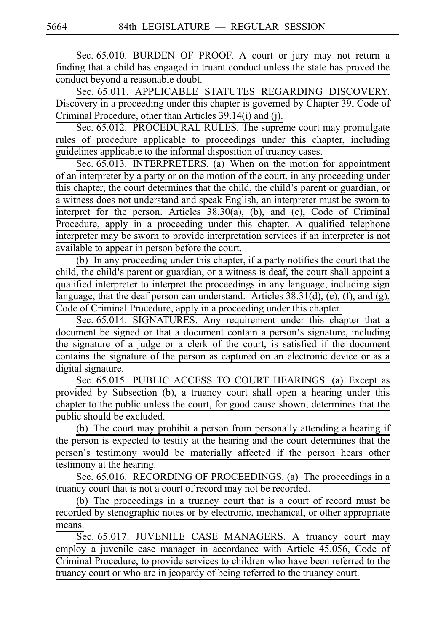Sec. 65.010. BURDEN OF PROOF. A court or jury may not return a finding that a child has engaged in truant conduct unless the state has proved the conduct beyond a reasonable doubt.

Sec. 65.011. APPLICABLE STATUTES REGARDING DISCOVERY. Discovery in a proceeding under this chapter is governed by Chapter 39, Code of Criminal Procedure, other than Articles 39.14(i) and (j).

Sec. 65.012. PROCEDURAL RULES. The supreme court may promulgate rules of procedure applicable to proceedings under this chapter, including guidelines applicable to the informal disposition of truancy cases.

Sec. 65.013. INTERPRETERS. (a) When on the motion for appointment of an interpreter by a party or on the motion of the court, in any proceeding under this chapter, the court determines that the child, the child's parent or guardian, or a witness does not understand and speak English, an interpreter must be sworn to interpret for the person. Articles 38.30(a), (b), and (c), Code of Criminal Procedure, apply in a proceeding under this chapter. A qualified telephone interpreter may be sworn to provide interpretation services if an interpreter is not available to appear in person before the court.

(b) In any proceeding under this chapter, if a party notifies the court that the child, the child's parent or guardian, or a witness is deaf, the court shall appoint a qualified interpreter to interpret the proceedings in any language, including sign language, that the deaf person can understand. Articles  $38.31(d)$ , (e), (f), and (g), Code of Criminal Procedure, apply in a proceeding under this chapter.

Sec. 65.014. SIGNATURES. Any requirement under this chapter that a document be signed or that a document contain a person's signature, including the signature of a judge or a clerk of the court, is satisfied if the document contains the signature of the person as captured on an electronic device or as a digital signature.

Sec. 65.015. PUBLIC ACCESS TO COURT HEARINGS. (a) Except as provided by Subsection (b), a truancy court shall open a hearing under this chapter to the public unless the court, for good cause shown, determines that the public should be excluded.

(b) The court may prohibit a person from personally attending a hearing if the person is expected to testify at the hearing and the court determines that the person's testimony would be materially affected if the person hears other testimony at the hearing.

Sec. 65.016. RECORDING OF PROCEEDINGS. (a) The proceedings in a truancy court that is not a court of record may not be recorded.

(b) The proceedings in a truancy court that is a court of record must be recorded by stenographic notes or by electronic, mechanical, or other appropriate means.

Sec. 65.017. JUVENILE CASE MANAGERS. A truancy court may employ a juvenile case manager in accordance with Article 45.056, Code of Criminal Procedure, to provide services to children who have been referred to the truancy court or who are in jeopardy of being referred to the truancy court.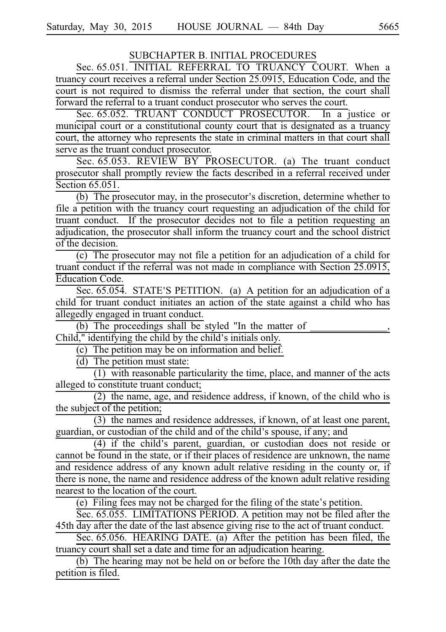# SUBCHAPTER B. INITIAL PROCEDURES

Sec. 65.051. INITIAL REFERRAL TO TRUANCY COURT. When a truancy court receives a referral under Section 25.0915, Education Code, and the court is not required to dismiss the referral under that section, the court shall forward the referral to a truant conduct prosecutor who serves the court.

Sec. 65.052. TRUANT CONDUCT PROSECUTOR. In a justice or municipal court or a constitutional county court that is designated as a truancy court, the attorney who represents the state in criminal matters in that court shall serve as the truant conduct prosecutor.

Sec. 65.053. REVIEW BY PROSECUTOR. (a) The truant conduct prosecutor shall promptly review the facts described in a referral received under Section **65.051**.

(b) The prosecutor may, in the prosecutor's discretion, determine whether to file a petition with the truancy court requesting an adjudication of the child for truant conduct. If the prosecutor decides not to file a petition requesting an adjudication, the prosecutor shall inform the truancy court and the school district of the decision.

(c) The prosecutor may not file a petition for an adjudication of a child for truant conduct if the referral was not made in compliance with Section 25.0915, Education Code.

Sec. 65.054. STATE'S PETITION. (a) A petition for an adjudication of a child for truant conduct initiates an action of the state against a child who has allegedly engaged in truant conduct.

(b) The proceedings shall be styled "In the matter of

Child," identifying the child by the child's initials only.

 $(c)$  The petition may be on information and belief.

 $(d)$  The petition must state:

 $(1)$  with reasonable particularity the time, place, and manner of the acts alleged to constitute truant conduct;

 $(2)$  the name, age, and residence address, if known, of the child who is the subject of the petition;

 $(3)$  the names and residence addresses, if known, of at least one parent, guardian, or custodian of the child and of the child's spouse, if any; and

 $(4)$  if the child's parent, guardian, or custodian does not reside or cannot be found in the state, or if their places of residence are unknown, the name and residence address of any known adult relative residing in the county or, if there is none, the name and residence address of the known adult relative residing nearest to the location of the court.

(e) Filing fees may not be charged for the filing of the state's petition.

Sec. 65.055. LIMITATIONS PERIOD. A petition may not be filed after the 45th day after the date of the last absence giving rise to the act of truant conduct.

Sec. 65.056. HEARING DATE. (a) After the petition has been filed, the truancy court shall set a date and time for an adjudication hearing.

 $(b)$  The hearing may not be held on or before the 10th day after the date the petition is filed.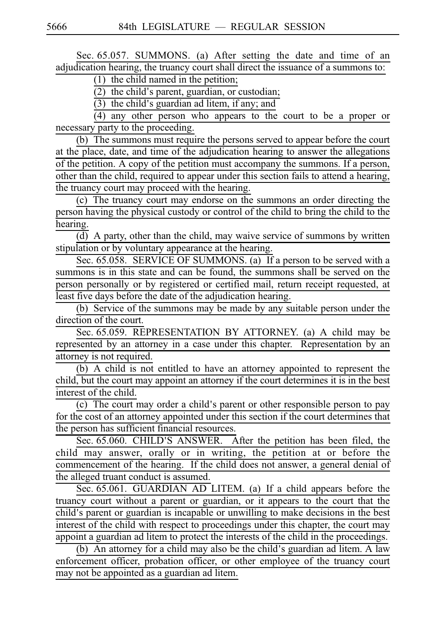Sec. 65.057. SUMMONS. (a) After setting the date and time of an adjudication hearing, the truancy court shall direct the issuance of a summons to:

 $(1)$  the child named in the petition;

 $(2)$  the child's parent, guardian, or custodian;

 $(3)$  the child's guardian ad litem, if any; and

 $(4)$  any other person who appears to the court to be a proper or necessary party to the proceeding.

(b) The summons must require the persons served to appear before the court at the place, date, and time of the adjudication hearing to answer the allegations of the petition. A copy of the petition must accompany the summons. If a person, other than the child, required to appear under this section fails to attend a hearing, the truancy court may proceed with the hearing.

 $(c)$  The truancy court may endorse on the summons an order directing the person having the physical custody or control of the child to bring the child to the hearing.

(d) A party, other than the child, may waive service of summons by written stipulation or by voluntary appearance at the hearing.

Sec. 65.058. SERVICE OF SUMMONS. (a) If a person to be served with a summons is in this state and can be found, the summons shall be served on the person personally or by registered or certified mail, return receipt requested, at least five days before the date of the adjudication hearing.

(b) Service of the summons may be made by any suitable person under the direction of the court.

Sec. 65.059. REPRESENTATION BY ATTORNEY. (a) A child may be represented by an attorney in a case under this chapter. Representation by an attorney is not required.

 $(b)$  A child is not entitled to have an attorney appointed to represent the child, but the court may appoint an attorney if the court determines it is in the best interest of the child.

 $(c)$  The court may order a child's parent or other responsible person to pay for the cost of an attorney appointed under this section if the court determines that the person has sufficient financial resources.

Sec. 65.060. CHILD'S ANSWER. After the petition has been filed, the child may answer, orally or in writing, the petition at or before the commencement of the hearing. If the child does not answer, a general denial of the alleged truant conduct is assumed.

Sec. 65.061. GUARDIAN AD LITEM. (a) If a child appears before the truancy court without a parent or guardian, or it appears to the court that the child's parent or guardian is incapable or unwilling to make decisions in the best interest of the child with respect to proceedings under this chapter, the court may appoint a guardian ad litem to protect the interests of the child in the proceedings.

(b) An attorney for a child may also be the child's guardian ad litem. A law enforcement officer, probation officer, or other employee of the truancy court may not be appointed as a guardian ad litem.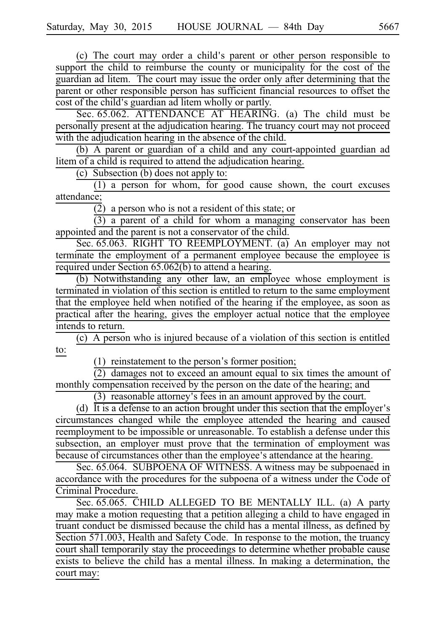(c) The court may order a child's parent or other person responsible to support the child to reimburse the county or municipality for the cost of the guardian ad litem. The court may issue the order only after determining that the parent or other responsible person has sufficient financial resources to offset the cost of the child's guardian ad litem wholly or partly.

Sec. 65.062. ATTENDANCE AT HEARING. (a) The child must be personally present at the adjudication hearing. The truancy court may not proceed with the adjudication hearing in the absence of the child.

 $(b)$  A parent or guardian of a child and any court-appointed guardian ad litem of a child is required to attend the adjudication hearing.

(c) Subsection (b) does not apply to:

 $(1)$  a person for whom, for good cause shown, the court excuses attendance;

 $\overline{(2)}$  a person who is not a resident of this state; or

 $\frac{1}{(3)}$  a parent of a child for whom a managing conservator has been appointed and the parent is not a conservator of the child.

Sec. 65.063. RIGHT TO REEMPLOYMENT. (a) An employer may not terminate the employment of a permanent employee because the employee is required under Section 65.062(b) to attend a hearing.

 $(b)$  Notwithstanding any other law, an employee whose employment is terminated in violation of this section is entitled to return to the same employment that the employee held when notified of the hearing if the employee, as soon as practical after the hearing, gives the employer actual notice that the employee intends to return.

 $(c)$  A person who is injured because of a violation of this section is entitled to:

 $(1)$  reinstatement to the person's former position;

 $(2)$  damages not to exceed an amount equal to six times the amount of monthly compensation received by the person on the date of the hearing; and

 $(3)$  reasonable attorney's fees in an amount approved by the court.

(d) It is a defense to an action brought under this section that the employer's circumstances changed while the employee attended the hearing and caused reemployment to be impossible or unreasonable. To establish a defense under this subsection, an employer must prove that the termination of employment was because of circumstances other than the employee's attendance at the hearing.

Sec. 65.064. SUBPOENA OF WITNESS. A witness may be subpoenaed in accordance with the procedures for the subpoena of a witness under the Code of Criminal Procedure.

Sec. 65.065. CHILD ALLEGED TO BE MENTALLY ILL. (a) A party may make a motion requesting that a petition alleging a child to have engaged in truant conduct be dismissed because the child has a mental illness, as defined by Section 571.003, Health and Safety Code. In response to the motion, the truancy court shall temporarily stay the proceedings to determine whether probable cause exists to believe the child has a mental illness. In making a determination, the court may: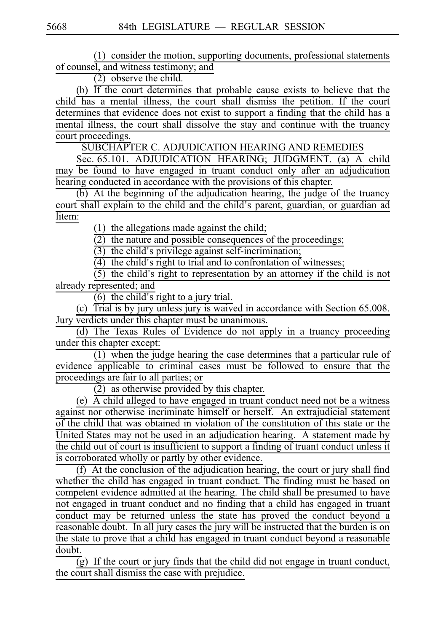(1) consider the motion, supporting documents, professional statements of counsel, and witness testimony; and

 $(2)$  observe the child.

(b)  $\overline{If}$  the court determines that probable cause exists to believe that the child has a mental illness, the court shall dismiss the petition. If the court determines that evidence does not exist to support a finding that the child has a mental illness, the court shall dissolve the stay and continue with the truancy court proceedings.

SUBCHAPTER C. ADJUDICATION HEARING AND REMEDIES

Sec. 65.101. ADJUDICATION HEARING; JUDGMENT. (a) A child may be found to have engaged in truant conduct only after an adjudication hearing conducted in accordance with the provisions of this chapter.

 $(b)$  At the beginning of the adjudication hearing, the judge of the truancy court shall explain to the child and the child's parent, guardian, or guardian ad litem:

 $(1)$  the allegations made against the child;

 $\overline{(2)}$  the nature and possible consequences of the proceedings;

 $(3)$  the child's privilege against self-incrimination;

 $\overline{(4)}$  the child's right to trial and to confrontation of witnesses;

 $(5)$  the child's right to representation by an attorney if the child is not already represented; and

 $\overline{(6)}$  the child's right to a jury trial.

(c) Trial is by jury unless jury is waived in accordance with Section  $65.008$ . Jury verdicts under this chapter must be unanimous.

(d) The Texas Rules of Evidence do not apply in a truancy proceeding under this chapter except:

 $(1)$  when the judge hearing the case determines that a particular rule of evidence applicable to criminal cases must be followed to ensure that the proceedings are fair to all parties; or

 $\frac{6}{(2)}$  as otherwise provided by this chapter.

(e)  $\overrightarrow{A}$  child alleged to have engaged in truant conduct need not be a witness against nor otherwise incriminate himself or herself. An extrajudicial statement of the child that was obtained in violation of the constitution of this state or the United States may not be used in an adjudication hearing. A statement made by the child out of court is insufficient to support a finding of truant conduct unless it is corroborated wholly or partly by other evidence.

(f) At the conclusion of the adjudication hearing, the court or jury shall find whether the child has engaged in truant conduct. The finding must be based on competent evidence admitted at the hearing. The child shall be presumed to have not engaged in truant conduct and no finding that a child has engaged in truant conduct may be returned unless the state has proved the conduct beyond a reasonable doubt. In all jury cases the jury will be instructed that the burden is on the state to prove that a child has engaged in truant conduct beyond a reasonable doubt.

 $\overline{(g)}$  If the court or jury finds that the child did not engage in truant conduct, the court shall dismiss the case with prejudice.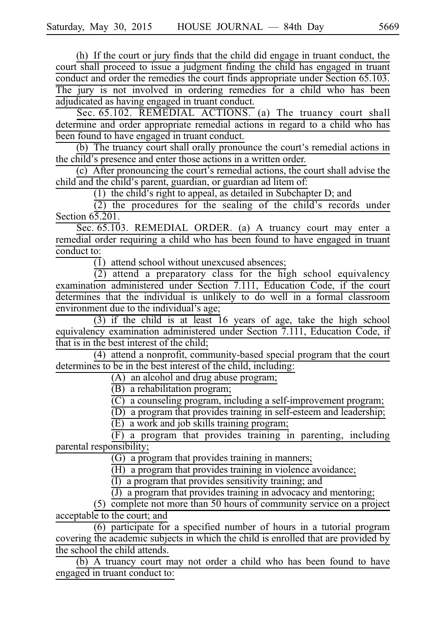(h) If the court or jury finds that the child did engage in truant conduct, the court shall proceed to issue a judgment finding the child has engaged in truant conduct and order the remedies the court finds appropriate under Section 65.103. The jury is not involved in ordering remedies for a child who has been adjudicated as having engaged in truant conduct.

Sec. 65.102. REMEDIAL ACTIONS. (a) The truancy court shall determine and order appropriate remedial actions in regard to a child who has been found to have engaged in truant conduct.

 $(b)$  The truancy court shall orally pronounce the court's remedial actions in the child's presence and enter those actions in a written order.

 $(c)$  After pronouncing the court's remedial actions, the court shall advise the child and the child's parent, guardian, or guardian ad litem of:

 $(1)$  the child's right to appeal, as detailed in Subchapter D; and

 $(2)$  the procedures for the sealing of the child's records under Section  $6\overline{5.201}$ .

Sec. 65.103. REMEDIAL ORDER. (a) A truancy court may enter a remedial order requiring a child who has been found to have engaged in truant conduct to:

 $\overline{(1)}$  attend school without unexcused absences;

 $(2)$  attend a preparatory class for the high school equivalency examination administered under Section 7.111, Education Code, if the court determines that the individual is unlikely to do well in a formal classroom environment due to the individual's age;

 $(3)$  if the child is at least  $16$  years of age, take the high school equivalency examination administered under Section 7.111, Education Code, if that is in the best interest of the child;

(4) attend a nonprofit, community-based special program that the court determines to be in the best interest of the child, including:

 $(A)$  an alcohol and drug abuse program;

 $(B)$  a rehabilitation program;

 $(C)$  a counseling program, including a self-improvement program;

 $(D)$  a program that provides training in self-esteem and leadership;

 $(E)$  a work and job skills training program;

 $\frac{C_1}{F_1}$  is  $\frac{C_2}{F_2}$  in parenting, including parental responsibility;

 $(G)$  a program that provides training in manners;

 $\overrightarrow{H}$  a program that provides training in violence avoidance;

 $\overline{I}$  a program that provides sensitivity training; and

 $(J)$  a program that provides training in advocacy and mentoring;

 $(5)$  complete not more than 50 hours of community service on a project acceptable to the court; and

 $(6)$  participate for a specified number of hours in a tutorial program covering the academic subjects in which the child is enrolled that are provided by the school the child attends.

(b) A truancy court may not order a child who has been found to have engaged in truant conduct to: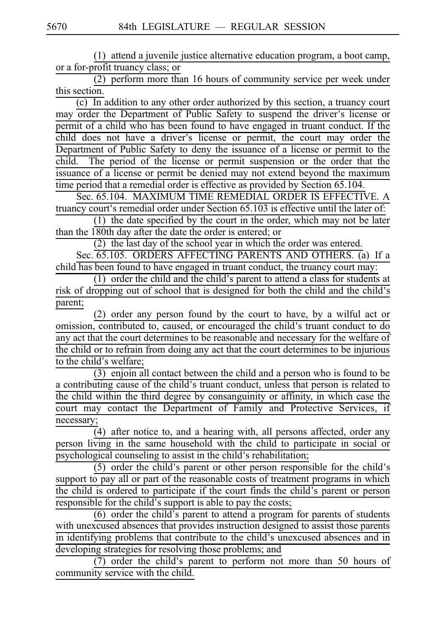$(1)$  attend a juvenile justice alternative education program, a boot camp, or a for-profit truancy class; or

 $(2)$  perform more than 16 hours of community service per week under this section.

 $(c)$  In addition to any other order authorized by this section, a truancy court may order the Department of Public Safety to suspend the driver's license or permit of a child who has been found to have engaged in truant conduct. If the child does not have a driver's license or permit, the court may order the Department of Public Safety to deny the issuance of a license or permit to the child. The period of the license or permit suspension or the order that the issuance of a license or permit be denied may not extend beyond the maximum time period that a remedial order is effective as provided by Section 65.104.

Sec. 65.104. MAXIMUM TIME REMEDIAL ORDER IS EFFECTIVE. A truancy court's remedial order under Section 65.103 is effective until the later of:  $(1)$  the date specified by the court in the order, which may not be later

than the 180th day after the date the order is entered; or

(2) the last day of the school year in which the order was entered.

Sec. 65.105. ORDERS AFFECTING PARENTS AND OTHERS. (a) If a child has been found to have engaged in truant conduct, the truancy court may:

 $(1)$  order the child and the child's parent to attend a class for students at risk of dropping out of school that is designed for both the child and the child's parent;

(2) order any person found by the court to have, by a wilful act or omission, contributed to, caused, or encouraged the child's truant conduct to do any act that the court determines to be reasonable and necessary for the welfare of the child or to refrain from doing any act that the court determines to be injurious to the child's welfare;

 $(3)$  enjoin all contact between the child and a person who is found to be a contributing cause of the child's truant conduct, unless that person is related to the child within the third degree by consanguinity or affinity, in which case the court may contact the Department of Family and Protective Services, if necessary;

 $\overline{4}$ ) after notice to, and a hearing with, all persons affected, order any person living in the same household with the child to participate in social or psychological counseling to assist in the child's rehabilitation;

 $(5)$  order the child's parent or other person responsible for the child's support to pay all or part of the reasonable costs of treatment programs in which the child is ordered to participate if the court finds the child's parent or person responsible for the child's support is able to pay the costs;

 $(6)$  order the child's parent to attend a program for parents of students with unexcused absences that provides instruction designed to assist those parents in identifying problems that contribute to the child's unexcused absences and in developing strategies for resolving those problems; and

 $(7)$  order the child's parent to perform not more than 50 hours of community service with the child.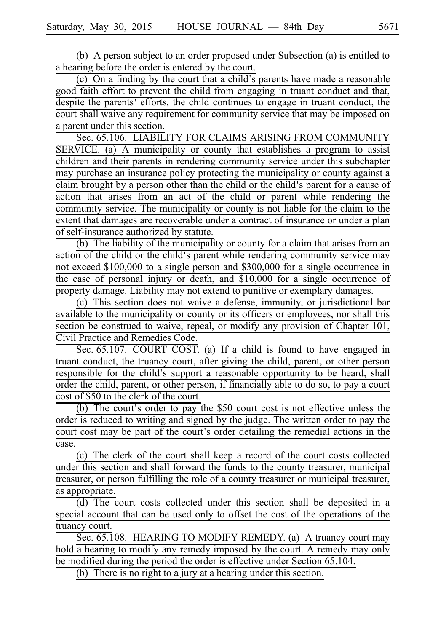(b) A person subject to an order proposed under Subsection (a) is entitled to a hearing before the order is entered by the court.

(c) On a finding by the court that a child's parents have made a reasonable good faith effort to prevent the child from engaging in truant conduct and that, despite the parents' efforts, the child continues to engage in truant conduct, the court shall waive any requirement for community service that may be imposed on a parent under this section.

Sec. 65.106. LIABILITY FOR CLAIMS ARISING FROM COMMUNITY SERVICE. (a) A municipality or county that establishes a program to assist children and their parents in rendering community service under this subchapter may purchase an insurance policy protecting the municipality or county against a claim brought by a person other than the child or the child's parent for a cause of action that arises from an act of the child or parent while rendering the community service. The municipality or county is not liable for the claim to the extent that damages are recoverable under a contract of insurance or under a plan of self-insurance authorized by statute.

(b) The liability of the municipality or county for a claim that arises from an action of the child or the child's parent while rendering community service may not exceed \$100,000 to a single person and \$300,000 for a single occurrence in the case of personal injury or death, and \$10,000 for a single occurrence of property damage. Liability may not extend to punitive or exemplary damages.

(c) This section does not waive a defense, immunity, or jurisdictional bar available to the municipality or county or its officers or employees, nor shall this section be construed to waive, repeal, or modify any provision of Chapter 101, Civil Practice and Remedies Code.

Sec. 65.107. COURT COST. (a) If a child is found to have engaged in truant conduct, the truancy court, after giving the child, parent, or other person responsible for the child's support a reasonable opportunity to be heard, shall order the child, parent, or other person, if financially able to do so, to pay a court cost of \$50 to the clerk of the court.

(b) The court's order to pay the  $$50$  court cost is not effective unless the order is reduced to writing and signed by the judge. The written order to pay the court cost may be part of the court's order detailing the remedial actions in the case.

(c) The clerk of the court shall keep a record of the court costs collected under this section and shall forward the funds to the county treasurer, municipal treasurer, or person fulfilling the role of a county treasurer or municipal treasurer, as appropriate.

 $(d)$  The court costs collected under this section shall be deposited in a special account that can be used only to offset the cost of the operations of the truancy court.

Sec. 65.108. HEARING TO MODIFY REMEDY. (a) A truancy court may hold a hearing to modify any remedy imposed by the court. A remedy may only be modified during the period the order is effective under Section 65.104.

(b) There is no right to a jury at a hearing under this section.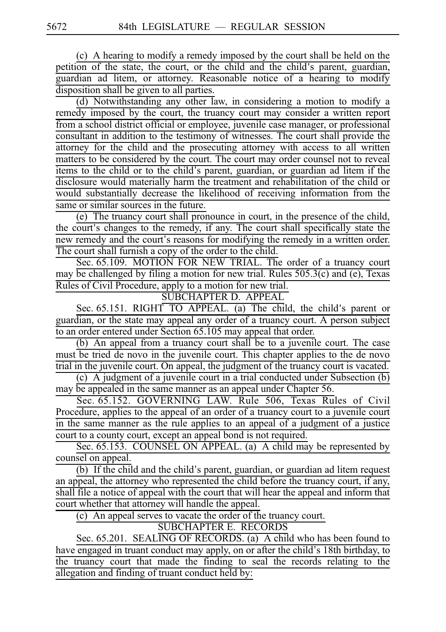(c) A hearing to modify a remedy imposed by the court shall be held on the petition of the state, the court, or the child and the child's parent, guardian, guardian ad litem, or attorney. Reasonable notice of a hearing to modify disposition shall be given to all parties.

(d) Notwithstanding any other law, in considering a motion to modify a remedy imposed by the court, the truancy court may consider a written report from a school district official or employee, juvenile case manager, or professional consultant in addition to the testimony of witnesses. The court shall provide the attorney for the child and the prosecuting attorney with access to all written matters to be considered by the court. The court may order counsel not to reveal items to the child or to the child's parent, guardian, or guardian ad litem if the disclosure would materially harm the treatment and rehabilitation of the child or would substantially decrease the likelihood of receiving information from the same or similar sources in the future.

(e) The truancy court shall pronounce in court, in the presence of the child, the court's changes to the remedy, if any. The court shall specifically state the new remedy and the court's reasons for modifying the remedy in a written order. The court shall furnish a copy of the order to the child.

Sec. 65.109. MOTION FOR NEW TRIAL. The order of a truancy court may be challenged by filing a motion for new trial. Rules 505.3(c) and (e), Texas Rules of Civil Procedure, apply to a motion for new trial.

SUBCHAPTER D. APPEAL

Sec.  $65.151$ . RIGHT TO APPEAL. (a) The child, the child's parent or guardian, or the state may appeal any order of a truancy court. A person subject to an order entered under Section 65.105 may appeal that order.

 $(b)$  An appeal from a truancy court shall be to a juvenile court. The case must be tried de novo in the juvenile court. This chapter applies to the de novo trial in the juvenile court. On appeal, the judgment of the truancy court is vacated.

(c) A judgment of a juvenile court in a trial conducted under Subsection  $(b)$ may be appealed in the same manner as an appeal under Chapter 56.

Sec. 65.152. GOVERNING LAW. Rule 506, Texas Rules of Civil Procedure, applies to the appeal of an order of a truancy court to a juvenile court in the same manner as the rule applies to an appeal of a judgment of a justice court to a county court, except an appeal bond is not required.

Sec. 65.153. COUNSEL ON APPEAL. (a) A child may be represented by counsel on appeal.

 $\overline{(b)}$  If the child and the child's parent, guardian, or guardian ad litem request an appeal, the attorney who represented the child before the truancy court, if any, shall file a notice of appeal with the court that will hear the appeal and inform that court whether that attorney will handle the appeal.

 $(c)$  An appeal serves to vacate the order of the truancy court.

SUBCHAPTER E. RECORDS

Sec. 65.201. SEALING OF RECORDS. (a) A child who has been found to have engaged in truant conduct may apply, on or after the child's 18th birthday, to the truancy court that made the finding to seal the records relating to the allegation and finding of truant conduct held by: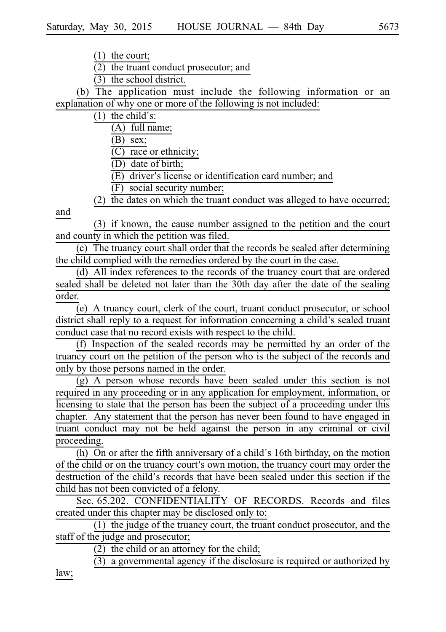$\overline{(2)}$  the truant conduct prosecutor; and

 $(3)$  the school district.

(b) The application must include the following information or an explanation of why one or more of the following is not included:

 $(1)$  the child's:

 $(A)$  full name;

 $(B)$  sex;

 $(C)$  race or ethnicity;

(D) date of birth;

 $(E)$  driver's license or identification card number; and

(F) social security number;

(2)  $\overline{the}$  dates on which the truant conduct was alleged to have occurred;

and

(3) if known, the cause number assigned to the petition and the court and county in which the petition was filed.

 $(c)$  The truancy court shall order that the records be sealed after determining the child complied with the remedies ordered by the court in the case.

(d) All index references to the records of the truancy court that are ordered sealed shall be deleted not later than the 30th day after the date of the sealing order.

(e) A truancy court, clerk of the court, truant conduct prosecutor, or school district shall reply to a request for information concerning a child's sealed truant conduct case that no record exists with respect to the child.

(f) Inspection of the sealed records may be permitted by an order of the truancy court on the petition of the person who is the subject of the records and only by those persons named in the order.

 $(g)$  A person whose records have been sealed under this section is not required in any proceeding or in any application for employment, information, or licensing to state that the person has been the subject of a proceeding under this chapter. Any statement that the person has never been found to have engaged in truant conduct may not be held against the person in any criminal or civil proceeding.

(h) On or after the fifth anniversary of a child's 16th birthday, on the motion of the child or on the truancy court's own motion, the truancy court may order the destruction of the child's records that have been sealed under this section if the child has not been convicted of a felony.

Sec. 65.202. CONFIDENTIALITY OF RECORDS. Records and files created under this chapter may be disclosed only to:

 $(1)$  the judge of the truancy court, the truant conduct prosecutor, and the staff of the judge and prosecutor;

(2) the child or an attorney for the child;

 $\overline{(3)}$  a governmental agency if the disclosure is required or authorized by

law;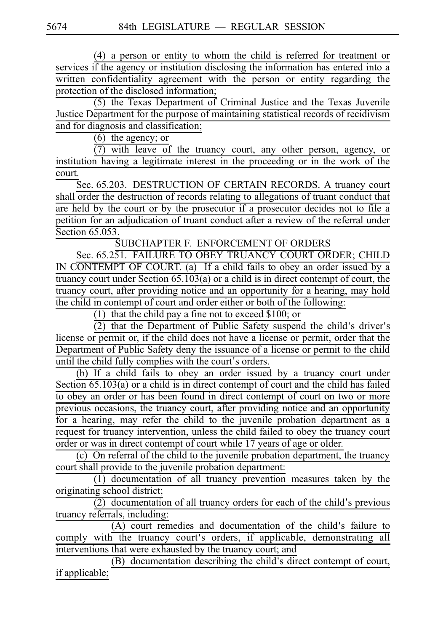(4) a person or entity to whom the child is referred for treatment or services if the agency or institution disclosing the information has entered into a written confidentiality agreement with the person or entity regarding the protection of the disclosed information;

 $(5)$  the Texas Department of Criminal Justice and the Texas Juvenile Justice Department for the purpose of maintaining statistical records of recidivism and for diagnosis and classification;

 $(6)$  the agency; or

 $(7)$  with leave of the truancy court, any other person, agency, or institution having a legitimate interest in the proceeding or in the work of the court.

Sec. 65.203. DESTRUCTION OF CERTAIN RECORDS. A truancy court shall order the destruction of records relating to allegations of truant conduct that are held by the court or by the prosecutor if a prosecutor decides not to file a petition for an adjudication of truant conduct after a review of the referral under Section 65.053.

SUBCHAPTER F. ENFORCEMENT OF ORDERS

Sec. 65.251. FAILURE TO OBEY TRUANCY COURT ORDER; CHILD IN CONTEMPT OF COURT. (a) If a child fails to obey an order issued by a truancy court under Section 65.103(a) or a child is in direct contempt of court, the truancy court, after providing notice and an opportunity for a hearing, may hold the child in contempt of court and order either or both of the following:

(1) that the child pay a fine not to exceed  $$100$ ; or

 $\overline{2}$ ) that the Department of Public Safety suspend the child's driver's license or permit or, if the child does not have a license or permit, order that the Department of Public Safety deny the issuance of a license or permit to the child until the child fully complies with the court's orders.

(b) If a child fails to obey an order issued by a truancy court under Section  $65.103(a)$  or a child is in direct contempt of court and the child has failed to obey an order or has been found in direct contempt of court on two or more previous occasions, the truancy court, after providing notice and an opportunity for a hearing, may refer the child to the juvenile probation department as a request for truancy intervention, unless the child failed to obey the truancy court order or was in direct contempt of court while 17 years of age or older.

(c) On referral of the child to the juvenile probation department, the truancy court shall provide to the juvenile probation department:

 $\overline{11}$  documentation of all truancy prevention measures taken by the originating school district;

 $\frac{6}{(2)}$  documentation of all truancy orders for each of the child's previous truancy referrals, including:

 $(A)$  court remedies and documentation of the child's failure to comply with the truancy court's orders, if applicable, demonstrating all interventions that were exhausted by the truancy court; and

 $(B)$  documentation describing the child's direct contempt of court, if applicable;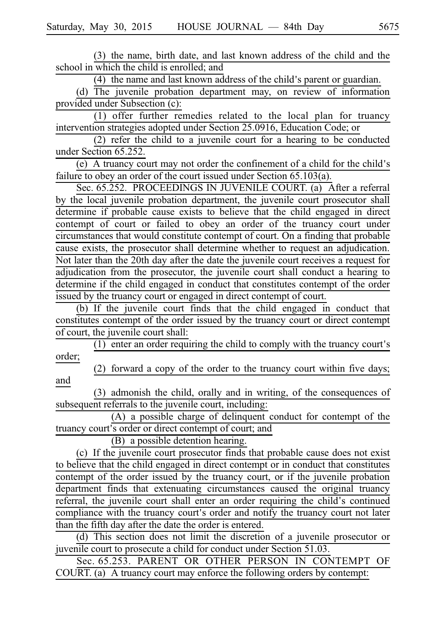(3) the name, birth date, and last known address of the child and the school in which the child is enrolled; and

 $(4)$  the name and last known address of the child's parent or guardian.

(d) The juvenile probation department may, on review of information provided under Subsection (c):

 $(1)$  offer further remedies related to the local plan for truancy intervention strategies adopted under Section 25.0916, Education Code; or

 $(2)$  refer the child to a juvenile court for a hearing to be conducted under Section 65.252.

(e) A truancy court may not order the confinement of a child for the child's failure to obey an order of the court issued under Section 65.103(a).

Sec. 65.252. PROCEEDINGS IN JUVENILE COURT. (a) After a referral by the local juvenile probation department, the juvenile court prosecutor shall determine if probable cause exists to believe that the child engaged in direct contempt of court or failed to obey an order of the truancy court under circumstances that would constitute contempt of court. On a finding that probable cause exists, the prosecutor shall determine whether to request an adjudication. Not later than the 20th day after the date the juvenile court receives a request for adjudication from the prosecutor, the juvenile court shall conduct a hearing to determine if the child engaged in conduct that constitutes contempt of the order issued by the truancy court or engaged in direct contempt of court.

 $(b)$  If the juvenile court finds that the child engaged in conduct that constitutes contempt of the order issued by the truancy court or direct contempt of court, the juvenile court shall:

 $(1)$  enter an order requiring the child to comply with the truancy court's order;

 $(2)$  forward a copy of the order to the truancy court within five days; and

(3) admonish the child, orally and in writing, of the consequences of subsequent referrals to the juvenile court, including:

 $(A)$  a possible charge of delinquent conduct for contempt of the truancy court's order or direct contempt of court; and

(B) a possible detention hearing.

(c) If the juvenile court prosecutor finds that probable cause does not exist to believe that the child engaged in direct contempt or in conduct that constitutes contempt of the order issued by the truancy court, or if the juvenile probation department finds that extenuating circumstances caused the original truancy referral, the juvenile court shall enter an order requiring the child's continued compliance with the truancy court's order and notify the truancy court not later than the fifth day after the date the order is entered.

 $(d)$  This section does not limit the discretion of a juvenile prosecutor or juvenile court to prosecute a child for conduct under Section 51.03.

Sec. 65.253. PARENT OR OTHER PERSON IN CONTEMPT OF  $COUTRT.$  (a) A truancy court may enforce the following orders by contempt: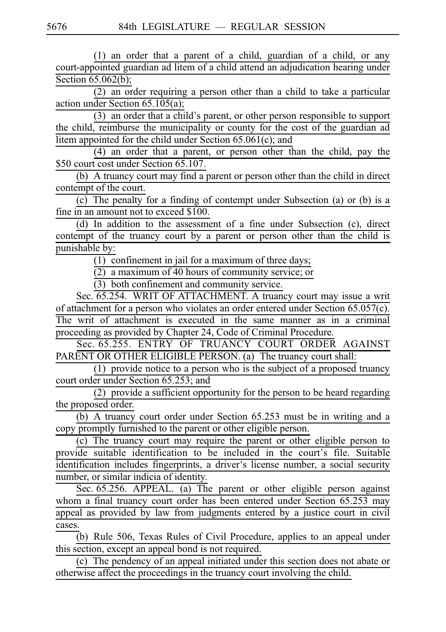$(1)$  an order that a parent of a child, guardian of a child, or any court-appointed guardian ad litem of a child attend an adjudication hearing under Section  $65.062(b)$ ;

 $(2)$  an order requiring a person other than a child to take a particular action under Section 65.105(a);

 $(3)$  an order that a child's parent, or other person responsible to support the child, reimburse the municipality or county for the cost of the guardian ad litem appointed for the child under Section 65.061(c); and

(4) an order that a parent, or person other than the child, pay the \$50 court cost under Section 65.107.

(b) A truancy court may find a parent or person other than the child in direct contempt of the court.

 $(c)$  The penalty for a finding of contempt under Subsection (a) or (b) is a fine in an amount not to exceed \$100.

 $(d)$  In addition to the assessment of a fine under Subsection (c), direct contempt of the truancy court by a parent or person other than the child is punishable by:

 $\overline{(1)}$  confinement in jail for a maximum of three days;

(2) a maximum of 40 hours of community service; or

 $(3)$  both confinement and community service.

Sec. 65.254. WRIT OF ATTACHMENT. A truancy court may issue a writ of attachment for a person who violates an order entered under Section 65.057(c). The writ of attachment is executed in the same manner as in a criminal proceeding as provided by Chapter 24, Code of Criminal Procedure.

Sec. 65.255. ENTRY OF TRUANCY COURT ORDER AGAINST PARENT OR OTHER ELIGIBLE PERSON. (a) The truancy court shall:

(1) provide notice to a person who is the subject of a proposed truancy court order under Section 65.253; and

 $(2)$  provide a sufficient opportunity for the person to be heard regarding the proposed order.

(b) A truancy court order under Section  $65.253$  must be in writing and a copy promptly furnished to the parent or other eligible person.

(c) The truancy court may require the parent or other eligible person to provide suitable identification to be included in the court's file. Suitable identification includes fingerprints, a driver's license number, a social security number, or similar indicia of identity.

Sec. 65.256. APPEAL. (a) The parent or other eligible person against whom a final truancy court order has been entered under Section 65.253 may appeal as provided by law from judgments entered by a justice court in civil cases.

 $(b)$  Rule 506, Texas Rules of Civil Procedure, applies to an appeal under this section, except an appeal bond is not required.

 $(c)$  The pendency of an appeal initiated under this section does not abate or otherwise affect the proceedings in the truancy court involving the child.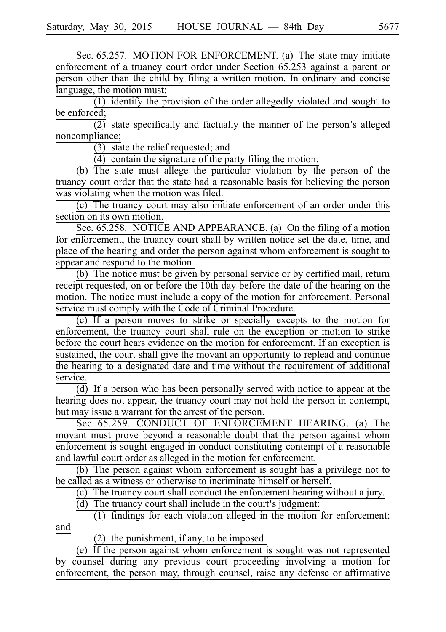Sec. 65.257. MOTION FOR ENFORCEMENT. (a) The state may initiate enforcement of a truancy court order under Section 65.253 against a parent or person other than the child by filing a written motion. In ordinary and concise language, the motion must:

 $(1)$  identify the provision of the order allegedly violated and sought to be enforced;

 $\overline{(2)}$  state specifically and factually the manner of the person's alleged noncompliance;

 $(3)$  state the relief requested; and

 $(4)$  contain the signature of the party filing the motion.

(b) The state must allege the particular violation by the person of the truancy court order that the state had a reasonable basis for believing the person was violating when the motion was filed.

(c) The truancy court may also initiate enforcement of an order under this section on its own motion.

Sec. 65.258. NOTICE AND APPEARANCE. (a) On the filing of a motion for enforcement, the truancy court shall by written notice set the date, time, and place of the hearing and order the person against whom enforcement is sought to appear and respond to the motion.

(b) The notice must be given by personal service or by certified mail, return receipt requested, on or before the 10th day before the date of the hearing on the motion. The notice must include a copy of the motion for enforcement. Personal service must comply with the Code of Criminal Procedure.

(c) If a person moves to strike or specially excepts to the motion for enforcement, the truancy court shall rule on the exception or motion to strike before the court hears evidence on the motion for enforcement. If an exception is sustained, the court shall give the movant an opportunity to replead and continue the hearing to a designated date and time without the requirement of additional service.

 $\overline{d}$  If a person who has been personally served with notice to appear at the hearing does not appear, the truancy court may not hold the person in contempt, but may issue a warrant for the arrest of the person.

Sec. 65.259. CONDUCT OF ENFORCEMENT HEARING. (a) The movant must prove beyond a reasonable doubt that the person against whom enforcement is sought engaged in conduct constituting contempt of a reasonable and lawful court order as alleged in the motion for enforcement.

(b) The person against whom enforcement is sought has a privilege not to be called as a witness or otherwise to incriminate himself or herself.

(c) The truancy court shall conduct the enforcement hearing without a jury.

 $(d)$  The truancy court shall include in the court's judgment:

 $(1)$  findings for each violation alleged in the motion for enforcement; and

(2) the punishment, if any, to be imposed.

(e)  $\overline{If}$  the person against whom enforcement is sought was not represented by counsel during any previous court proceeding involving a motion for enforcement, the person may, through counsel, raise any defense or affirmative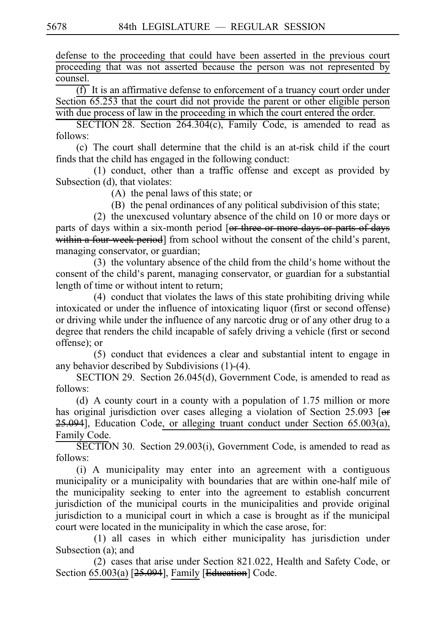defense to the proceeding that could have been asserted in the previous court proceeding that was not asserted because the person was not represented by counsel.

 $\overline{(f)}$  It is an affirmative defense to enforcement of a truancy court order under Section 65.253 that the court did not provide the parent or other eligible person with due process of law in the proceeding in which the court entered the order.

SECTION 28. Section  $264.304(c)$ , Family Code, is amended to read as follows:

(c) The court shall determine that the child is an at-risk child if the court finds that the child has engaged in the following conduct:

 $(1)$  conduct, other than a traffic offense and except as provided by Subsection (d), that violates:

 $(A)$  the penal laws of this state; or

(B) the penal ordinances of any political subdivision of this state;

(2) the unexcused voluntary absence of the child on  $10$  or more days or parts of days within a six-month period [or three or more days or parts of days within a four-week period] from school without the consent of the child's parent, managing conservator, or guardian;

 $(3)$  the voluntary absence of the child from the child's home without the consent of the child's parent, managing conservator, or guardian for a substantial length of time or without intent to return;

 $(4)$  conduct that violates the laws of this state prohibiting driving while intoxicated or under the influence of intoxicating liquor (first or second offense) or driving while under the influence of any narcotic drug or of any other drug to a degree that renders the child incapable of safely driving a vehicle (first or second offense); or

(5) conduct that evidences a clear and substantial intent to engage in any behavior described by Subdivisions (1)-(4).

SECTION 29. Section 26.045(d), Government Code, is amended to read as follows:

(d) A county court in a county with a population of  $1.75$  million or more has original jurisdiction over cases alleging a violation of Section 25.093 [ $\Theta$ f  $25.094$ ], Education Code, or alleging truant conduct under Section  $65.003(a)$ , Family Code.

SECTION 30. Section 29.003(i), Government Code, is amended to read as follows:

 $(i)$  A municipality may enter into an agreement with a contiguous municipality or a municipality with boundaries that are within one-half mile of the municipality seeking to enter into the agreement to establish concurrent jurisdiction of the municipal courts in the municipalities and provide original jurisdiction to a municipal court in which a case is brought as if the municipal court were located in the municipality in which the case arose, for:

(1) all cases in which either municipality has jurisdiction under Subsection (a); and

 $(2)$  cases that arise under Section 821.022, Health and Safety Code, or Section 65.003(a) [25.094], Family [Education] Code.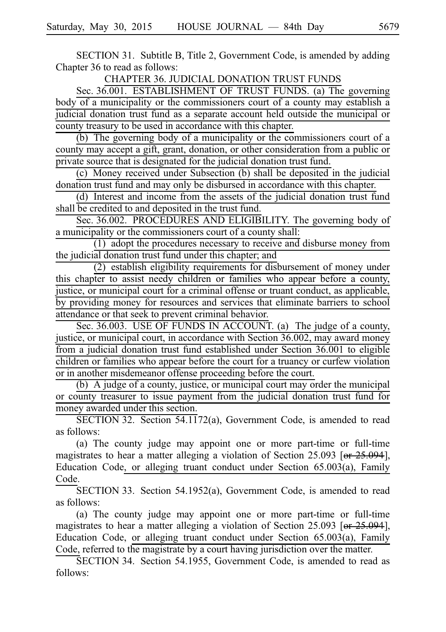SECTION 31. Subtitle B, Title 2, Government Code, is amended by adding Chapter 36 to read as follows:

CHAPTER 36. JUDICIAL DONATION TRUST FUNDS

Sec. 36.001. ESTABLISHMENT OF TRUST FUNDS. (a) The governing body of a municipality or the commissioners court of a county may establish a judicial donation trust fund as a separate account held outside the municipal or county treasury to be used in accordance with this chapter.

(b) The governing body of a municipality or the commissioners court of a county may accept a gift, grant, donation, or other consideration from a public or private source that is designated for the judicial donation trust fund.

(c) Money received under Subsection (b) shall be deposited in the judicial donation trust fund and may only be disbursed in accordance with this chapter.

(d) Interest and income from the assets of the judicial donation trust fund shall be credited to and deposited in the trust fund.

Sec. 36.002. PROCEDURES AND ELIGIBILITY. The governing body of a municipality or the commissioners court of a county shall:

 $(1)$  adopt the procedures necessary to receive and disburse money from the judicial donation trust fund under this chapter; and

 $(2)$  establish eligibility requirements for disbursement of money under this chapter to assist needy children or families who appear before a county, justice, or municipal court for a criminal offense or truant conduct, as applicable, by providing money for resources and services that eliminate barriers to school attendance or that seek to prevent criminal behavior.

Sec. 36.003. USE OF FUNDS IN ACCOUNT. (a) The judge of a county, justice, or municipal court, in accordance with Section 36.002, may award money from a judicial donation trust fund established under Section 36.001 to eligible children or families who appear before the court for a truancy or curfew violation or in another misdemeanor offense proceeding before the court.

 $(b)$  A judge of a county, justice, or municipal court may order the municipal or county treasurer to issue payment from the judicial donation trust fund for money awarded under this section.

SECTION 32. Section  $54.1172(a)$ , Government Code, is amended to read as follows:

(a) The county judge may appoint one or more part-time or full-time magistrates to hear a matter alleging a violation of Section 25.093 [or  $25.094$ ], Education Code, or alleging truant conduct under Section 65.003(a), Family Code.

SECTION 33. Section 54.1952(a), Government Code, is amended to read as follows:

(a) The county judge may appoint one or more part-time or full-time magistrates to hear a matter alleging a violation of Section 25.093 [or  $25.094$ ], Education Code, or alleging truant conduct under Section 65.003(a), Family Code, referred to the magistrate by a court having jurisdiction over the matter.

SECTION 34. Section 54.1955, Government Code, is amended to read as follows: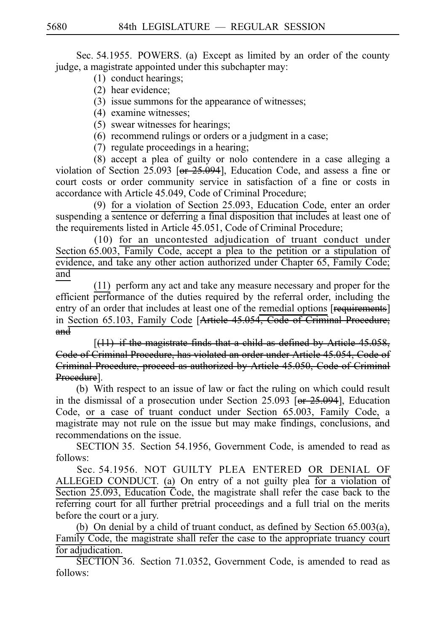Sec. 54.1955. POWERS. (a) Except as limited by an order of the county judge, a magistrate appointed under this subchapter may:

- $(1)$  conduct hearings;
- (2) hear evidence:
- (3) issue summons for the appearance of witnesses;
- (4) examine witnesses:
- $(5)$  swear witnesses for hearings;
- $(6)$  recommend rulings or orders or a judgment in a case;
- $(7)$  regulate proceedings in a hearing;

 $(8)$  accept a plea of guilty or nolo contendere in a case alleging a violation of Section 25.093 [or 25.094], Education Code, and assess a fine or court costs or order community service in satisfaction of a fine or costs in accordance with Article 45.049, Code of Criminal Procedure;

(9) for a violation of Section 25.093, Education Code, enter an order suspending a sentence or deferring a final disposition that includes at least one of the requirements listed in Article 45.051, Code of Criminal Procedure;

 $(10)$  for an uncontested adjudication of truant conduct under Section  $65.003$ , Family Code, accept a plea to the petition or a stipulation of evidence, and take any other action authorized under Chapter 65, Family Code; and

 $(11)$  perform any act and take any measure necessary and proper for the efficient performance of the duties required by the referral order, including the entry of an order that includes at least one of the remedial options [requirements] in Section 65.103, Family Code [Article 45.054, Code of Criminal Procedure;  $and$ 

 $[(11)$  if the magistrate finds that a child as defined by Article 45.058, Code of Criminal Procedure, has violated an order under Article 45.054, Code Criminal Procedure, proceed as authorized by Article 45.050, Code of Criminal Procedure].

(b) With respect to an issue of law or fact the ruling on which could result in the dismissal of a prosecution under Section 25.093  $\overline{[or 25.094]}$ , Education Code, or a case of truant conduct under Section 65.003, Family Code, a magistrate may not rule on the issue but may make findings, conclusions, and recommendations on the issue.

SECTION 35. Section 54.1956, Government Code, is amended to read as follows:

Sec. 54.1956. NOT GUILTY PLEA ENTERED OR DENIAL OF ALLEGED CONDUCT. (a) On entry of a not guilty plea for a violation of Section 25.093, Education Code, the magistrate shall refer the case back to the referring court for all further pretrial proceedings and a full trial on the merits before the court or a jury.

(b) On denial by a child of truant conduct, as defined by Section  $65.003(a)$ , Family Code, the magistrate shall refer the case to the appropriate truancy court for adjudication.

SECTION 36. Section 71.0352, Government Code, is amended to read as follows: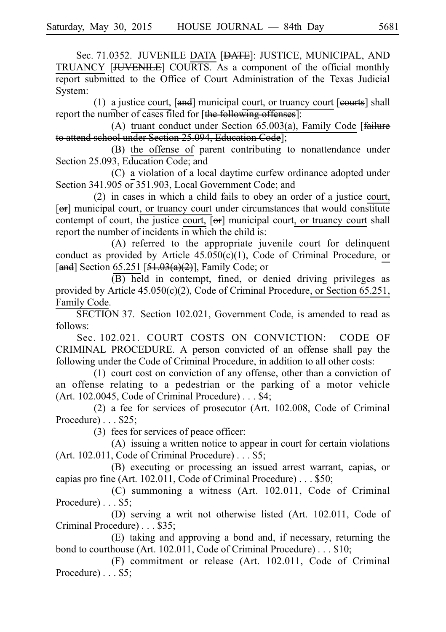Sec. 71.0352. JUVENILE DATA [<del>DATE</del>]: JUSTICE, MUNICIPAL, AND TRUANCY [JUVENILE] COURTS. As a component of the official monthly report submitted to the Office of Court Administration of the Texas Judicial System:

(1) a justice court,  $[and]$  municipal court, or truancy court  $[counts]$  shall report the number of cases filed for [the following offenses]:

(A) truant conduct under Section 65.003(a), Family Code [ $f$ ailure to attend school under Section 25.094, Education Code];

(B) the offense of parent contributing to nonattendance under Section 25.093, Education Code; and

(C) a violation of a local daytime curfew ordinance adopted under Section 341.905 or 351.903, Local Government Code; and

 $(2)$  in cases in which a child fails to obey an order of a justice court, [or] municipal court, or truancy court under circumstances that would constitute contempt of court, the justice court,  $\overline{[\Theta^*]}$  municipal court, or truancy court shall report the number of incidents in which the child is:

(A) referred to the appropriate juvenile court for delinquent conduct as provided by Article 45.050(c)(1), Code of Criminal Procedure, or [and] Section 65.251 [ $\frac{51.03(a)(2)}{2}$ ], Family Code; or

 $(B)$  held in contempt, fined, or denied driving privileges as provided by Article 45.050(c)(2), Code of Criminal Procedure, or Section 65.251, Family Code.

SECTION 37. Section 102.021, Government Code, is amended to read as follows:

Sec. 102.021. COURT COSTS ON CONVICTION: CODE OF CRIMINAL PROCEDURE. A person convicted of an offense shall pay the following under the Code of Criminal Procedure, in addition to all other costs:

 $(1)$  court cost on conviction of any offense, other than a conviction of an offense relating to a pedestrian or the parking of a motor vehicle (Art. 102.0045, Code of Criminal Procedure) ...  $$4;$ 

(2) a fee for services of prosecutor (Art. 102.008, Code of Criminal Procedure $)\ldots$ \$25;

 $(3)$  fees for services of peace officer:

 $(A)$  issuing a written notice to appear in court for certain violations (Art. 102.011, Code of Criminal Procedure)  $\ldots$  \$5;

(B) executing or processing an issued arrest warrant, capias, or capias pro fine (Art. 102.011, Code of Criminal Procedure)  $\ldots$  \$50;

 $(C)$  summoning a witness (Art. 102.011, Code of Criminal Procedure $)\ldots$ \$5;

(D) serving a writ not otherwise listed (Art. 102.011, Code of Criminal Procedure) ... \$35;

 $(E)$  taking and approving a bond and, if necessary, returning the bond to courthouse (Art. 102.011, Code of Criminal Procedure)... \$10;

 $(F)$  commitment or release (Art. 102.011, Code of Criminal Procedure $)\ldots$ \$5;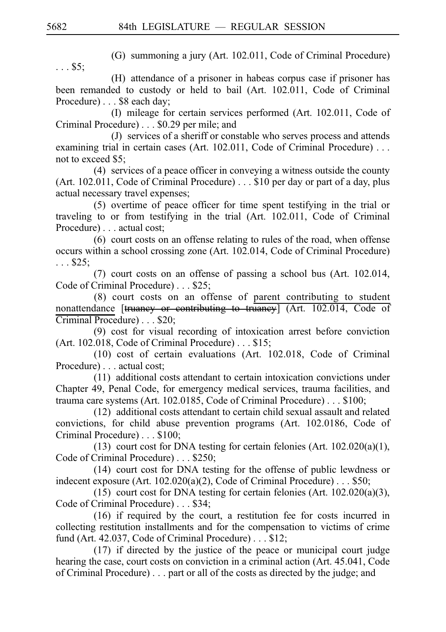(G) summoning a jury (Art. 102.011, Code of Criminal Procedure)

 $\ldots$  \$5;

(H) attendance of a prisoner in habeas corpus case if prisoner has been remanded to custody or held to bail (Art. 102.011, Code of Criminal Procedure) . . . \$8 each day;

(I) mileage for certain services performed (Art. 102.011, Code of Criminal Procedure) . . . \$0.29 per mile; and

(J) services of a sheriff or constable who serves process and attends examining trial in certain cases (Art.  $102.011$ , Code of Criminal Procedure) ... not to exceed \$5;

 $(4)$  services of a peace officer in conveying a witness outside the county (Art. 102.011, Code of Criminal Procedure)  $\ldots$  \$10 per day or part of a day, plus actual necessary travel expenses;

 $(5)$  overtime of peace officer for time spent testifying in the trial or traveling to or from testifying in the trial (Art. 102.011, Code of Criminal Procedure) . . . actual cost;

 $(6)$  court costs on an offense relating to rules of the road, when offense occurs within a school crossing zone (Art. 102.014, Code of Criminal Procedure)  $\ldots$  \$25;

 $(7)$  court costs on an offense of passing a school bus (Art. 102.014, Code of Criminal Procedure) . . . \$25;

 $(8)$  court costs on an offense of parent contributing to student nonattendance  $[\frac{$ Huaney or contributing to truancy (Art. 102.014, Code of Criminal Procedure) . . . \$20;

 $(9)$  cost for visual recording of intoxication arrest before conviction (Art. 102.018, Code of Criminal Procedure)  $\ldots$  \$15;

 $(10)$  cost of certain evaluations (Art. 102.018, Code of Criminal Procedure) . . . actual cost;

 $(11)$  additional costs attendant to certain intoxication convictions under Chapter 49, Penal Code, for emergency medical services, trauma facilities, and trauma care systems (Art. 102.0185, Code of Criminal Procedure)  $\ldots$  \$100;

 $(12)$  additional costs attendant to certain child sexual assault and related convictions, for child abuse prevention programs (Art. 102.0186, Code of Criminal Procedure) . . . \$100;

(13) court cost for DNA testing for certain felonies (Art.  $102.020(a)(1)$ , Code of Criminal Procedure) . . . \$250;

(14) court cost for DNA testing for the offense of public lewdness or indecent exposure (Art.  $102.020(a)(2)$ , Code of Criminal Procedure)... \$50;

(15) court cost for DNA testing for certain felonies (Art.  $102.020(a)(3)$ , Code of Criminal Procedure) . . . \$34;

 $(16)$  if required by the court, a restitution fee for costs incurred in collecting restitution installments and for the compensation to victims of crime fund (Art. 42.037, Code of Criminal Procedure)  $\ldots$  \$12;

 $(17)$  if directed by the justice of the peace or municipal court judge hearing the case, court costs on conviction in a criminal action (Art. 45.041, Code of Criminal Procedure) . . . part or all of the costs as directed by the judge; and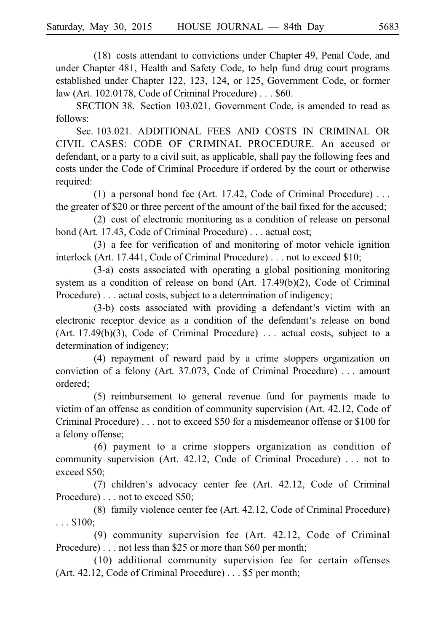(18) costs attendant to convictions under Chapter 49, Penal Code, and under Chapter 481, Health and Safety Code, to help fund drug court programs established under Chapter 122, 123, 124, or 125, Government Code, or former law (Art. 102.0178, Code of Criminal Procedure)  $\ldots$  \$60.

SECTION 38. Section 103.021, Government Code, is amended to read as follows:

Sec. 103.021. ADDITIONAL FEES AND COSTS IN CRIMINAL OR CIVIL CASES: CODE OF CRIMINAL PROCEDURE. An accused or defendant, or a party to a civil suit, as applicable, shall pay the following fees and costs under the Code of Criminal Procedure if ordered by the court or otherwise required:

(1) a personal bond fee (Art. 17.42, Code of Criminal Procedure)  $\dots$ the greater of \$20 or three percent of the amount of the bail fixed for the accused;

 $(2)$  cost of electronic monitoring as a condition of release on personal bond (Art. 17.43, Code of Criminal Procedure) ... actual cost;

 $(3)$  a fee for verification of and monitoring of motor vehicle ignition interlock (Art. 17.441, Code of Criminal Procedure) . . . not to exceed \$10;

 $(3-a)$  costs associated with operating a global positioning monitoring system as a condition of release on bond (Art. 17.49(b)(2), Code of Criminal Procedure) . . . actual costs, subject to a determination of indigency;

 $(3-b)$  costs associated with providing a defendant's victim with an electronic receptor device as a condition of the defendant's release on bond  $(Art. 17.49(b)(3), Code of Criminal Procedure) \ldots$  actual costs, subject to a determination of indigency;

(4) repayment of reward paid by a crime stoppers organization on conviction of a felony (Art. 37.073, Code of Criminal Procedure)  $\dots$  amount ordered;

 $(5)$  reimbursement to general revenue fund for payments made to victim of an offense as condition of community supervision (Art. 42.12, Code of Criminal Procedure) . . . not to exceed \$50 for a misdemeanor offense or \$100 for a felony offense;

 $(6)$  payment to a crime stoppers organization as condition of community supervision (Art.  $42.12$ , Code of Criminal Procedure) ... not to exceed \$50;

 $(7)$  children's advocacy center fee (Art. 42.12, Code of Criminal Procedure) . . . not to exceed \$50;

(8) family violence center fee (Art.  $42.12$ , Code of Criminal Procedure)  $\ldots$ \$100;

(9) community supervision fee (Art.  $42.12$ , Code of Criminal Procedure) . . . not less than \$25 or more than \$60 per month;

 $(10)$  additional community supervision fee for certain offenses (Art. 42.12, Code of Criminal Procedure) ... \$5 per month;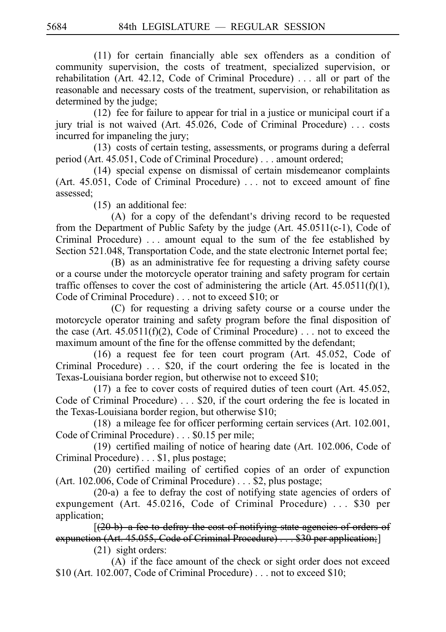$(11)$  for certain financially able sex offenders as a condition of community supervision, the costs of treatment, specialized supervision, or rehabilitation (Art. 42.12, Code of Criminal Procedure) ... all or part of the reasonable and necessary costs of the treatment, supervision, or rehabilitation as determined by the judge;

 $(12)$  fee for failure to appear for trial in a justice or municipal court if a jury trial is not waived (Art.  $45.026$ , Code of Criminal Procedure) ... costs incurred for impaneling the jury;

 $(13)$  costs of certain testing, assessments, or programs during a deferral period (Art. 45.051, Code of Criminal Procedure) ... amount ordered;

 $(14)$  special expense on dismissal of certain misdemeanor complaints (Art.  $45.051$ , Code of Criminal Procedure) ... not to exceed amount of fine assessed;

 $(15)$  an additional fee:

 $(A)$  for a copy of the defendant's driving record to be requested from the Department of Public Safety by the judge (Art. 45.0511(c-1), Code of Criminal Procedure)  $\ldots$  amount equal to the sum of the fee established by Section 521.048, Transportation Code, and the state electronic Internet portal fee;

(B) as an administrative fee for requesting a driving safety course or a course under the motorcycle operator training and safety program for certain traffic offenses to cover the cost of administering the article (Art.  $45.0511(f)(1)$ , Code of Criminal Procedure) . . . not to exceed \$10; or

 $(C)$  for requesting a driving safety course or a course under the motorcycle operator training and safety program before the final disposition of the case (Art.  $45.0511(f)(2)$ , Code of Criminal Procedure) ... not to exceed the maximum amount of the fine for the offense committed by the defendant;

 $(16)$  a request fee for teen court program (Art. 45.052, Code of Criminal Procedure)  $\ldots$  \$20, if the court ordering the fee is located in the Texas-Louisiana border region, but otherwise not to exceed \$10;

 $(17)$  a fee to cover costs of required duties of teen court (Art. 45.052, Code of Criminal Procedure)  $\dots$  \$20, if the court ordering the fee is located in the Texas-Louisiana border region, but otherwise \$10;

 $(18)$  a mileage fee for officer performing certain services (Art. 102.001, Code of Criminal Procedure) . . . \$0.15 per mile;

(19) certified mailing of notice of hearing date (Art. 102.006, Code of Criminal Procedure) . . . \$1, plus postage;

 $(20)$  certified mailing of certified copies of an order of expunction (Art. 102.006, Code of Criminal Procedure) ... \$2, plus postage;

 $(20-a)$  a fee to defray the cost of notifying state agencies of orders of expungement (Art.  $45.0216$ , Code of Criminal Procedure) ... \$30 per application;

 $(20 b)$  a fee to defray the cost of notifying state agencies of orders of expunction (Art. 45.055, Code of Criminal Procedure)  $\ldots$  \$30 per application;]  $(21)$  sight orders:

(A) if the face amount of the check or sight order does not exceed \$10 (Art. 102.007, Code of Criminal Procedure) . . . not to exceed \$10;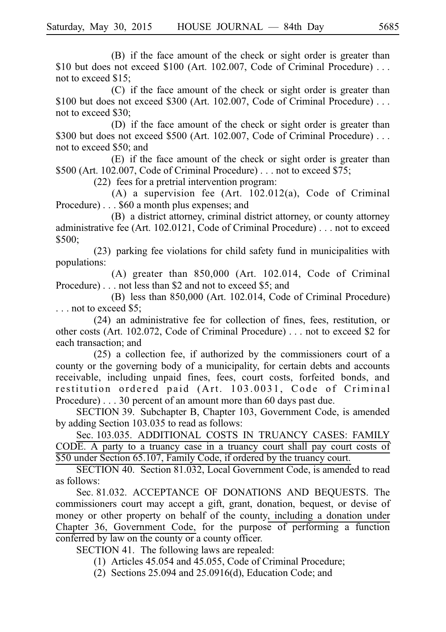(B) if the face amount of the check or sight order is greater than \$10 but does not exceed \$100 (Art. 102.007, Code of Criminal Procedure) ... not to exceed \$15;

(C) if the face amount of the check or sight order is greater than \$100 but does not exceed \$300 (Art. 102.007, Code of Criminal Procedure) ... not to exceed \$30;

(D) if the face amount of the check or sight order is greater than \$300 but does not exceed \$500 (Art. 102.007, Code of Criminal Procedure) ... not to exceed \$50; and

(E) if the face amount of the check or sight order is greater than  $$500$  (Art. 102.007, Code of Criminal Procedure) ... not to exceed \$75;

 $(22)$  fees for a pretrial intervention program:

(A) a supervision fee (Art.  $102.012(a)$ , Code of Criminal Procedure)...  $$60$  a month plus expenses; and

(B) a district attorney, criminal district attorney, or county attorney administrative fee (Art. 102.0121, Code of Criminal Procedure) ... not to exceed \$500;

 $(23)$  parking fee violations for child safety fund in municipalities with populations:

(A) greater than  $850,000$  (Art. 102.014, Code of Criminal Procedure) . . . not less than \$2 and not to exceed \$5; and

(B) less than 850,000 (Art. 102.014, Code of Criminal Procedure) ... not to exceed \$5;

 $(24)$  an administrative fee for collection of fines, fees, restitution, or other costs (Art. 102.072, Code of Criminal Procedure) ... not to exceed \$2 for each transaction; and

 $(25)$  a collection fee, if authorized by the commissioners court of a county or the governing body of a municipality, for certain debts and accounts receivable, including unpaid fines, fees, court costs, forfeited bonds, and restitution ordered paid (Art. 103.0031, Code of Criminal Procedure)...30 percent of an amount more than  $60$  days past due.

SECTION 39. Subchapter B, Chapter 103, Government Code, is amended by adding Section 103.035 to read as follows:

Sec. 103.035. ADDITIONAL COSTS IN TRUANCY CASES: FAMILY CODE. A party to a truancy case in a truancy court shall pay court costs of \$50 under Section 65.107, Family Code, if ordered by the truancy court.

SECTION 40. Section 81.032, Local Government Code, is amended to read as follows:

Sec. 81.032. ACCEPTANCE OF DONATIONS AND BEQUESTS. The commissioners court may accept a gift, grant, donation, bequest, or devise of money or other property on behalf of the county, including a donation under Chapter 36, Government Code, for the purpose of performing a function conferred by law on the county or a county officer.

SECTION 41. The following laws are repealed:

 $(1)$  Articles 45.054 and 45.055, Code of Criminal Procedure;

(2) Sections  $25.094$  and  $25.0916(d)$ , Education Code; and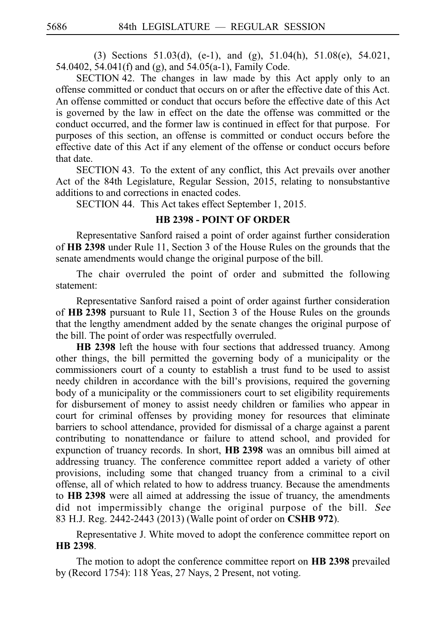(3) Sections 51.03(d), (e-1), and (g), 51.04(h), 51.08(e), 54.021, 54.0402, 54.041(f) and (g), and 54.05(a-1), Family Code.

 $SECTION 42$ . The changes in law made by this Act apply only to an offense committed or conduct that occurs on or after the effective date of this Act. An offense committed or conduct that occurs before the effective date of this Act is governed by the law in effect on the date the offense was committed or the conduct occurred, and the former law is continued in effect for that purpose. For purposes of this section, an offense is committed or conduct occurs before the effective date of this Act if any element of the offense or conduct occurs before that date.

SECTION 43. To the extent of any conflict, this Act prevails over another Act of the 84th Legislature, Regular Session, 2015, relating to nonsubstantive additions to and corrections in enacted codes.

SECTION 44. This Act takes effect September 1, 2015.

#### **HB 2398 - POINT OF ORDER**

Representative Sanford raised a point of order against further consideration of HB 2398 under Rule 11, Section 3 of the House Rules on the grounds that the senate amendments would change the original purpose of the bill.

The chair overruled the point of order and submitted the following statement:

Representative Sanford raised a point of order against further consideration of HB 2398 pursuant to Rule 11, Section 3 of the House Rules on the grounds that the lengthy amendment added by the senate changes the original purpose of the bill. The point of order was respectfully overruled.

**HB 2398** left the house with four sections that addressed truancy. Among other things, the bill permitted the governing body of a municipality or the commissioners court of a county to establish a trust fund to be used to assist needy children in accordance with the bill's provisions, required the governing body of a municipality or the commissioners court to set eligibility requirements for disbursement of money to assist needy children or families who appear in court for criminal offenses by providing money for resources that eliminate barriers to school attendance, provided for dismissal of a charge against a parent contributing to nonattendance or failure to attend school, and provided for expunction of truancy records. In short, **HB 2398** was an omnibus bill aimed at addressing truancy. The conference committee report added a variety of other provisions, including some that changed truancy from a criminal to a civil offense, all of which related to how to address truancy. Because the amendments to **HBi2398** were all aimed at addressing the issue of truancy, the amendments did not impermissibly change the original purpose of the bill. See 83 H.J. Reg. 2442-2443 (2013) (Walle point of order on **CSHB 972**).

Representative J. White moved to adopt the conference committee report on **HBi2398**.

The motion to adopt the conference committee report on **HB 2398** prevailed by (Record 1754): 118 Yeas, 27 Nays, 2 Present, not voting.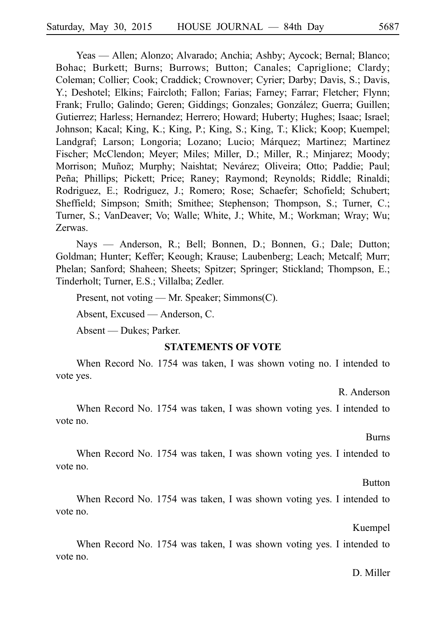Yeas — Allen; Alonzo; Alvarado; Anchia; Ashby; Aycock; Bernal; Blanco; Bohac; Burkett; Burns; Burrows; Button; Canales; Capriglione; Clardy; Coleman; Collier; Cook; Craddick; Crownover; Cyrier; Darby; Davis, S.; Davis, Y.; Deshotel; Elkins; Faircloth; Fallon; Farias; Farney; Farrar; Fletcher; Flynn; Frank; Frullo; Galindo; Geren; Giddings; Gonzales; González; Guerra; Guillen; Gutierrez; Harless; Hernandez; Herrero; Howard; Huberty; Hughes; Isaac; Israel; Johnson; Kacal; King, K.; King, P.; King, S.; King, T.; Klick; Koop; Kuempel; Landgraf; Larson; Longoria; Lozano; Lucio; Márquez; Martinez; Martinez Fischer; McClendon; Meyer; Miles; Miller, D.; Miller, R.; Minjarez; Moody; Morrison; Muñoz; Murphy; Naishtat; Nevárez; Oliveira; Otto; Paddie; Paul; Peña; Phillips; Pickett; Price; Raney; Raymond; Reynolds; Riddle; Rinaldi; Rodriguez, E.; Rodriguez, J.; Romero; Rose; Schaefer; Schofield; Schubert; Sheffield; Simpson; Smith; Smithee; Stephenson; Thompson, S.; Turner, C.; Turner, S.; VanDeaver; Vo; Walle; White, J.; White, M.; Workman; Wray; Wu; Zerwas.

Nays — Anderson, R.; Bell; Bonnen, D.; Bonnen, G.; Dale; Dutton; Goldman; Hunter; Keffer; Keough; Krause; Laubenberg; Leach; Metcalf; Murr; Phelan; Sanford; Shaheen; Sheets; Spitzer; Springer; Stickland; Thompson, E.; Tinderholt; Turner, E.S.; Villalba; Zedler.

Present, not voting — Mr. Speaker; Simmons(C).

Absent, Excused — Anderson, C.

Absent — Dukes; Parker.

#### **STATEMENTS OF VOTE**

When Record No. 1754 was taken, I was shown voting no. I intended to vote yes.

R. Anderson

When Record No. 1754 was taken, I was shown voting yes. I intended to vote no.

Burns

When Record No. 1754 was taken, I was shown voting yes. I intended to vote no.

**Button** 

When Record No. 1754 was taken, I was shown voting yes. I intended to vote no.

Kuempel

When Record No. 1754 was taken, I was shown voting yes. I intended to vote no.

#### D. Miller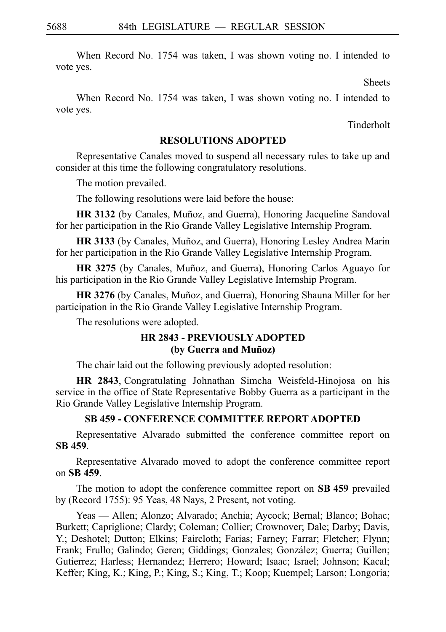When Record No. 1754 was taken, I was shown voting no. I intended to vote yes.

Sheets

When Record No. 1754 was taken, I was shown voting no. I intended to vote yes.

Tinderholt

#### **RESOLUTIONS ADOPTED**

Representative Canales moved to suspend all necessary rules to take up and consider at this time the following congratulatory resolutions.

The motion prevailed.

The following resolutions were laid before the house:

**HR 3132** (by Canales, Muñoz, and Guerra), Honoring Jacqueline Sandoval for her participation in the Rio Grande Valley Legislative Internship Program.

HR 3133 (by Canales, Muñoz, and Guerra), Honoring Lesley Andrea Marin for her participation in the Rio Grande Valley Legislative Internship Program.

**HR 3275** (by Canales, Muñoz, and Guerra), Honoring Carlos Aguayo for his participation in the Rio Grande Valley Legislative Internship Program.

**HR 3276** (by Canales, Muñoz, and Guerra), Honoring Shauna Miller for her participation in the Rio Grande Valley Legislative Internship Program.

The resolutions were adopted.

## **HR 2843 - PREVIOUSLY ADOPTED (by Guerra and Muñoz)**

The chair laid out the following previously adopted resolution:

**HR 2843**, Congratulating Johnathan Simcha Weisfeld-Hinojosa on his service in the office of State Representative Bobby Guerra as a participant in the Rio Grande Valley Legislative Internship Program.

## **SB 459 - CONFERENCE COMMITTEE REPORT ADOPTED**

Representative Alvarado submitted the conference committee report on **SBi459**.

Representative Alvarado moved to adopt the conference committee report on **SBi459**.

The motion to adopt the conference committee report on SB 459 prevailed by (Record 1755): 95 Yeas, 48 Nays, 2 Present, not voting.

Yeas — Allen; Alonzo; Alvarado; Anchia; Aycock; Bernal; Blanco; Bohac; Burkett; Capriglione; Clardy; Coleman; Collier; Crownover; Dale; Darby; Davis, Y.; Deshotel; Dutton; Elkins; Faircloth; Farias; Farney; Farrar; Fletcher; Flynn; Frank; Frullo; Galindo; Geren; Giddings; Gonzales; González; Guerra; Guillen; Gutierrez; Harless; Hernandez; Herrero; Howard; Isaac; Israel; Johnson; Kacal; Keffer; King, K.; King, P.; King, S.; King, T.; Koop; Kuempel; Larson; Longoria;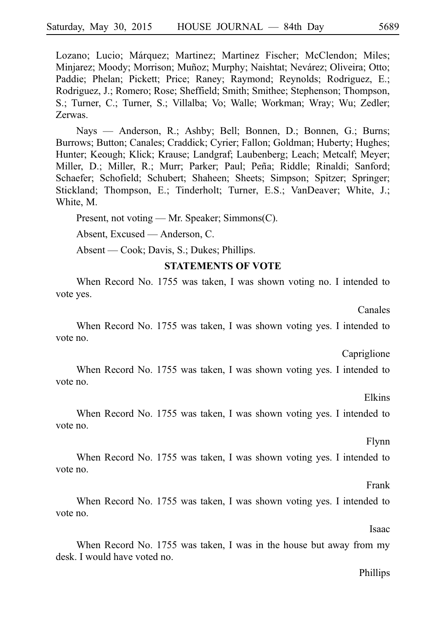Lozano; Lucio; Márquez; Martinez; Martinez Fischer; McClendon; Miles; Minjarez; Moody; Morrison; Muñoz; Murphy; Naishtat; Nevárez; Oliveira; Otto; Paddie; Phelan; Pickett; Price; Raney; Raymond; Reynolds; Rodriguez, E.; Rodriguez, J.; Romero; Rose; Sheffield; Smith; Smithee; Stephenson; Thompson, S.; Turner, C.; Turner, S.; Villalba; Vo; Walle; Workman; Wray; Wu; Zedler; Zerwas.

Nays — Anderson, R.; Ashby; Bell; Bonnen, D.; Bonnen, G.; Burns; Burrows; Button; Canales; Craddick; Cyrier; Fallon; Goldman; Huberty; Hughes; Hunter; Keough; Klick; Krause; Landgraf; Laubenberg; Leach; Metcalf; Meyer; Miller, D.; Miller, R.; Murr; Parker; Paul; Peña; Riddle; Rinaldi; Sanford; Schaefer; Schofield; Schubert; Shaheen; Sheets; Simpson; Spitzer; Springer; Stickland; Thompson, E.; Tinderholt; Turner, E.S.; VanDeaver; White, J.; White, M.

Present, not voting — Mr. Speaker; Simmons(C).

Absent, Excused — Anderson, C.

Absent — Cook; Davis, S.; Dukes; Phillips.

## **STATEMENTS OF VOTE**

When Record No. 1755 was taken, I was shown voting no. I intended to vote yes.

Canales

When Record No. 1755 was taken, I was shown voting yes. I intended to vote no.

Capriglione

When Record No. 1755 was taken, I was shown voting yes. I intended to vote no.

Elkins

When Record No. 1755 was taken, I was shown voting yes. I intended to vote no.

Flynn

When Record No. 1755 was taken, I was shown voting yes. I intended to vote no.

Frank

When Record No. 1755 was taken, I was shown voting yes. I intended to vote no.

Isaac

When Record No. 1755 was taken, I was in the house but away from my desk. I would have voted no.

#### Phillips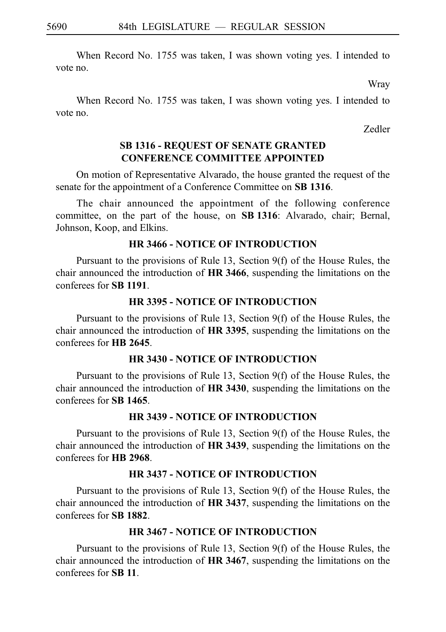When Record No. 1755 was taken, I was shown voting yes. I intended to vote no.

Wray

When Record No. 1755 was taken, I was shown voting yes. I intended to vote no.

Zedler

# **SB 1316 - REQUEST OF SENATE GRANTED CONFERENCE COMMITTEE APPOINTED**

On motion of Representative Alvarado, the house granted the request of the senate for the appointment of a Conference Committee on **SB 1316**.

The chair announced the appointment of the following conference committee, on the part of the house, on **SBi1316**: Alvarado, chair; Bernal, Johnson, Koop, and Elkins.

# **HR 3466 - NOTICE OF INTRODUCTION**

Pursuant to the provisions of Rule 13, Section  $9(f)$  of the House Rules, the chair announced the introduction of **HR 3466**, suspending the limitations on the conferees for **SBi1191**.

## **HR 3395 - NOTICE OF INTRODUCTION**

Pursuant to the provisions of Rule 13, Section  $9(f)$  of the House Rules, the chair announced the introduction of **HR 3395**, suspending the limitations on the conferees for **HB** 2645.

## **HR 3430 - NOTICE OF INTRODUCTION**

Pursuant to the provisions of Rule 13, Section  $9(f)$  of the House Rules, the chair announced the introduction of **HR 3430**, suspending the limitations on the conferees for **SBi1465**.

# **HR 3439 - NOTICE OF INTRODUCTION**

Pursuant to the provisions of Rule 13, Section  $9(f)$  of the House Rules, the chair announced the introduction of **HR 3439**, suspending the limitations on the conferees for **HBi2968**.

## **HR 3437 - NOTICE OF INTRODUCTION**

Pursuant to the provisions of Rule 13, Section  $9(f)$  of the House Rules, the chair announced the introduction of **HR 3437**, suspending the limitations on the conferees for **SBi1882**.

## **HR 3467 - NOTICE OF INTRODUCTION**

Pursuant to the provisions of Rule 13, Section  $9(f)$  of the House Rules, the chair announced the introduction of **HR 3467**, suspending the limitations on the conferees for **SBi11**.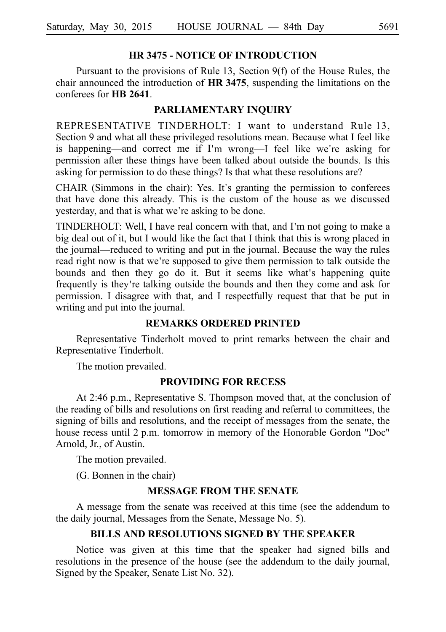## **HR 3475 - NOTICE OF INTRODUCTION**

Pursuant to the provisions of Rule 13, Section  $9(f)$  of the House Rules, the chair announced the introduction of **HR 3475**, suspending the limitations on the conferees for **HB** 2641.

#### **PARLIAMENTARY INQUIRY**

REPRESENTATIVE TINDERHOLT: I want to understand Rule 13, Section 9 and what all these privileged resolutions mean. Because what I feel like is happening—and correct me if I'm wrong—I feel like we're asking for permission after these things have been talked about outside the bounds. Is this asking for permission to do these things? Is that what these resolutions are?

CHAIR (Simmons in the chair): Yes. It's granting the permission to conferees that have done this already. This is the custom of the house as we discussed yesterday, and that is what we're asking to be done.

TINDERHOLT: Well, I have real concern with that, and I m not going to make a ' big deal out of it, but I would like the fact that I think that this is wrong placed in the journal—reduced to writing and put in the journal. Because the way the rules read right now is that we're supposed to give them permission to talk outside the bounds and then they go do it. But it seems like what's happening quite frequently is they re talking outside the bounds and then they come and ask for ' permission. I disagree with that, and I respectfully request that that be put in writing and put into the journal.

#### **REMARKS ORDERED PRINTED**

Representative Tinderholt moved to print remarks between the chair and Representative Tinderholt.

The motion prevailed.

#### **PROVIDING FOR RECESS**

At 2:46 p.m., Representative S. Thompson moved that, at the conclusion of the reading of bills and resolutions on first reading and referral to committees, the signing of bills and resolutions, and the receipt of messages from the senate, the house recess until 2 p.m. tomorrow in memory of the Honorable Gordon "Doc" Arnold, Jr., of Austin.

The motion prevailed.

(G. Bonnen in the chair)

#### **MESSAGE FROM THE SENATE**

A message from the senate was received at this time (see the addendum to the daily journal, Messages from the Senate, Message No. 5).

## **BILLS AND RESOLUTIONS SIGNED BY THE SPEAKER**

Notice was given at this time that the speaker had signed bills and resolutions in the presence of the house (see the addendum to the daily journal, Signed by the Speaker, Senate List No. 32).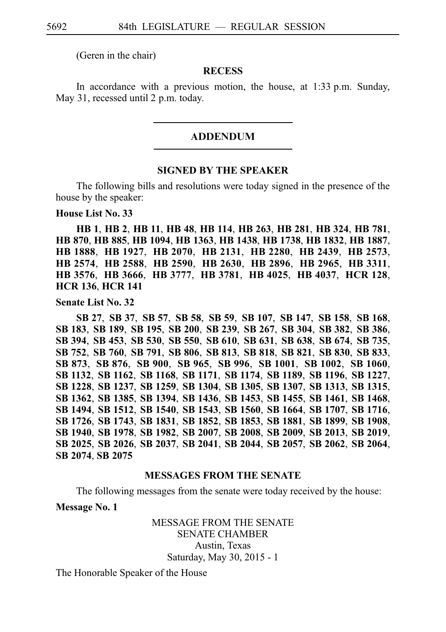(Geren in the chair)

## **RECESS**

In accordance with a previous motion, the house, at  $1:33$  p.m. Sunday, May 31, recessed until 2 p.m. today.

#### ADDENDUM

#### **SIGNED BY THE SPEAKER**

The following bills and resolutions were today signed in the presence of the house by the speaker:

**House List No. 33**

**HB**i**1**, **HB**i**2**, **HB**i**11**, **HB**i**48**, **HB**i**114**, **HB**i**263**, **HB**i**281**, **HB**i**324**, **HB**i**781**, **HB**i**870**, **HB**i**885**, **HB**i**1094**, **HB**i**1363**, **HB**i**1438**, **HB**i**1738**, **HB**i**1832**, **HB**i**1887**, **HB**i**1888**, **HB**i**1927**, **HB**i**2070**, **HB**i**2131**, **HB**i**2280**, **HB**i**2439**, **HB**i**2573**, **HB**i**2574**, **HB**i**2588**, **HB**i**2590**, **HB**i**2630**, **HB**i**2896**, **HB**i**2965**, **HB**i**3311**, **HB**i**3576**, **HB**i**3666**, **HB**i**3777**, **HB**i**3781**, **HB**i**4025**, **HB**i**4037**, **HCR**i**128**, **HCR**i**136**, **HCR**i**141**

**Senate List No. 32**

**SB**i**27**, **SB**i**37**, **SB**i**57**, **SB**i**58**, **SB**i**59**, **SB**i**107**, **SB**i**147**, **SB**i**158**, **SB**i**168**, **SB**i**183**, **SB**i**189**, **SB**i**195**, **SB**i**200**, **SB**i**239**, **SB**i**267**, **SB**i**304**, **SB**i**382**, **SB**i**386**, **SB**i**394**, **SB**i**453**, **SB**i**530**, **SB**i**550**, **SB**i**610**, **SB**i**631**, **SB**i**638**, **SB**i**674**, **SB**i**735**, **SB**i**752**, **SB**i**760**, **SB**i**791**, **SB**i**806**, **SB**i**813**, **SB**i**818**, **SB**i**821**, **SB**i**830**, **SB**i**833**, **SB**i**873**, **SB**i**876**, **SB**i**900**, **SB**i**965**, **SB**i**996**, **SB**i**1001**, **SB**i**1002**, **SB**i**1060**, **SB**i**1132**, **SB**i**1162**, **SB**i**1168**, **SB**i**1171**, **SB**i**1174**, **SB**i**1189**, **SB**i**1196**, **SB**i**1227**, **SB**i**1228**, **SB**i**1237**, **SB**i**1259**, **SB**i**1304**, **SB**i**1305**, **SB**i**1307**, **SB**i**1313**, **SB**i**1315**, **SB**i**1362**, **SB**i**1385**, **SB**i**1394**, **SB**i**1436**, **SB**i**1453**, **SB**i**1455**, **SB**i**1461**, **SB**i**1468**, **SB**i**1494**, **SB**i**1512**, **SB**i**1540**, **SB**i**1543**, **SB**i**1560**, **SB**i**1664**, **SB**i**1707**, **SB**i**1716**, **SB**i**1726**, **SB**i**1743**, **SB**i**1831**, **SB**i**1852**, **SB**i**1853**, **SB**i**1881**, **SB**i**1899**, **SB**i**1908**, **SB**i**1940**, **SB**i**1978**, **SB**i**1982**, **SB**i**2007**, **SB**i**2008**, **SB**i**2009**, **SB**i**2013**, **SB**i**2019**, **SB**i**2025**, **SB**i**2026**, **SB**i**2037**, **SB**i**2041**, **SB**i**2044**, **SB**i**2057**, **SB**i**2062**, **SB**i**2064**, **SB**i**2074**, **SB**i**2075**

#### **MESSAGES FROM THE SENATE**

The following messages from the senate were today received by the house:

**Message No. 1**

MESSAGE FROM THE SENATE SENATE CHAMBER Austin, Texas Saturday, May 30, 2015 - 1

The Honorable Speaker of the House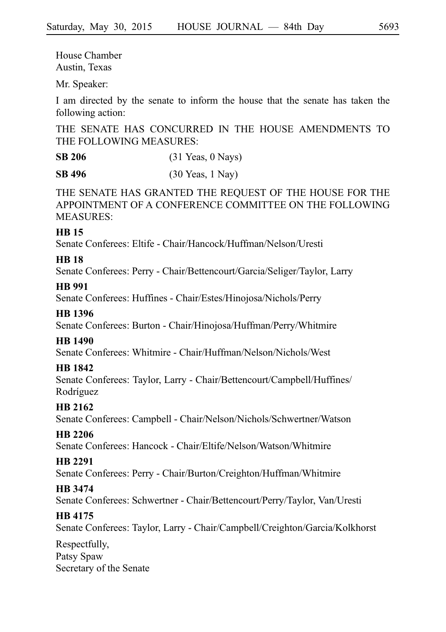House Chamber Austin, Texas

Mr. Speaker:

I am directed by the senate to inform the house that the senate has taken the following action:

THE SENATE HAS CONCURRED IN THE HOUSE AMENDMENTS TO THE FOLLOWING MEASURES:

**SB 206** (31 Yeas, 0 Nays)

**SB 496** (30 Yeas, 1 Nay)

THE SENATE HAS GRANTED THE REQUEST OF THE HOUSE FOR THE APPOINTMENT OF A CONFERENCE COMMITTEE ON THE FOLLOWING MEASURES:

## **HB 15**

Senate Conferees: Eltife - Chair/Hancock/Huffman/Nelson/Uresti

# **HB 18**

Senate Conferees: Perry - Chair/Bettencourt/Garcia/Seliger/Taylor, Larry

## **HB 991**

Senate Conferees: Huffines - Chair/Estes/Hinojosa/Nichols/Perry

# **HB 1396**

Senate Conferees: Burton - Chair/Hinojosa/Huffman/Perry/Whitmire

# **HB 1490**

Senate Conferees: Whitmire - Chair/Huffman/Nelson/Nichols/West

# **HB 1842**

Senate Conferees: Taylor, Larry - Chair/Bettencourt/Campbell/Huffines/ **Rodríguez** 

# **HB 2162**

Senate Conferees: Campbell - Chair/Nelson/Nichols/Schwertner/Watson

# **HB 2206**

Senate Conferees: Hancock - Chair/Eltife/Nelson/Watson/Whitmire

# **HB 2291**

Senate Conferees: Perry - Chair/Burton/Creighton/Huffman/Whitmire

# **HB 3474**

Senate Conferees: Schwertner - Chair/Bettencourt/Perry/Taylor, Van/Uresti

# **HB 4175**

Senate Conferees: Taylor, Larry - Chair/Campbell/Creighton/Garcia/Kolkhorst

Respectfully, Patsy Spaw Secretary of the Senate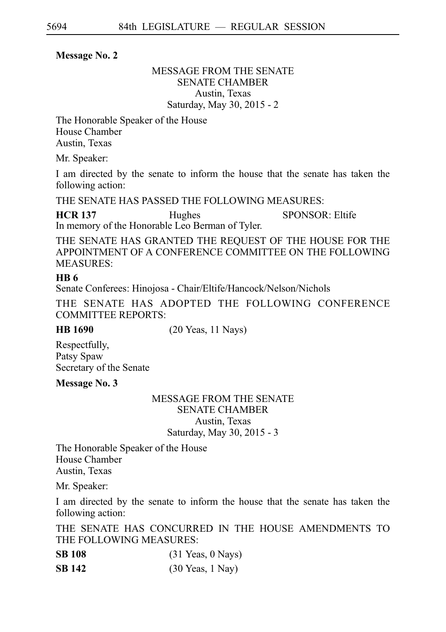## **Message No. 2**

# MESSAGE FROM THE SENATE SENATE CHAMBER Austin, Texas Saturday, May 30, 2015 - 2

The Honorable Speaker of the House House Chamber Austin, Texas

Mr. Speaker:

I am directed by the senate to inform the house that the senate has taken the following action:

THE SENATE HAS PASSED THE FOLLOWING MEASURES:

**HCR 137** Hughes SPONSOR: Eltife In memory of the Honorable Leo Berman of Tyler.

THE SENATE HAS GRANTED THE REQUEST OF THE HOUSE FOR THE APPOINTMENT OF A CONFERENCE COMMITTEE ON THE FOLLOWING MEASURES:

# **HB 6**

Senate Conferees: Hinojosa - Chair/Eltife/Hancock/Nelson/Nichols

THE SENATE HAS ADOPTED THE FOLLOWING CONFERENCE COMMITTEE REPORTS:

**HB 1690** (20 Yeas, 11 Nays)

Respectfully, Patsy Spaw Secretary of the Senate

**Message No. 3**

## MESSAGE FROM THE SENATE SENATE CHAMBER Austin, Texas Saturday, May 30, 2015 - 3

The Honorable Speaker of the House House Chamber Austin, Texas

Mr. Speaker:

I am directed by the senate to inform the house that the senate has taken the following action:

THE SENATE HAS CONCURRED IN THE HOUSE AMENDMENTS TO THE FOLLOWING MEASURES:

| <b>SB 108</b> | $(31 \text{ Years}, 0 \text{ Nays})$ |
|---------------|--------------------------------------|
| SB 142        | $(30 \text{ Years}, 1 \text{ Navy})$ |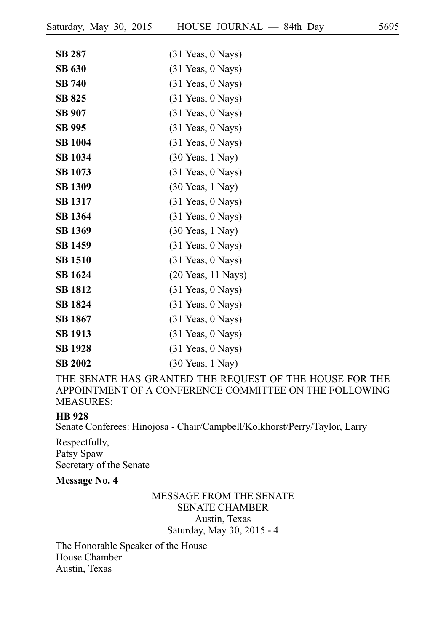| <b>SB 287</b>  | (31 Yeas, 0 Nays)                    |
|----------------|--------------------------------------|
| <b>SB 630</b>  | $(31 \text{ Years}, 0 \text{ Nays})$ |
| <b>SB 740</b>  | $(31$ Yeas, $0$ Nays)                |
| <b>SB 825</b>  | $(31 \text{ Years}, 0 \text{ Nays})$ |
| <b>SB 907</b>  | $(31 \text{ Years}, 0 \text{ Nays})$ |
| SB 995         | $(31$ Yeas, $0$ Nays)                |
| <b>SB 1004</b> | $(31 \text{ Years}, 0 \text{Nays})$  |
| <b>SB 1034</b> | $(30 \text{ Years}, 1 \text{May})$   |
| <b>SB 1073</b> | $(31$ Yeas, $0$ Nays)                |
| <b>SB 1309</b> | $(30 \text{ Years}, 1 \text{May})$   |
| <b>SB 1317</b> | $(31 \text{ Years}, 0 \text{Nays})$  |
| <b>SB</b> 1364 | $(31$ Yeas, $0$ Nays)                |
| <b>SB 1369</b> | $(30 \text{ Years}, 1 \text{May})$   |
| <b>SB 1459</b> | $(31$ Yeas, $0$ Nays)                |
| <b>SB 1510</b> | $(31$ Yeas, $0$ Nays)                |
| SB 1624        | $(20$ Yeas, 11 Nays)                 |
| <b>SB 1812</b> | $(31 \text{ Years}, 0 \text{Nays})$  |
| <b>SB 1824</b> | $(31$ Yeas, $0$ Nays)                |
| <b>SB 1867</b> | $(31 \text{ Years}, 0 \text{ Nays})$ |
| <b>SB 1913</b> | $(31 \text{ Years}, 0 \text{Nays})$  |
| <b>SB</b> 1928 | $(31 \text{ Years}, 0 \text{Nays})$  |
| <b>SB 2002</b> | $(30 \text{ Years}, 1 \text{ Navy})$ |

THE SENATE HAS GRANTED THE REQUEST OF THE HOUSE FOR THE APPOINTMENT OF A CONFERENCE COMMITTEE ON THE FOLLOWING MEASURES:

## **HB 928**

Senate Conferees: Hinojosa - Chair/Campbell/Kolkhorst/Perry/Taylor, Larry

Respectfully, Patsy Spaw Secretary of the Senate

#### **Message No. 4**

# MESSAGE FROM THE SENATE SENATE CHAMBER Austin, Texas Saturday, May 30, 2015 - 4

The Honorable Speaker of the House House Chamber Austin, Texas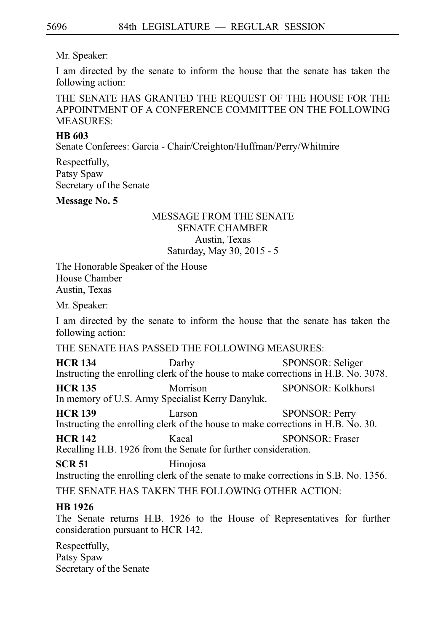# Mr. Speaker:

I am directed by the senate to inform the house that the senate has taken the following action:

THE SENATE HAS GRANTED THE REQUEST OF THE HOUSE FOR THE APPOINTMENT OF A CONFERENCE COMMITTEE ON THE FOLLOWING MEASURES:

# **HB 603**

Senate Conferees: Garcia - Chair/Creighton/Huffman/Perry/Whitmire

Respectfully, Patsy Spaw Secretary of the Senate

# **Message No. 5**

# MESSAGE FROM THE SENATE SENATE CHAMBER Austin, Texas Saturday, May 30, 2015 - 5

The Honorable Speaker of the House House Chamber Austin, Texas

Mr. Speaker:

I am directed by the senate to inform the house that the senate has taken the following action:

THE SENATE HAS PASSED THE FOLLOWING MEASURES:

**HCR 134** Darby SPONSOR: Seliger Instructing the enrolling clerk of the house to make corrections in H.B. No. 3078.

**HCR 135** Morrison SPONSOR: Kolkhorst In memory of U.S. Army Specialist Kerry Danyluk.

**HCR 139** Larson SPONSOR: Perry Instructing the enrolling clerk of the house to make corrections in H.B. No. 30.

**HCR 142** Kacal SPONSOR: Fraser Recalling H.B. 1926 from the Senate for further consideration.

**SCR 51** Hinojosa

Instructing the enrolling clerk of the senate to make corrections in S.B. No. 1356.

THE SENATE HAS TAKEN THE FOLLOWING OTHER ACTION:

# **HB 1926**

The Senate returns H.B. 1926 to the House of Representatives for further consideration pursuant to HCR 142.

Respectfully, Patsy Spaw Secretary of the Senate